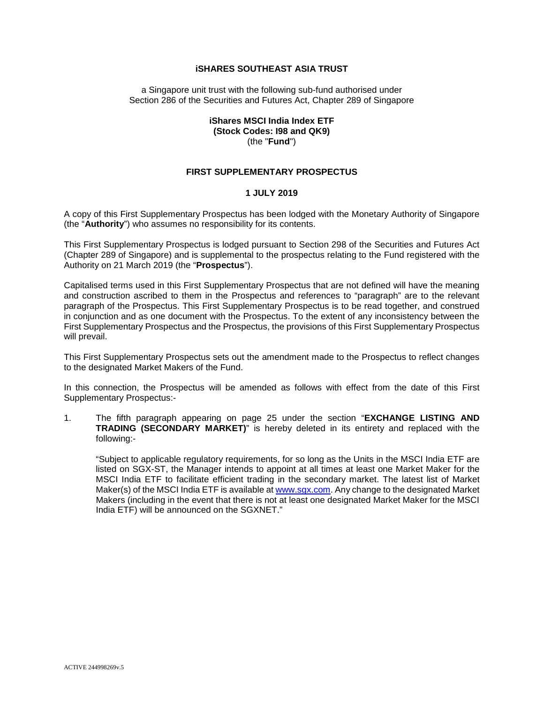#### **iSHARES SOUTHEAST ASIA TRUST**

a Singapore unit trust with the following sub-fund authorised under Section 286 of the Securities and Futures Act, Chapter 289 of Singapore

#### **iShares MSCI India Index ETF (Stock Codes: I98 and QK9)** (the "**Fund**")

#### **FIRST SUPPLEMENTARY PROSPECTUS**

#### **1 JULY 2019**

A copy of this First Supplementary Prospectus has been lodged with the Monetary Authority of Singapore (the "**Authority**") who assumes no responsibility for its contents.

This First Supplementary Prospectus is lodged pursuant to Section 298 of the Securities and Futures Act (Chapter 289 of Singapore) and is supplemental to the prospectus relating to the Fund registered with the Authority on 21 March 2019 (the "**Prospectus**").

Capitalised terms used in this First Supplementary Prospectus that are not defined will have the meaning and construction ascribed to them in the Prospectus and references to "paragraph" are to the relevant paragraph of the Prospectus. This First Supplementary Prospectus is to be read together, and construed in conjunction and as one document with the Prospectus. To the extent of any inconsistency between the First Supplementary Prospectus and the Prospectus, the provisions of this First Supplementary Prospectus will prevail.

This First Supplementary Prospectus sets out the amendment made to the Prospectus to reflect changes to the designated Market Makers of the Fund.

In this connection, the Prospectus will be amended as follows with effect from the date of this First Supplementary Prospectus:-

1. The fifth paragraph appearing on page 25 under the section "**EXCHANGE LISTING AND TRADING (SECONDARY MARKET)**" is hereby deleted in its entirety and replaced with the following:-

"Subject to applicable regulatory requirements, for so long as the Units in the MSCI India ETF are listed on SGX-ST, the Manager intends to appoint at all times at least one Market Maker for the MSCI India ETF to facilitate efficient trading in the secondary market. The latest list of Market Maker(s) of the MSCI India ETF is available a[t www.sgx.com.](http://www.sgx.com/) Any change to the designated Market Makers (including in the event that there is not at least one designated Market Maker for the MSCI India ETF) will be announced on the SGXNET."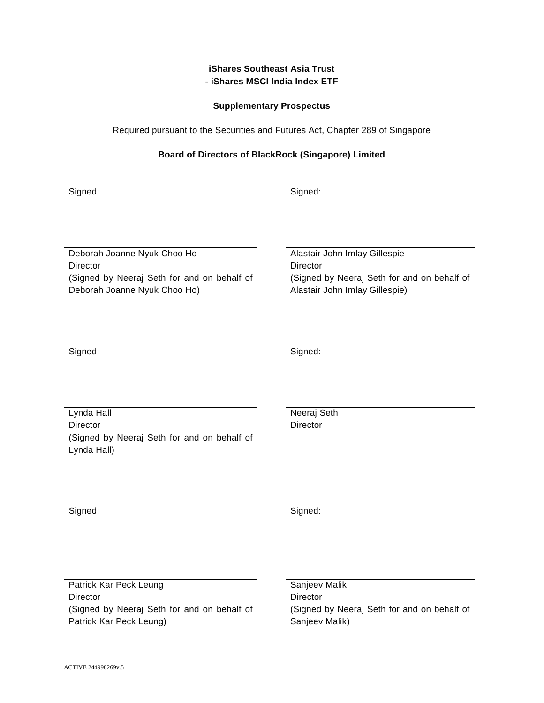# **iShares Southeast Asia Trust - iShares MSCI India Index ETF**

## **Supplementary Prospectus**

Required pursuant to the Securities and Futures Act, Chapter 289 of Singapore

## **Board of Directors of BlackRock (Singapore) Limited**

Signed: Signed: Signed: Signed: Signed: Signed: Signed: Signed: Signed: Signed: Signed: Signed: Signed: Signed: Signed: Signed: Signed: Signed: Signed: Signed: Signed: Signed: Signed: Signed: Signed: Signed: Signed: Signed

Deborah Joanne Nyuk Choo Ho Alastair John Imlay Gillespie Director **Director** Director (Signed by Neeraj Seth for and on behalf of Deborah Joanne Nyuk Choo Ho)

(Signed by Neeraj Seth for and on behalf of Alastair John Imlay Gillespie)

Signed: Signed: Signed: Signed: Signed: Signed: Signed: Signed: Signed: Signed: Signed: Signed: Signed: Signed: Signed: Signed: Signed: Signed: Signed: Signed: Signed: Signed: Signed: Signed: Signed: Signed: Signed: Signed

Lynda Hall Neeraj Seth Director Director (Signed by Neeraj Seth for and on behalf of Lynda Hall)

Signed: Signed: Signed: Signed: Signed: Signed: Signed: Signed: Signed: Signed: Signed: Signed: Signed: Signed: Signed: Signed: Signed: Signed: Signed: Signed: Signed: Signed: Signed: Signed: Signed: Signed: Signed: Signed

Patrick Kar Peck Leung Sanjeev Malik Director **Director** Director (Signed by Neeraj Seth for and on behalf of Patrick Kar Peck Leung)

(Signed by Neeraj Seth for and on behalf of Sanjeev Malik)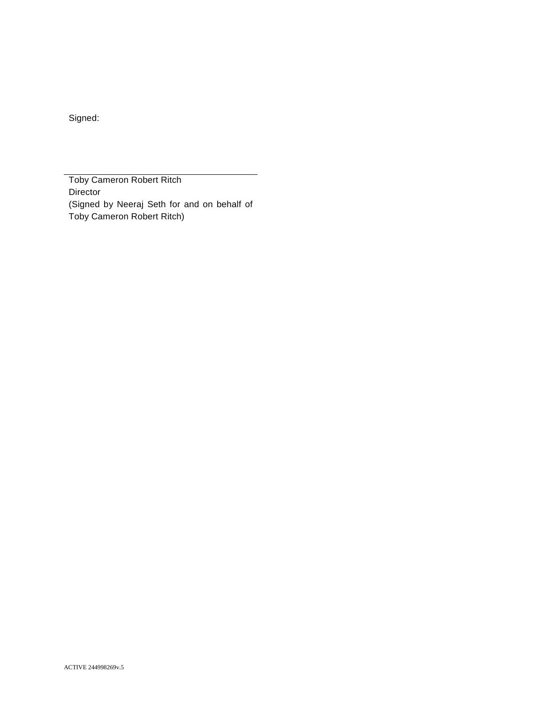Signed:

Toby Cameron Robert Ritch **Director** (Signed by Neeraj Seth for and on behalf of Toby Cameron Robert Ritch)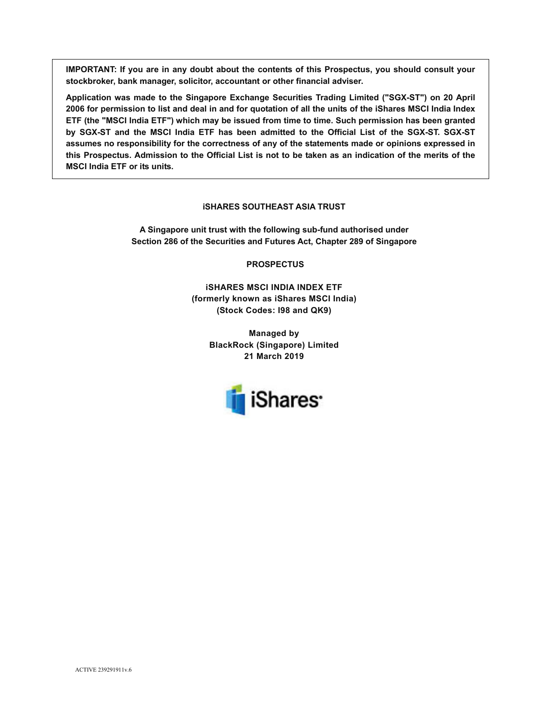**IMPORTANT: If you are in any doubt about the contents of this Prospectus, you should consult your stockbroker, bank manager, solicitor, accountant or other financial adviser.** 

**Application was made to the Singapore Exchange Securities Trading Limited ("SGX-ST") on 20 April 2006 for permission to list and deal in and for quotation of all the units of the iShares MSCI India Index ETF (the "MSCI India ETF") which may be issued from time to time. Such permission has been granted by SGX-ST and the MSCI India ETF has been admitted to the Official List of the SGX-ST. SGX-ST assumes no responsibility for the correctness of any of the statements made or opinions expressed in this Prospectus. Admission to the Official List is not to be taken as an indication of the merits of the MSCI India ETF or its units.**

#### **iSHARES SOUTHEAST ASIA TRUST**

**A Singapore unit trust with the following sub-fund authorised under Section 286 of the Securities and Futures Act, Chapter 289 of Singapore** 

 **PROSPECTUS** 

**iSHARES MSCI INDIA INDEX ETF (formerly known as iShares MSCI India) (Stock Codes: I98 and QK9)** 

> **Managed by BlackRock (Singapore) Limited 21 March 2019**

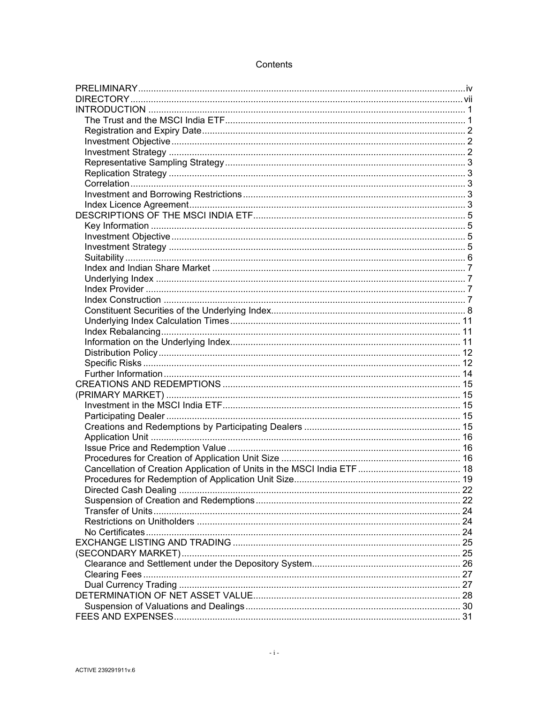# Contents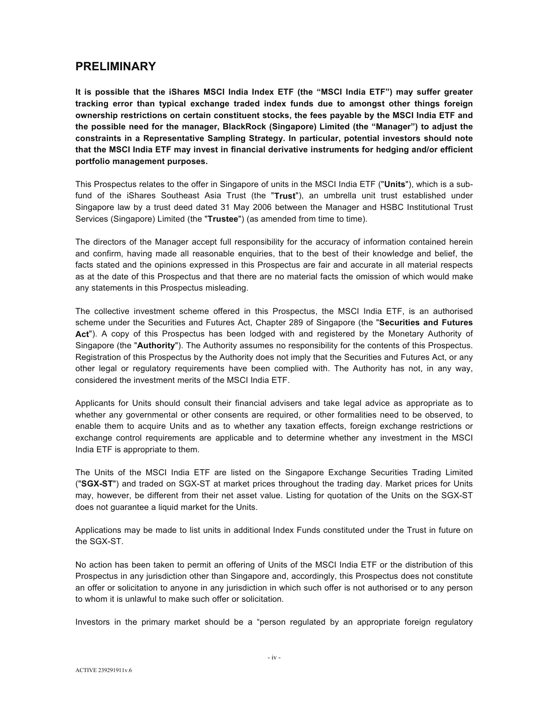# **PRELIMINARY**

**It is possible that the iShares MSCI India Index ETF (the "MSCI India ETF") may suffer greater tracking error than typical exchange traded index funds due to amongst other things foreign ownership restrictions on certain constituent stocks, the fees payable by the MSCI India ETF and the possible need for the manager, BlackRock (Singapore) Limited (the "Manager") to adjust the constraints in a Representative Sampling Strategy. In particular, potential investors should note that the MSCI India ETF may invest in financial derivative instruments for hedging and/or efficient portfolio management purposes.** 

This Prospectus relates to the offer in Singapore of units in the MSCI India ETF ("**Units**"), which is a subfund of the iShares Southeast Asia Trust (the "**Trust**"), an umbrella unit trust established under Singapore law by a trust deed dated 31 May 2006 between the Manager and HSBC Institutional Trust Services (Singapore) Limited (the "**Trustee**") (as amended from time to time).

The directors of the Manager accept full responsibility for the accuracy of information contained herein and confirm, having made all reasonable enquiries, that to the best of their knowledge and belief, the facts stated and the opinions expressed in this Prospectus are fair and accurate in all material respects as at the date of this Prospectus and that there are no material facts the omission of which would make any statements in this Prospectus misleading.

The collective investment scheme offered in this Prospectus, the MSCI India ETF, is an authorised scheme under the Securities and Futures Act, Chapter 289 of Singapore (the "**Securities and Futures Act**"). A copy of this Prospectus has been lodged with and registered by the Monetary Authority of Singapore (the "**Authority**"). The Authority assumes no responsibility for the contents of this Prospectus. Registration of this Prospectus by the Authority does not imply that the Securities and Futures Act, or any other legal or regulatory requirements have been complied with. The Authority has not, in any way, considered the investment merits of the MSCI India ETF.

Applicants for Units should consult their financial advisers and take legal advice as appropriate as to whether any governmental or other consents are required, or other formalities need to be observed, to enable them to acquire Units and as to whether any taxation effects, foreign exchange restrictions or exchange control requirements are applicable and to determine whether any investment in the MSCI India ETF is appropriate to them.

The Units of the MSCI India ETF are listed on the Singapore Exchange Securities Trading Limited ("**SGX-ST**") and traded on SGX-ST at market prices throughout the trading day. Market prices for Units may, however, be different from their net asset value. Listing for quotation of the Units on the SGX-ST does not guarantee a liquid market for the Units.

Applications may be made to list units in additional Index Funds constituted under the Trust in future on the SGX-ST.

No action has been taken to permit an offering of Units of the MSCI India ETF or the distribution of this Prospectus in any jurisdiction other than Singapore and, accordingly, this Prospectus does not constitute an offer or solicitation to anyone in any jurisdiction in which such offer is not authorised or to any person to whom it is unlawful to make such offer or solicitation.

Investors in the primary market should be a "person regulated by an appropriate foreign regulatory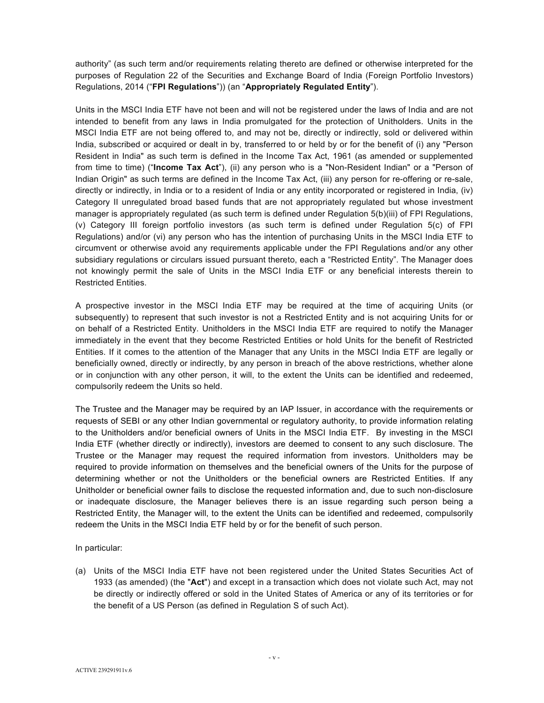authority" (as such term and/or requirements relating thereto are defined or otherwise interpreted for the purposes of Regulation 22 of the Securities and Exchange Board of India (Foreign Portfolio Investors) Regulations, 2014 ("**FPI Regulations**")) (an "**Appropriately Regulated Entity**").

Units in the MSCI India ETF have not been and will not be registered under the laws of India and are not intended to benefit from any laws in India promulgated for the protection of Unitholders. Units in the MSCI India ETF are not being offered to, and may not be, directly or indirectly, sold or delivered within India, subscribed or acquired or dealt in by, transferred to or held by or for the benefit of (i) any "Person Resident in India" as such term is defined in the Income Tax Act, 1961 (as amended or supplemented from time to time) ("**Income Tax Act**"), (ii) any person who is a "Non-Resident Indian" or a "Person of Indian Origin" as such terms are defined in the Income Tax Act, (iii) any person for re-offering or re-sale, directly or indirectly, in India or to a resident of India or any entity incorporated or registered in India, (iv) Category II unregulated broad based funds that are not appropriately regulated but whose investment manager is appropriately regulated (as such term is defined under Regulation 5(b)(iii) of FPI Regulations, (v) Category III foreign portfolio investors (as such term is defined under Regulation 5(c) of FPI Regulations) and/or (vi) any person who has the intention of purchasing Units in the MSCI India ETF to circumvent or otherwise avoid any requirements applicable under the FPI Regulations and/or any other subsidiary regulations or circulars issued pursuant thereto, each a "Restricted Entity". The Manager does not knowingly permit the sale of Units in the MSCI India ETF or any beneficial interests therein to Restricted Entities.

A prospective investor in the MSCI India ETF may be required at the time of acquiring Units (or subsequently) to represent that such investor is not a Restricted Entity and is not acquiring Units for or on behalf of a Restricted Entity. Unitholders in the MSCI India ETF are required to notify the Manager immediately in the event that they become Restricted Entities or hold Units for the benefit of Restricted Entities. If it comes to the attention of the Manager that any Units in the MSCI India ETF are legally or beneficially owned, directly or indirectly, by any person in breach of the above restrictions, whether alone or in conjunction with any other person, it will, to the extent the Units can be identified and redeemed, compulsorily redeem the Units so held.

The Trustee and the Manager may be required by an IAP Issuer, in accordance with the requirements or requests of SEBI or any other Indian governmental or regulatory authority, to provide information relating to the Unitholders and/or beneficial owners of Units in the MSCI India ETF. By investing in the MSCI India ETF (whether directly or indirectly), investors are deemed to consent to any such disclosure. The Trustee or the Manager may request the required information from investors. Unitholders may be required to provide information on themselves and the beneficial owners of the Units for the purpose of determining whether or not the Unitholders or the beneficial owners are Restricted Entities. If any Unitholder or beneficial owner fails to disclose the requested information and, due to such non-disclosure or inadequate disclosure, the Manager believes there is an issue regarding such person being a Restricted Entity, the Manager will, to the extent the Units can be identified and redeemed, compulsorily redeem the Units in the MSCI India ETF held by or for the benefit of such person.

In particular:

(a) Units of the MSCI India ETF have not been registered under the United States Securities Act of 1933 (as amended) (the "**Act**") and except in a transaction which does not violate such Act, may not be directly or indirectly offered or sold in the United States of America or any of its territories or for the benefit of a US Person (as defined in Regulation S of such Act).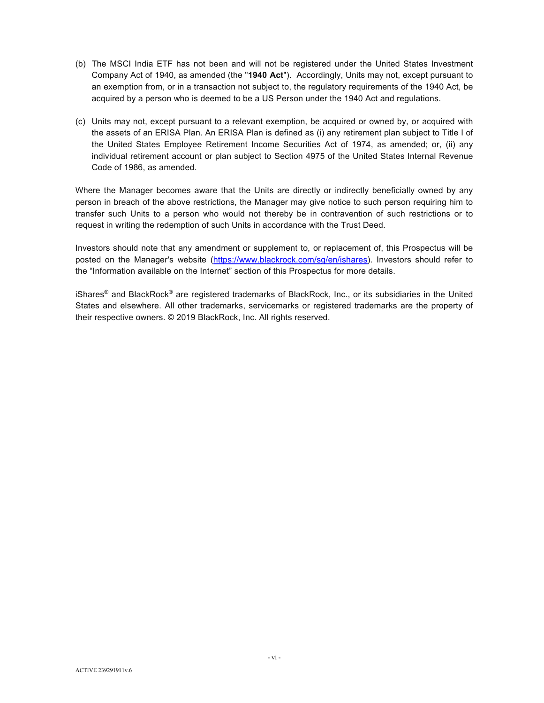- (b) The MSCI India ETF has not been and will not be registered under the United States Investment Company Act of 1940, as amended (the "**1940 Act**"). Accordingly, Units may not, except pursuant to an exemption from, or in a transaction not subject to, the regulatory requirements of the 1940 Act, be acquired by a person who is deemed to be a US Person under the 1940 Act and regulations.
- (c) Units may not, except pursuant to a relevant exemption, be acquired or owned by, or acquired with the assets of an ERISA Plan. An ERISA Plan is defined as (i) any retirement plan subject to Title I of the United States Employee Retirement Income Securities Act of 1974, as amended; or, (ii) any individual retirement account or plan subject to Section 4975 of the United States Internal Revenue Code of 1986, as amended.

Where the Manager becomes aware that the Units are directly or indirectly beneficially owned by any person in breach of the above restrictions, the Manager may give notice to such person requiring him to transfer such Units to a person who would not thereby be in contravention of such restrictions or to request in writing the redemption of such Units in accordance with the Trust Deed.

Investors should note that any amendment or supplement to, or replacement of, this Prospectus will be posted on the Manager's website (https://www.blackrock.com/sg/en/ishares). Investors should refer to the "Information available on the Internet" section of this Prospectus for more details.

iShares® and BlackRock® are registered trademarks of BlackRock, Inc., or its subsidiaries in the United States and elsewhere. All other trademarks, servicemarks or registered trademarks are the property of their respective owners. © 2019 BlackRock, Inc. All rights reserved.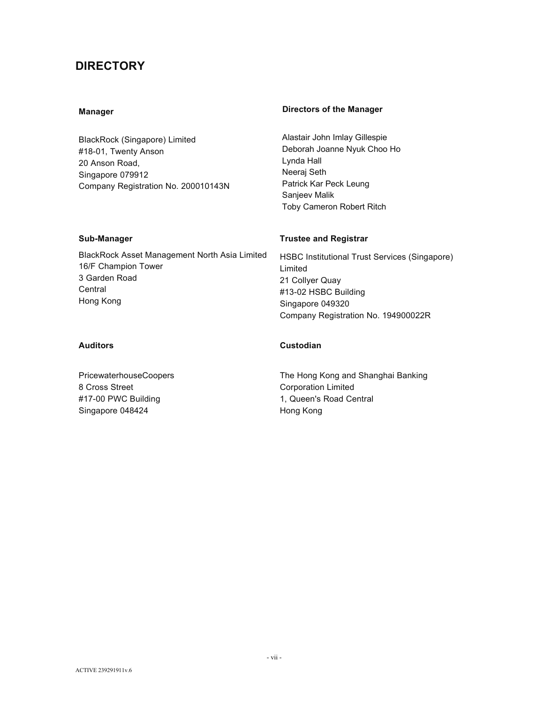# **DIRECTORY**

BlackRock (Singapore) Limited #18-01, Twenty Anson 20 Anson Road, Singapore 079912 Company Registration No. 200010143N

# **Manager Manager Communist Except** Directors of the Manager

Alastair John Imlay Gillespie Deborah Joanne Nyuk Choo Ho Lynda Hall Neeraj Seth Patrick Kar Peck Leung Sanjeev Malik Toby Cameron Robert Ritch

BlackRock Asset Management North Asia Limited 16/F Champion Tower 3 Garden Road **Central** Hong Kong

PricewaterhouseCoopers 8 Cross Street #17-00 PWC Building Singapore 048424

## **Sub-Manager Constraining Sub-Manager Constraining Sub-Manager** Trustee and Registrar

HSBC Institutional Trust Services (Singapore) Limited 21 Collyer Quay #13-02 HSBC Building Singapore 049320 Company Registration No. 194900022R

#### **Auditors Custodian**

The Hong Kong and Shanghai Banking Corporation Limited 1, Queen's Road Central Hong Kong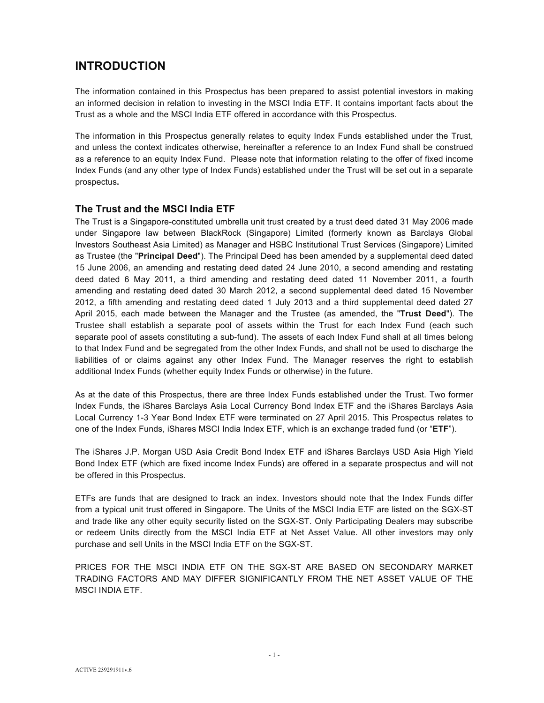# **INTRODUCTION**

The information contained in this Prospectus has been prepared to assist potential investors in making an informed decision in relation to investing in the MSCI India ETF. It contains important facts about the Trust as a whole and the MSCI India ETF offered in accordance with this Prospectus.

The information in this Prospectus generally relates to equity Index Funds established under the Trust, and unless the context indicates otherwise, hereinafter a reference to an Index Fund shall be construed as a reference to an equity Index Fund. Please note that information relating to the offer of fixed income Index Funds (and any other type of Index Funds) established under the Trust will be set out in a separate prospectus**.** 

# **The Trust and the MSCI India ETF**

The Trust is a Singapore-constituted umbrella unit trust created by a trust deed dated 31 May 2006 made under Singapore law between BlackRock (Singapore) Limited (formerly known as Barclays Global Investors Southeast Asia Limited) as Manager and HSBC Institutional Trust Services (Singapore) Limited as Trustee (the "**Principal Deed**"). The Principal Deed has been amended by a supplemental deed dated 15 June 2006, an amending and restating deed dated 24 June 2010, a second amending and restating deed dated 6 May 2011, a third amending and restating deed dated 11 November 2011, a fourth amending and restating deed dated 30 March 2012, a second supplemental deed dated 15 November 2012, a fifth amending and restating deed dated 1 July 2013 and a third supplemental deed dated 27 April 2015, each made between the Manager and the Trustee (as amended, the "**Trust Deed**"). The Trustee shall establish a separate pool of assets within the Trust for each Index Fund (each such separate pool of assets constituting a sub-fund). The assets of each Index Fund shall at all times belong to that Index Fund and be segregated from the other Index Funds, and shall not be used to discharge the liabilities of or claims against any other Index Fund. The Manager reserves the right to establish additional Index Funds (whether equity Index Funds or otherwise) in the future.

As at the date of this Prospectus, there are three Index Funds established under the Trust. Two former Index Funds, the iShares Barclays Asia Local Currency Bond Index ETF and the iShares Barclays Asia Local Currency 1-3 Year Bond Index ETF were terminated on 27 April 2015. This Prospectus relates to one of the Index Funds, iShares MSCI India Index ETF, which is an exchange traded fund (or "**ETF**").

The iShares J.P. Morgan USD Asia Credit Bond Index ETF and iShares Barclays USD Asia High Yield Bond Index ETF (which are fixed income Index Funds) are offered in a separate prospectus and will not be offered in this Prospectus.

ETFs are funds that are designed to track an index. Investors should note that the Index Funds differ from a typical unit trust offered in Singapore. The Units of the MSCI India ETF are listed on the SGX-ST and trade like any other equity security listed on the SGX-ST. Only Participating Dealers may subscribe or redeem Units directly from the MSCI India ETF at Net Asset Value. All other investors may only purchase and sell Units in the MSCI India ETF on the SGX-ST.

PRICES FOR THE MSCI INDIA ETF ON THE SGX-ST ARE BASED ON SECONDARY MARKET TRADING FACTORS AND MAY DIFFER SIGNIFICANTLY FROM THE NET ASSET VALUE OF THE MSCI INDIA ETF.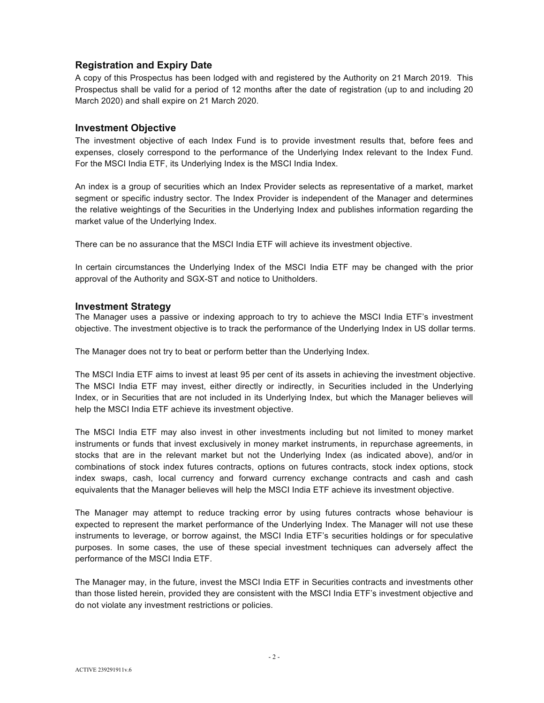# **Registration and Expiry Date**

A copy of this Prospectus has been lodged with and registered by the Authority on 21 March 2019. This Prospectus shall be valid for a period of 12 months after the date of registration (up to and including 20 March 2020) and shall expire on 21 March 2020.

## **Investment Objective**

The investment objective of each Index Fund is to provide investment results that, before fees and expenses, closely correspond to the performance of the Underlying Index relevant to the Index Fund. For the MSCI India ETF, its Underlying Index is the MSCI India Index.

An index is a group of securities which an Index Provider selects as representative of a market, market segment or specific industry sector. The Index Provider is independent of the Manager and determines the relative weightings of the Securities in the Underlying Index and publishes information regarding the market value of the Underlying Index.

There can be no assurance that the MSCI India ETF will achieve its investment objective.

In certain circumstances the Underlying Index of the MSCI India ETF may be changed with the prior approval of the Authority and SGX-ST and notice to Unitholders.

#### **Investment Strategy**

The Manager uses a passive or indexing approach to try to achieve the MSCI India ETF's investment objective. The investment objective is to track the performance of the Underlying Index in US dollar terms.

The Manager does not try to beat or perform better than the Underlying Index.

The MSCI India ETF aims to invest at least 95 per cent of its assets in achieving the investment objective. The MSCI India ETF may invest, either directly or indirectly, in Securities included in the Underlying Index, or in Securities that are not included in its Underlying Index, but which the Manager believes will help the MSCI India ETF achieve its investment objective.

The MSCI India ETF may also invest in other investments including but not limited to money market instruments or funds that invest exclusively in money market instruments, in repurchase agreements, in stocks that are in the relevant market but not the Underlying Index (as indicated above), and/or in combinations of stock index futures contracts, options on futures contracts, stock index options, stock index swaps, cash, local currency and forward currency exchange contracts and cash and cash equivalents that the Manager believes will help the MSCI India ETF achieve its investment objective.

The Manager may attempt to reduce tracking error by using futures contracts whose behaviour is expected to represent the market performance of the Underlying Index. The Manager will not use these instruments to leverage, or borrow against, the MSCI India ETF's securities holdings or for speculative purposes. In some cases, the use of these special investment techniques can adversely affect the performance of the MSCI India ETF.

The Manager may, in the future, invest the MSCI India ETF in Securities contracts and investments other than those listed herein, provided they are consistent with the MSCI India ETF's investment objective and do not violate any investment restrictions or policies.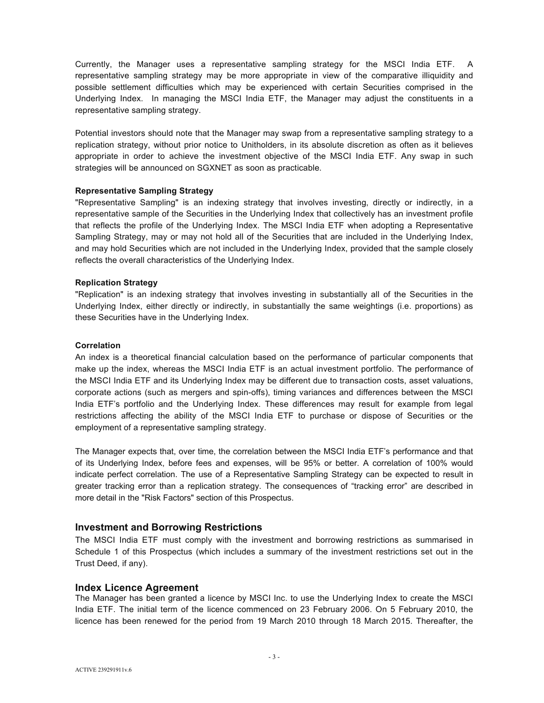Currently, the Manager uses a representative sampling strategy for the MSCI India ETF. A representative sampling strategy may be more appropriate in view of the comparative illiquidity and possible settlement difficulties which may be experienced with certain Securities comprised in the Underlying Index. In managing the MSCI India ETF, the Manager may adjust the constituents in a representative sampling strategy.

Potential investors should note that the Manager may swap from a representative sampling strategy to a replication strategy, without prior notice to Unitholders, in its absolute discretion as often as it believes appropriate in order to achieve the investment objective of the MSCI India ETF. Any swap in such strategies will be announced on SGXNET as soon as practicable.

#### **Representative Sampling Strategy**

"Representative Sampling" is an indexing strategy that involves investing, directly or indirectly, in a representative sample of the Securities in the Underlying Index that collectively has an investment profile that reflects the profile of the Underlying Index. The MSCI India ETF when adopting a Representative Sampling Strategy, may or may not hold all of the Securities that are included in the Underlying Index, and may hold Securities which are not included in the Underlying Index, provided that the sample closely reflects the overall characteristics of the Underlying Index.

#### **Replication Strategy**

"Replication" is an indexing strategy that involves investing in substantially all of the Securities in the Underlying Index, either directly or indirectly, in substantially the same weightings (i.e. proportions) as these Securities have in the Underlying Index.

#### **Correlation**

An index is a theoretical financial calculation based on the performance of particular components that make up the index, whereas the MSCI India ETF is an actual investment portfolio. The performance of the MSCI India ETF and its Underlying Index may be different due to transaction costs, asset valuations, corporate actions (such as mergers and spin-offs), timing variances and differences between the MSCI India ETF's portfolio and the Underlying Index. These differences may result for example from legal restrictions affecting the ability of the MSCI India ETF to purchase or dispose of Securities or the employment of a representative sampling strategy.

The Manager expects that, over time, the correlation between the MSCI India ETF's performance and that of its Underlying Index, before fees and expenses, will be 95% or better. A correlation of 100% would indicate perfect correlation. The use of a Representative Sampling Strategy can be expected to result in greater tracking error than a replication strategy. The consequences of "tracking error" are described in more detail in the "Risk Factors" section of this Prospectus.

#### **Investment and Borrowing Restrictions**

The MSCI India ETF must comply with the investment and borrowing restrictions as summarised in Schedule 1 of this Prospectus (which includes a summary of the investment restrictions set out in the Trust Deed, if any).

#### **Index Licence Agreement**

The Manager has been granted a licence by MSCI Inc. to use the Underlying Index to create the MSCI India ETF. The initial term of the licence commenced on 23 February 2006. On 5 February 2010, the licence has been renewed for the period from 19 March 2010 through 18 March 2015. Thereafter, the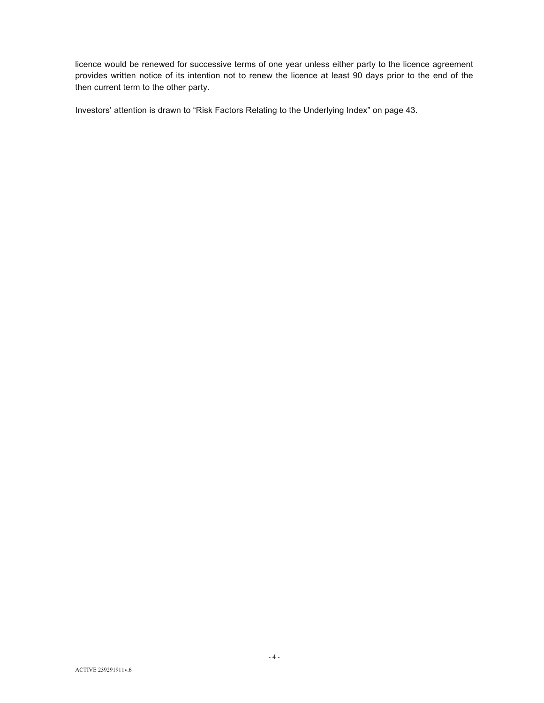licence would be renewed for successive terms of one year unless either party to the licence agreement provides written notice of its intention not to renew the licence at least 90 days prior to the end of the then current term to the other party.

Investors' attention is drawn to "Risk Factors Relating to the Underlying Index" on page 43.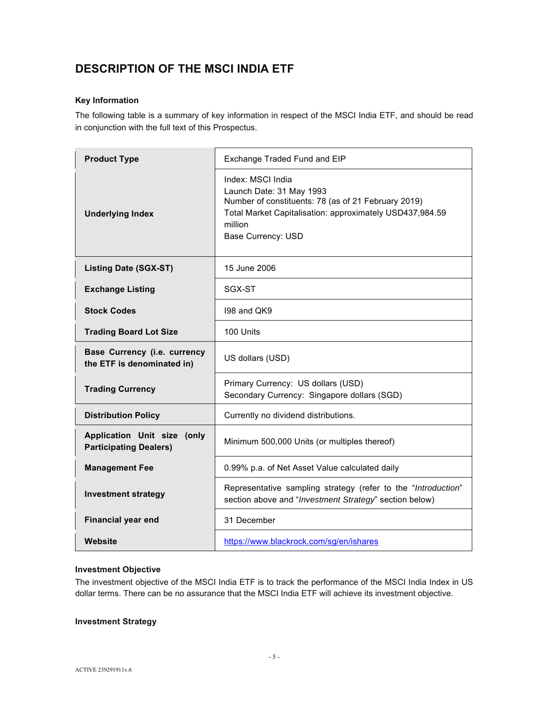# **DESCRIPTION OF THE MSCI INDIA ETF**

### **Key Information**

The following table is a summary of key information in respect of the MSCI India ETF, and should be read in conjunction with the full text of this Prospectus.

| <b>Product Type</b>                                          | Exchange Traded Fund and EIP                                                                                                                                                                      |  |
|--------------------------------------------------------------|---------------------------------------------------------------------------------------------------------------------------------------------------------------------------------------------------|--|
| <b>Underlying Index</b>                                      | Index: MSCI India<br>Launch Date: 31 May 1993<br>Number of constituents: 78 (as of 21 February 2019)<br>Total Market Capitalisation: approximately USD437,984.59<br>million<br>Base Currency: USD |  |
| <b>Listing Date (SGX-ST)</b>                                 | 15 June 2006                                                                                                                                                                                      |  |
| <b>Exchange Listing</b>                                      | SGX-ST                                                                                                                                                                                            |  |
| <b>Stock Codes</b>                                           | 198 and QK9                                                                                                                                                                                       |  |
| <b>Trading Board Lot Size</b>                                | 100 Units                                                                                                                                                                                         |  |
| Base Currency (i.e. currency<br>the ETF is denominated in)   | US dollars (USD)                                                                                                                                                                                  |  |
| <b>Trading Currency</b>                                      | Primary Currency: US dollars (USD)<br>Secondary Currency: Singapore dollars (SGD)                                                                                                                 |  |
| <b>Distribution Policy</b>                                   | Currently no dividend distributions.                                                                                                                                                              |  |
| Application Unit size (only<br><b>Participating Dealers)</b> | Minimum 500,000 Units (or multiples thereof)                                                                                                                                                      |  |
| <b>Management Fee</b>                                        | 0.99% p.a. of Net Asset Value calculated daily                                                                                                                                                    |  |
| <b>Investment strategy</b>                                   | Representative sampling strategy (refer to the "Introduction"<br>section above and "Investment Strategy" section below)                                                                           |  |
| <b>Financial year end</b>                                    | 31 December                                                                                                                                                                                       |  |
| Website                                                      | https://www.blackrock.com/sg/en/ishares                                                                                                                                                           |  |

#### **Investment Objective**

The investment objective of the MSCI India ETF is to track the performance of the MSCI India Index in US dollar terms. There can be no assurance that the MSCI India ETF will achieve its investment objective.

### **Investment Strategy**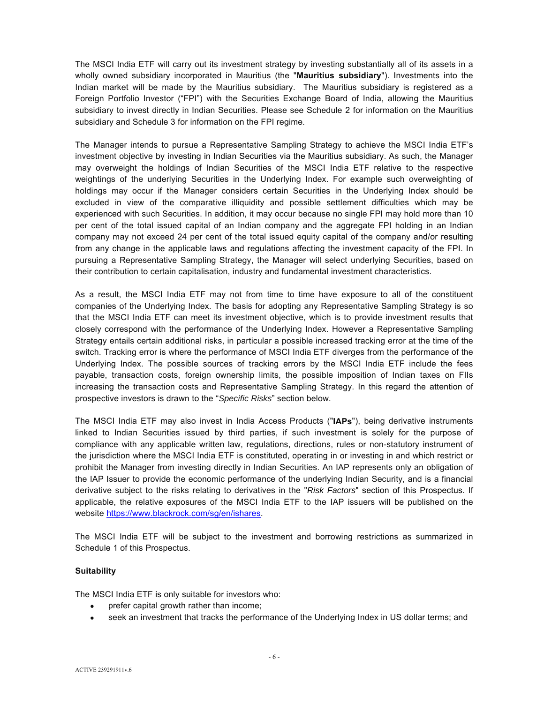The MSCI India ETF will carry out its investment strategy by investing substantially all of its assets in a wholly owned subsidiary incorporated in Mauritius (the "**Mauritius subsidiary**"). Investments into the Indian market will be made by the Mauritius subsidiary. The Mauritius subsidiary is registered as a Foreign Portfolio Investor ("FPI") with the Securities Exchange Board of India, allowing the Mauritius subsidiary to invest directly in Indian Securities. Please see Schedule 2 for information on the Mauritius subsidiary and Schedule 3 for information on the FPI regime.

The Manager intends to pursue a Representative Sampling Strategy to achieve the MSCI India ETF's investment objective by investing in Indian Securities via the Mauritius subsidiary. As such, the Manager may overweight the holdings of Indian Securities of the MSCI India ETF relative to the respective weightings of the underlying Securities in the Underlying Index. For example such overweighting of holdings may occur if the Manager considers certain Securities in the Underlying Index should be excluded in view of the comparative illiquidity and possible settlement difficulties which may be experienced with such Securities. In addition, it may occur because no single FPI may hold more than 10 per cent of the total issued capital of an Indian company and the aggregate FPI holding in an Indian company may not exceed 24 per cent of the total issued equity capital of the company and/or resulting from any change in the applicable laws and regulations affecting the investment capacity of the FPI. In pursuing a Representative Sampling Strategy, the Manager will select underlying Securities, based on their contribution to certain capitalisation, industry and fundamental investment characteristics.

As a result, the MSCI India ETF may not from time to time have exposure to all of the constituent companies of the Underlying Index. The basis for adopting any Representative Sampling Strategy is so that the MSCI India ETF can meet its investment objective, which is to provide investment results that closely correspond with the performance of the Underlying Index. However a Representative Sampling Strategy entails certain additional risks, in particular a possible increased tracking error at the time of the switch. Tracking error is where the performance of MSCI India ETF diverges from the performance of the Underlying Index. The possible sources of tracking errors by the MSCI India ETF include the fees payable, transaction costs, foreign ownership limits, the possible imposition of Indian taxes on FIIs increasing the transaction costs and Representative Sampling Strategy. In this regard the attention of prospective investors is drawn to the "*Specific Risks*" section below.

The MSCI India ETF may also invest in India Access Products ("**IAPs**"), being derivative instruments linked to Indian Securities issued by third parties, if such investment is solely for the purpose of compliance with any applicable written law, regulations, directions, rules or non-statutory instrument of the jurisdiction where the MSCI India ETF is constituted, operating in or investing in and which restrict or prohibit the Manager from investing directly in Indian Securities. An IAP represents only an obligation of the IAP Issuer to provide the economic performance of the underlying Indian Security, and is a financial derivative subject to the risks relating to derivatives in the "*Risk Factors*" section of this Prospectus. If applicable, the relative exposures of the MSCI India ETF to the IAP issuers will be published on the website https://www.blackrock.com/sg/en/ishares.

The MSCI India ETF will be subject to the investment and borrowing restrictions as summarized in Schedule 1 of this Prospectus.

#### **Suitability**

The MSCI India ETF is only suitable for investors who:

- prefer capital growth rather than income;
- seek an investment that tracks the performance of the Underlying Index in US dollar terms; and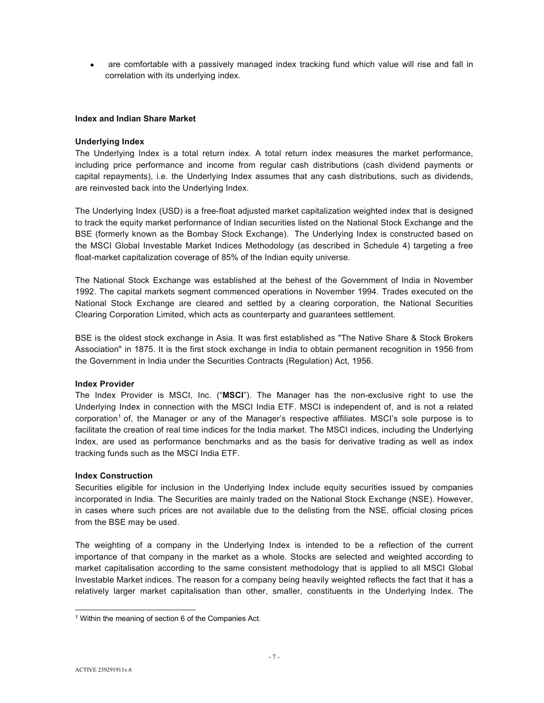• are comfortable with a passively managed index tracking fund which value will rise and fall in correlation with its underlying index.

#### **Index and Indian Share Market**

#### **Underlying Index**

The Underlying Index is a total return index. A total return index measures the market performance, including price performance and income from regular cash distributions (cash dividend payments or capital repayments), i.e. the Underlying Index assumes that any cash distributions, such as dividends, are reinvested back into the Underlying Index.

The Underlying Index (USD) is a free-float adjusted market capitalization weighted index that is designed to track the equity market performance of Indian securities listed on the National Stock Exchange and the BSE (formerly known as the Bombay Stock Exchange). The Underlying Index is constructed based on the MSCI Global Investable Market Indices Methodology (as described in Schedule 4) targeting a free float-market capitalization coverage of 85% of the Indian equity universe.

The National Stock Exchange was established at the behest of the Government of India in November 1992. The capital markets segment commenced operations in November 1994. Trades executed on the National Stock Exchange are cleared and settled by a clearing corporation, the National Securities Clearing Corporation Limited, which acts as counterparty and guarantees settlement.

BSE is the oldest stock exchange in Asia. It was first established as "The Native Share & Stock Brokers Association" in 1875. It is the first stock exchange in India to obtain permanent recognition in 1956 from the Government in India under the Securities Contracts (Regulation) Act, 1956.

#### **Index Provider**

The Index Provider is MSCI, Inc. ("**MSCI**"). The Manager has the non-exclusive right to use the Underlying Index in connection with the MSCI India ETF. MSCI is independent of, and is not a related corporation1 of, the Manager or any of the Manager's respective affiliates. MSCI's sole purpose is to facilitate the creation of real time indices for the India market. The MSCI indices, including the Underlying Index, are used as performance benchmarks and as the basis for derivative trading as well as index tracking funds such as the MSCI India ETF.

#### **Index Construction**

Securities eligible for inclusion in the Underlying Index include equity securities issued by companies incorporated in India. The Securities are mainly traded on the National Stock Exchange (NSE). However, in cases where such prices are not available due to the delisting from the NSE, official closing prices from the BSE may be used.

The weighting of a company in the Underlying Index is intended to be a reflection of the current importance of that company in the market as a whole. Stocks are selected and weighted according to market capitalisation according to the same consistent methodology that is applied to all MSCI Global Investable Market indices. The reason for a company being heavily weighted reflects the fact that it has a relatively larger market capitalisation than other, smaller, constituents in the Underlying Index. The

l 1 Within the meaning of section 6 of the Companies Act.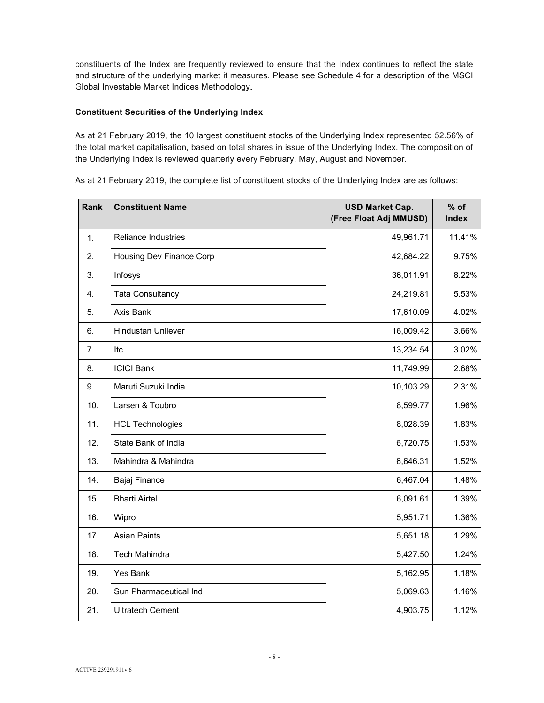constituents of the Index are frequently reviewed to ensure that the Index continues to reflect the state and structure of the underlying market it measures. Please see Schedule 4 for a description of the MSCI Global Investable Market Indices Methodology**.** 

#### **Constituent Securities of the Underlying Index**

As at 21 February 2019, the 10 largest constituent stocks of the Underlying Index represented 52.56% of the total market capitalisation, based on total shares in issue of the Underlying Index. The composition of the Underlying Index is reviewed quarterly every February, May, August and November.

As at 21 February 2019, the complete list of constituent stocks of the Underlying Index are as follows:

| Rank | <b>Constituent Name</b>    | <b>USD Market Cap.</b><br>(Free Float Adj MMUSD) | $%$ of<br><b>Index</b> |
|------|----------------------------|--------------------------------------------------|------------------------|
| 1.   | <b>Reliance Industries</b> | 49,961.71                                        | 11.41%                 |
| 2.   | Housing Dev Finance Corp   | 42,684.22                                        | 9.75%                  |
| 3.   | Infosys                    | 36,011.91                                        | 8.22%                  |
| 4.   | <b>Tata Consultancy</b>    | 24,219.81                                        | 5.53%                  |
| 5.   | Axis Bank                  | 17,610.09                                        | 4.02%                  |
| 6.   | <b>Hindustan Unilever</b>  | 16,009.42                                        | 3.66%                  |
| 7.   | Itc                        | 13,234.54                                        | 3.02%                  |
| 8.   | <b>ICICI Bank</b>          | 11,749.99                                        | 2.68%                  |
| 9.   | Maruti Suzuki India        | 10,103.29                                        | 2.31%                  |
| 10.  | Larsen & Toubro            | 8,599.77                                         | 1.96%                  |
| 11.  | <b>HCL Technologies</b>    | 8,028.39                                         | 1.83%                  |
| 12.  | State Bank of India        | 6,720.75                                         | 1.53%                  |
| 13.  | Mahindra & Mahindra        | 6,646.31                                         | 1.52%                  |
| 14.  | Bajaj Finance              | 6,467.04                                         | 1.48%                  |
| 15.  | <b>Bharti Airtel</b>       | 6,091.61                                         | 1.39%                  |
| 16.  | Wipro                      | 5,951.71                                         | 1.36%                  |
| 17.  | <b>Asian Paints</b>        | 5,651.18                                         | 1.29%                  |
| 18.  | <b>Tech Mahindra</b>       | 5,427.50                                         | 1.24%                  |
| 19.  | <b>Yes Bank</b>            | 5,162.95                                         | 1.18%                  |
| 20.  | Sun Pharmaceutical Ind     | 5,069.63                                         | 1.16%                  |
| 21.  | <b>Ultratech Cement</b>    | 4,903.75                                         | 1.12%                  |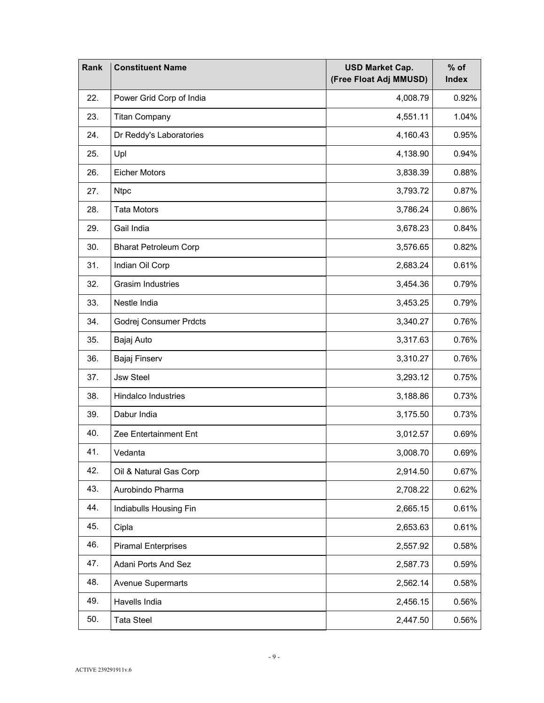| Rank | <b>Constituent Name</b>      | <b>USD Market Cap.</b><br>(Free Float Adj MMUSD) | $%$ of<br><b>Index</b> |
|------|------------------------------|--------------------------------------------------|------------------------|
| 22.  | Power Grid Corp of India     | 4,008.79                                         | 0.92%                  |
| 23.  | <b>Titan Company</b>         | 4,551.11                                         | 1.04%                  |
| 24.  | Dr Reddy's Laboratories      | 4,160.43                                         | 0.95%                  |
| 25.  | Upl                          | 4,138.90                                         | 0.94%                  |
| 26.  | <b>Eicher Motors</b>         | 3,838.39                                         | 0.88%                  |
| 27.  | <b>Ntpc</b>                  | 3,793.72                                         | 0.87%                  |
| 28.  | <b>Tata Motors</b>           | 3,786.24                                         | 0.86%                  |
| 29.  | Gail India                   | 3,678.23                                         | 0.84%                  |
| 30.  | <b>Bharat Petroleum Corp</b> | 3,576.65                                         | 0.82%                  |
| 31.  | Indian Oil Corp              | 2,683.24                                         | 0.61%                  |
| 32.  | <b>Grasim Industries</b>     | 3,454.36                                         | 0.79%                  |
| 33.  | Nestle India                 | 3,453.25                                         | 0.79%                  |
| 34.  | Godrej Consumer Prdcts       | 3,340.27                                         | 0.76%                  |
| 35.  | Bajaj Auto                   | 3,317.63                                         | 0.76%                  |
| 36.  | Bajaj Finserv                | 3,310.27                                         | 0.76%                  |
| 37.  | <b>Jsw Steel</b>             | 3,293.12                                         | 0.75%                  |
| 38.  | <b>Hindalco Industries</b>   | 3,188.86                                         | 0.73%                  |
| 39.  | Dabur India                  | 3,175.50                                         | 0.73%                  |
| 40.  | Zee Entertainment Ent        | 3,012.57                                         | 0.69%                  |
| 41.  | Vedanta                      | 3,008.70                                         | 0.69%                  |
| 42.  | Oil & Natural Gas Corp       | 2,914.50                                         | 0.67%                  |
| 43.  | Aurobindo Pharma             | 2,708.22                                         | 0.62%                  |
| 44.  | Indiabulls Housing Fin       | 0.61%<br>2,665.15                                |                        |
| 45.  | Cipla                        | 0.61%<br>2,653.63                                |                        |
| 46.  | <b>Piramal Enterprises</b>   | 2,557.92                                         | 0.58%                  |
| 47.  | Adani Ports And Sez          | 2,587.73<br>0.59%                                |                        |
| 48.  | <b>Avenue Supermarts</b>     | 2,562.14<br>0.58%                                |                        |
| 49.  | Havells India                | 2,456.15<br>0.56%                                |                        |
| 50.  | <b>Tata Steel</b>            | 2,447.50                                         | 0.56%                  |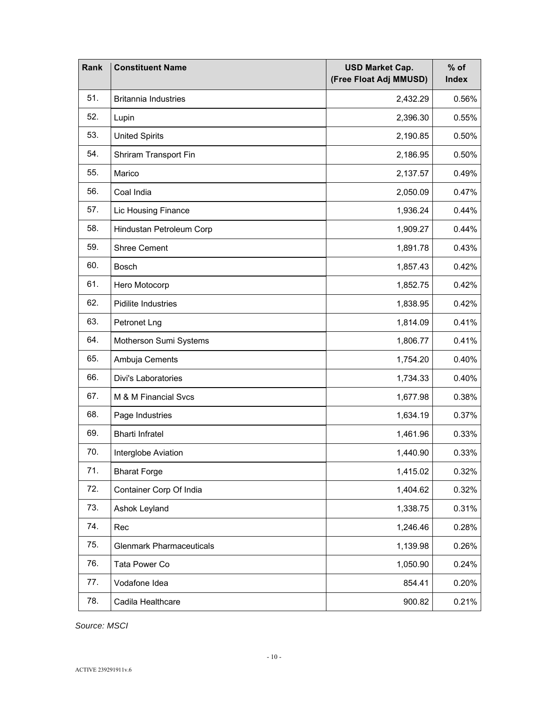| Rank | <b>Constituent Name</b>         | <b>USD Market Cap.</b><br>(Free Float Adj MMUSD) | $%$ of<br><b>Index</b> |
|------|---------------------------------|--------------------------------------------------|------------------------|
| 51.  | <b>Britannia Industries</b>     | 2,432.29                                         | 0.56%                  |
| 52.  | Lupin                           | 2,396.30                                         | 0.55%                  |
| 53.  | <b>United Spirits</b>           | 2,190.85                                         | 0.50%                  |
| 54.  | Shriram Transport Fin           | 2,186.95                                         | 0.50%                  |
| 55.  | Marico                          | 2,137.57                                         | 0.49%                  |
| 56.  | Coal India                      | 2,050.09                                         | 0.47%                  |
| 57.  | Lic Housing Finance             | 1,936.24                                         | 0.44%                  |
| 58.  | Hindustan Petroleum Corp        | 1,909.27                                         | 0.44%                  |
| 59.  | <b>Shree Cement</b>             | 1,891.78                                         | 0.43%                  |
| 60.  | <b>Bosch</b>                    | 1,857.43                                         | 0.42%                  |
| 61.  | Hero Motocorp                   | 1,852.75                                         | 0.42%                  |
| 62.  | Pidilite Industries             | 1,838.95                                         | 0.42%                  |
| 63.  | Petronet Lng                    | 1,814.09                                         | 0.41%                  |
| 64.  | Motherson Sumi Systems          | 1,806.77                                         | 0.41%                  |
| 65.  | Ambuja Cements                  | 1,754.20                                         | 0.40%                  |
| 66.  | Divi's Laboratories             | 1,734.33                                         | 0.40%                  |
| 67.  | M & M Financial Svcs            | 1,677.98                                         | 0.38%                  |
| 68.  | Page Industries                 | 1,634.19                                         | 0.37%                  |
| 69.  | <b>Bharti Infratel</b>          | 1,461.96                                         | 0.33%                  |
| 70.  | Interglobe Aviation             | 1,440.90                                         | 0.33%                  |
| 71.  | <b>Bharat Forge</b>             | 1,415.02                                         | 0.32%                  |
| 72.  | Container Corp Of India         | 1,404.62<br>0.32%                                |                        |
| 73.  | Ashok Leyland                   | 1,338.75<br>0.31%                                |                        |
| 74.  | Rec                             | 1,246.46<br>0.28%                                |                        |
| 75.  | <b>Glenmark Pharmaceuticals</b> | 1,139.98<br>0.26%                                |                        |
| 76.  | Tata Power Co                   | 1,050.90<br>0.24%                                |                        |
| 77.  | Vodafone Idea                   | 0.20%<br>854.41                                  |                        |
| 78.  | Cadila Healthcare               | 900.82                                           | 0.21%                  |

*Source: MSCI*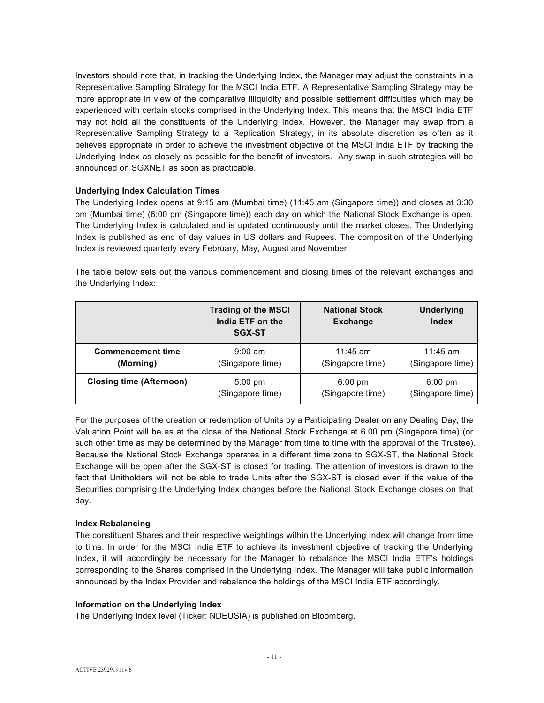Investors should note that, in tracking the Underlying Index, the Manager may adjust the constraints in a Representative Sampling Strategy for the MSCI India ETF. A Representative Sampling Strategy may be more appropriate in view of the comparative illiquidity and possible settlement difficulties which may be experienced with certain stocks comprised in the Underlying Index. This means that the MSCI India ETF may not hold all the constituents of the Underlying Index. However, the Manager may swap from a Representative Sampling Strategy to a Replication Strategy, in its absolute discretion as often as it believes appropriate in order to achieve the investment objective of the MSCI India ETF by tracking the Underlying Index as closely as possible for the benefit of investors. Any swap in such strategies will be announced on SGXNET as soon as practicable.

#### **Underlying Index Calculation Times**

The Underlying Index opens at 9:15 am (Mumbai time) (11:45 am (Singapore time)) and closes at 3:30 pm (Mumbai time) (6:00 pm (Singapore time)) each day on which the National Stock Exchange is open. The Underlying Index is calculated and is updated continuously until the market closes. The Underlying Index is published as end of day values in US dollars and Rupees. The composition of the Underlying Index is reviewed quarterly every February, May, August and November.

The table below sets out the various commencement and closing times of the relevant exchanges and the Underlying Index:

|                                 | <b>Trading of the MSCI</b><br>India ETF on the<br><b>SGX-ST</b> | <b>National Stock</b><br><b>Exchange</b> | <b>Underlying</b><br><b>Index</b> |
|---------------------------------|-----------------------------------------------------------------|------------------------------------------|-----------------------------------|
| <b>Commencement time</b>        | $9:00$ am                                                       | $11:45$ am                               | $11:45$ am                        |
| (Morning)                       | (Singapore time)                                                | (Singapore time)                         | (Singapore time)                  |
| <b>Closing time (Afternoon)</b> | $5:00$ pm                                                       | $6:00 \text{ pm}$                        | $6:00 \text{ pm}$                 |
|                                 | (Singapore time)                                                | (Singapore time)                         | (Singapore time)                  |

For the purposes of the creation or redemption of Units by a Participating Dealer on any Dealing Day, the Valuation Point will be as at the close of the National Stock Exchange at 6.00 pm (Singapore time) (or such other time as may be determined by the Manager from time to time with the approval of the Trustee). Because the National Stock Exchange operates in a different time zone to SGX-ST, the National Stock Exchange will be open after the SGX-ST is closed for trading. The attention of investors is drawn to the fact that Unitholders will not be able to trade Units after the SGX-ST is closed even if the value of the Securities comprising the Underlying Index changes before the National Stock Exchange closes on that day.

#### **Index Rebalancing**

The constituent Shares and their respective weightings within the Underlying Index will change from time to time. In order for the MSCI India ETF to achieve its investment objective of tracking the Underlying Index, it will accordingly be necessary for the Manager to rebalance the MSCI India ETF's holdings corresponding to the Shares comprised in the Underlying Index. The Manager will take public information announced by the Index Provider and rebalance the holdings of the MSCI India ETF accordingly.

#### **Information on the Underlying Index**

The Underlying Index level (Ticker: NDEUSIA) is published on Bloomberg.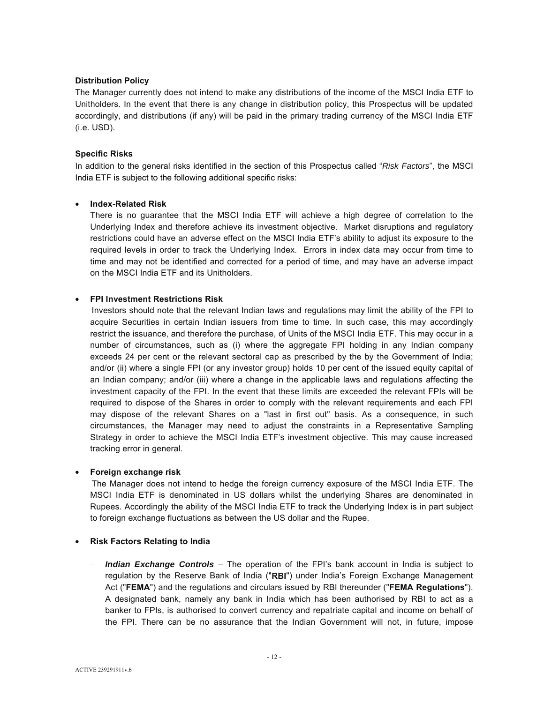#### **Distribution Policy**

The Manager currently does not intend to make any distributions of the income of the MSCI India ETF to Unitholders. In the event that there is any change in distribution policy, this Prospectus will be updated accordingly, and distributions (if any) will be paid in the primary trading currency of the MSCI India ETF (i.e. USD).

#### **Specific Risks**

In addition to the general risks identified in the section of this Prospectus called "*Risk Factors*", the MSCI India ETF is subject to the following additional specific risks:

#### • **Index-Related Risk**

There is no guarantee that the MSCI India ETF will achieve a high degree of correlation to the Underlying Index and therefore achieve its investment objective. Market disruptions and regulatory restrictions could have an adverse effect on the MSCI India ETF's ability to adjust its exposure to the required levels in order to track the Underlying Index. Errors in index data may occur from time to time and may not be identified and corrected for a period of time, and may have an adverse impact on the MSCI India ETF and its Unitholders.

#### • **FPI Investment Restrictions Risk**

 Investors should note that the relevant Indian laws and regulations may limit the ability of the FPI to acquire Securities in certain Indian issuers from time to time. In such case, this may accordingly restrict the issuance, and therefore the purchase, of Units of the MSCI India ETF. This may occur in a number of circumstances, such as (i) where the aggregate FPI holding in any Indian company exceeds 24 per cent or the relevant sectoral cap as prescribed by the by the Government of India; and/or (ii) where a single FPI (or any investor group) holds 10 per cent of the issued equity capital of an Indian company; and/or (iii) where a change in the applicable laws and regulations affecting the investment capacity of the FPI. In the event that these limits are exceeded the relevant FPIs will be required to dispose of the Shares in order to comply with the relevant requirements and each FPI may dispose of the relevant Shares on a "last in first out" basis. As a consequence, in such circumstances, the Manager may need to adjust the constraints in a Representative Sampling Strategy in order to achieve the MSCI India ETF's investment objective. This may cause increased tracking error in general.

#### • **Foreign exchange risk**

 The Manager does not intend to hedge the foreign currency exposure of the MSCI India ETF. The MSCI India ETF is denominated in US dollars whilst the underlying Shares are denominated in Rupees. Accordingly the ability of the MSCI India ETF to track the Underlying Index is in part subject to foreign exchange fluctuations as between the US dollar and the Rupee.

#### • **Risk Factors Relating to India**

- *Indian Exchange Controls* – The operation of the FPI's bank account in India is subject to regulation by the Reserve Bank of India ("**RBI**") under India's Foreign Exchange Management Act ("**FEMA**") and the regulations and circulars issued by RBI thereunder ("**FEMA Regulations**"). A designated bank, namely any bank in India which has been authorised by RBI to act as a banker to FPIs, is authorised to convert currency and repatriate capital and income on behalf of the FPI. There can be no assurance that the Indian Government will not, in future, impose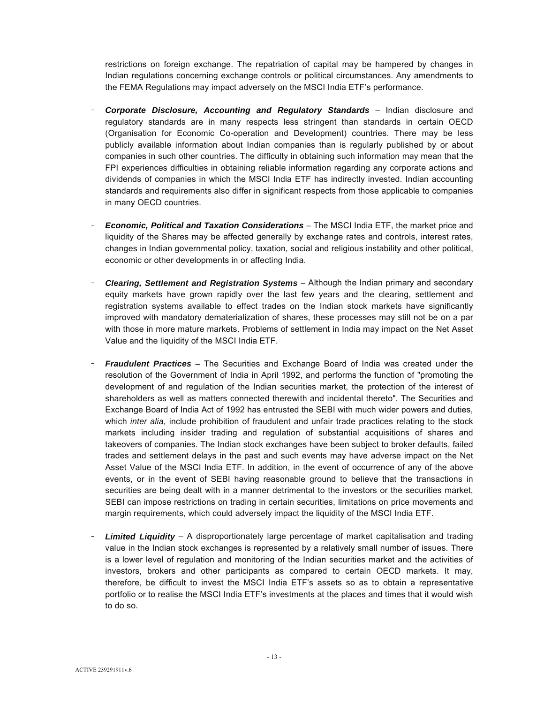restrictions on foreign exchange. The repatriation of capital may be hampered by changes in Indian regulations concerning exchange controls or political circumstances. Any amendments to the FEMA Regulations may impact adversely on the MSCI India ETF's performance.

- **Corporate Disclosure, Accounting and Regulatory Standards** Indian disclosure and regulatory standards are in many respects less stringent than standards in certain OECD (Organisation for Economic Co-operation and Development) countries. There may be less publicly available information about Indian companies than is regularly published by or about companies in such other countries. The difficulty in obtaining such information may mean that the FPI experiences difficulties in obtaining reliable information regarding any corporate actions and dividends of companies in which the MSCI India ETF has indirectly invested. Indian accounting standards and requirements also differ in significant respects from those applicable to companies in many OECD countries.
- *Economic, Political and Taxation Considerations*  The MSCI India ETF, the market price and liquidity of the Shares may be affected generally by exchange rates and controls, interest rates, changes in Indian governmental policy, taxation, social and religious instability and other political, economic or other developments in or affecting India.
- **Clearing, Settlement and Registration Systems** Although the Indian primary and secondary equity markets have grown rapidly over the last few years and the clearing, settlement and registration systems available to effect trades on the Indian stock markets have significantly improved with mandatory dematerialization of shares, these processes may still not be on a par with those in more mature markets. Problems of settlement in India may impact on the Net Asset Value and the liquidity of the MSCI India ETF.
- *Fraudulent Practices* The Securities and Exchange Board of India was created under the resolution of the Government of India in April 1992, and performs the function of "promoting the development of and regulation of the Indian securities market, the protection of the interest of shareholders as well as matters connected therewith and incidental thereto". The Securities and Exchange Board of India Act of 1992 has entrusted the SEBI with much wider powers and duties, which *inter alia*, include prohibition of fraudulent and unfair trade practices relating to the stock markets including insider trading and regulation of substantial acquisitions of shares and takeovers of companies. The Indian stock exchanges have been subject to broker defaults, failed trades and settlement delays in the past and such events may have adverse impact on the Net Asset Value of the MSCI India ETF. In addition, in the event of occurrence of any of the above events, or in the event of SEBI having reasonable ground to believe that the transactions in securities are being dealt with in a manner detrimental to the investors or the securities market, SEBI can impose restrictions on trading in certain securities, limitations on price movements and margin requirements, which could adversely impact the liquidity of the MSCI India ETF.
- **Limited Liquidity** A disproportionately large percentage of market capitalisation and trading value in the Indian stock exchanges is represented by a relatively small number of issues. There is a lower level of regulation and monitoring of the Indian securities market and the activities of investors, brokers and other participants as compared to certain OECD markets. It may, therefore, be difficult to invest the MSCI India ETF's assets so as to obtain a representative portfolio or to realise the MSCI India ETF's investments at the places and times that it would wish to do so.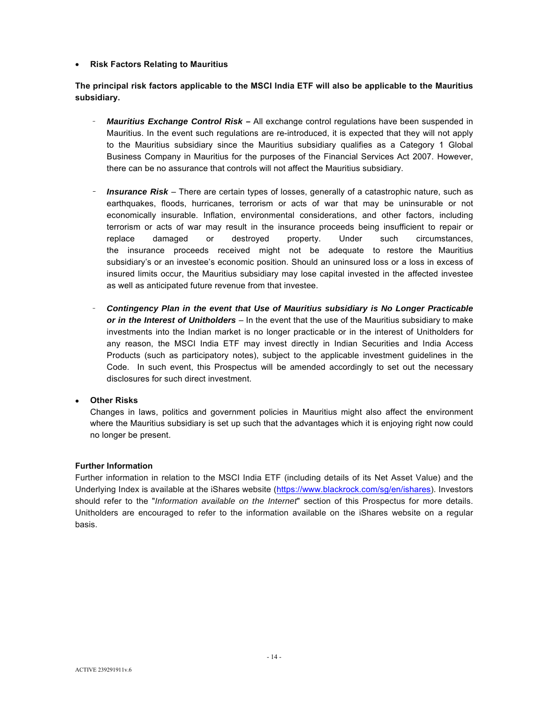#### • **Risk Factors Relating to Mauritius**

**The principal risk factors applicable to the MSCI India ETF will also be applicable to the Mauritius subsidiary.**

- **Mauritius Exchange Control Risk –** All exchange control regulations have been suspended in Mauritius. In the event such regulations are re-introduced, it is expected that they will not apply to the Mauritius subsidiary since the Mauritius subsidiary qualifies as a Category 1 Global Business Company in Mauritius for the purposes of the Financial Services Act 2007. However, there can be no assurance that controls will not affect the Mauritius subsidiary.
- **Insurance Risk** There are certain types of losses, generally of a catastrophic nature, such as earthquakes, floods, hurricanes, terrorism or acts of war that may be uninsurable or not economically insurable. Inflation, environmental considerations, and other factors, including terrorism or acts of war may result in the insurance proceeds being insufficient to repair or replace damaged or destroyed property. Under such circumstances, the insurance proceeds received might not be adequate to restore the Mauritius subsidiary's or an investee's economic position. Should an uninsured loss or a loss in excess of insured limits occur, the Mauritius subsidiary may lose capital invested in the affected investee as well as anticipated future revenue from that investee.
- *Contingency Plan in the event that Use of Mauritius subsidiary is No Longer Practicable or in the Interest of Unitholders* – In the event that the use of the Mauritius subsidiary to make investments into the Indian market is no longer practicable or in the interest of Unitholders for any reason, the MSCI India ETF may invest directly in Indian Securities and India Access Products (such as participatory notes), subject to the applicable investment guidelines in the Code. In such event, this Prospectus will be amended accordingly to set out the necessary disclosures for such direct investment.

#### • **Other Risks**

Changes in laws, politics and government policies in Mauritius might also affect the environment where the Mauritius subsidiary is set up such that the advantages which it is enjoying right now could no longer be present.

#### **Further Information**

Further information in relation to the MSCI India ETF (including details of its Net Asset Value) and the Underlying Index is available at the iShares website (https://www.blackrock.com/sg/en/ishares). Investors should refer to the "*Information available on the Internet*" section of this Prospectus for more details. Unitholders are encouraged to refer to the information available on the iShares website on a regular basis.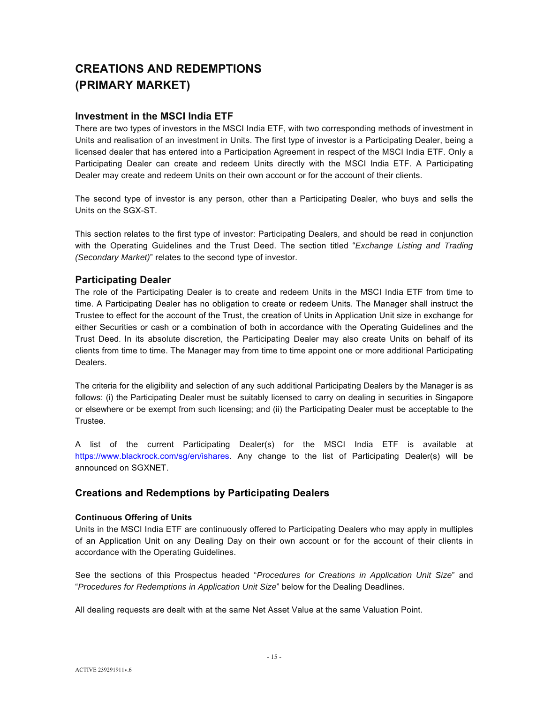# **CREATIONS AND REDEMPTIONS (PRIMARY MARKET)**

## **Investment in the MSCI India ETF**

There are two types of investors in the MSCI India ETF, with two corresponding methods of investment in Units and realisation of an investment in Units. The first type of investor is a Participating Dealer, being a licensed dealer that has entered into a Participation Agreement in respect of the MSCI India ETF. Only a Participating Dealer can create and redeem Units directly with the MSCI India ETF. A Participating Dealer may create and redeem Units on their own account or for the account of their clients.

The second type of investor is any person, other than a Participating Dealer, who buys and sells the Units on the SGX-ST.

This section relates to the first type of investor: Participating Dealers, and should be read in conjunction with the Operating Guidelines and the Trust Deed. The section titled "*Exchange Listing and Trading (Secondary Market)*" relates to the second type of investor.

# **Participating Dealer**

The role of the Participating Dealer is to create and redeem Units in the MSCI India ETF from time to time. A Participating Dealer has no obligation to create or redeem Units. The Manager shall instruct the Trustee to effect for the account of the Trust, the creation of Units in Application Unit size in exchange for either Securities or cash or a combination of both in accordance with the Operating Guidelines and the Trust Deed. In its absolute discretion, the Participating Dealer may also create Units on behalf of its clients from time to time. The Manager may from time to time appoint one or more additional Participating Dealers.

The criteria for the eligibility and selection of any such additional Participating Dealers by the Manager is as follows: (i) the Participating Dealer must be suitably licensed to carry on dealing in securities in Singapore or elsewhere or be exempt from such licensing; and (ii) the Participating Dealer must be acceptable to the Trustee.

A list of the current Participating Dealer(s) for the MSCI India ETF is available at https://www.blackrock.com/sg/en/ishares. Any change to the list of Participating Dealer(s) will be announced on SGXNET.

# **Creations and Redemptions by Participating Dealers**

## **Continuous Offering of Units**

Units in the MSCI India ETF are continuously offered to Participating Dealers who may apply in multiples of an Application Unit on any Dealing Day on their own account or for the account of their clients in accordance with the Operating Guidelines.

See the sections of this Prospectus headed "*Procedures for Creations in Application Unit Size*" and "*Procedures for Redemptions in Application Unit Size*" below for the Dealing Deadlines.

All dealing requests are dealt with at the same Net Asset Value at the same Valuation Point.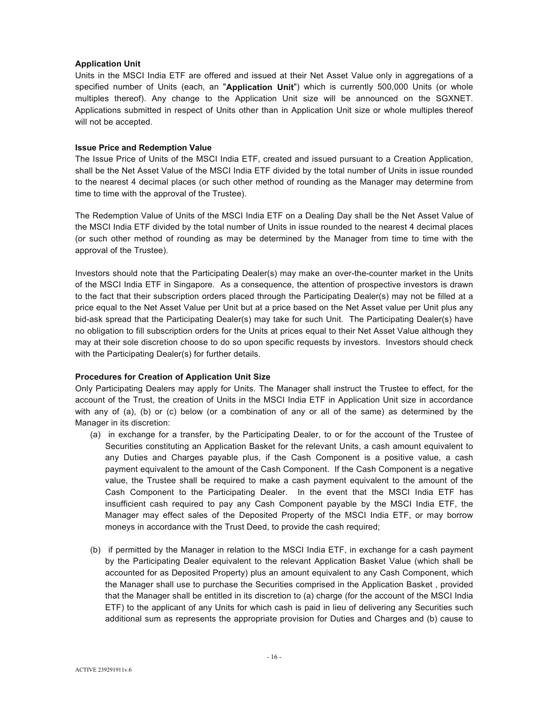#### **Application Unit**

Units in the MSCI India ETF are offered and issued at their Net Asset Value only in aggregations of a specified number of Units (each, an "**Application Unit**") which is currently 500,000 Units (or whole multiples thereof). Any change to the Application Unit size will be announced on the SGXNET. Applications submitted in respect of Units other than in Application Unit size or whole multiples thereof will not be accepted.

#### **Issue Price and Redemption Value**

The Issue Price of Units of the MSCI India ETF, created and issued pursuant to a Creation Application, shall be the Net Asset Value of the MSCI India ETF divided by the total number of Units in issue rounded to the nearest 4 decimal places (or such other method of rounding as the Manager may determine from time to time with the approval of the Trustee).

The Redemption Value of Units of the MSCI India ETF on a Dealing Day shall be the Net Asset Value of the MSCI India ETF divided by the total number of Units in issue rounded to the nearest 4 decimal places (or such other method of rounding as may be determined by the Manager from time to time with the approval of the Trustee).

Investors should note that the Participating Dealer(s) may make an over-the-counter market in the Units of the MSCI India ETF in Singapore. As a consequence, the attention of prospective investors is drawn to the fact that their subscription orders placed through the Participating Dealer(s) may not be filled at a price equal to the Net Asset Value per Unit but at a price based on the Net Asset value per Unit plus any bid-ask spread that the Participating Dealer(s) may take for such Unit. The Participating Dealer(s) have no obligation to fill subscription orders for the Units at prices equal to their Net Asset Value although they may at their sole discretion choose to do so upon specific requests by investors. Investors should check with the Participating Dealer(s) for further details.

#### **Procedures for Creation of Application Unit Size**

Only Participating Dealers may apply for Units. The Manager shall instruct the Trustee to effect, for the account of the Trust, the creation of Units in the MSCI India ETF in Application Unit size in accordance with any of (a), (b) or (c) below (or a combination of any or all of the same) as determined by the Manager in its discretion:

- (a) in exchange for a transfer, by the Participating Dealer, to or for the account of the Trustee of Securities constituting an Application Basket for the relevant Units, a cash amount equivalent to any Duties and Charges payable plus, if the Cash Component is a positive value, a cash payment equivalent to the amount of the Cash Component. If the Cash Component is a negative value, the Trustee shall be required to make a cash payment equivalent to the amount of the Cash Component to the Participating Dealer. In the event that the MSCI India ETF has insufficient cash required to pay any Cash Component payable by the MSCI India ETF, the Manager may effect sales of the Deposited Property of the MSCI India ETF, or may borrow moneys in accordance with the Trust Deed, to provide the cash required;
- (b) if permitted by the Manager in relation to the MSCI India ETF, in exchange for a cash payment by the Participating Dealer equivalent to the relevant Application Basket Value (which shall be accounted for as Deposited Property) plus an amount equivalent to any Cash Component, which the Manager shall use to purchase the Securities comprised in the Application Basket , provided that the Manager shall be entitled in its discretion to (a) charge (for the account of the MSCI India ETF) to the applicant of any Units for which cash is paid in lieu of delivering any Securities such additional sum as represents the appropriate provision for Duties and Charges and (b) cause to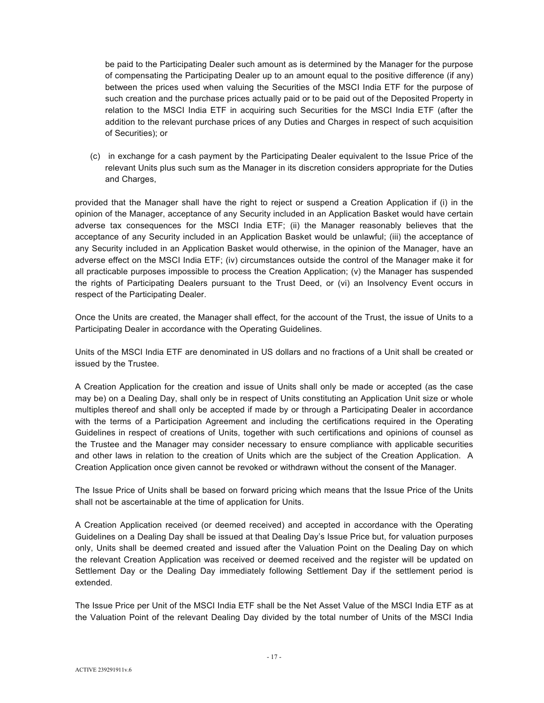be paid to the Participating Dealer such amount as is determined by the Manager for the purpose of compensating the Participating Dealer up to an amount equal to the positive difference (if any) between the prices used when valuing the Securities of the MSCI India ETF for the purpose of such creation and the purchase prices actually paid or to be paid out of the Deposited Property in relation to the MSCI India ETF in acquiring such Securities for the MSCI India ETF (after the addition to the relevant purchase prices of any Duties and Charges in respect of such acquisition of Securities); or

(c) in exchange for a cash payment by the Participating Dealer equivalent to the Issue Price of the relevant Units plus such sum as the Manager in its discretion considers appropriate for the Duties and Charges,

provided that the Manager shall have the right to reject or suspend a Creation Application if (i) in the opinion of the Manager, acceptance of any Security included in an Application Basket would have certain adverse tax consequences for the MSCI India ETF; (ii) the Manager reasonably believes that the acceptance of any Security included in an Application Basket would be unlawful; (iii) the acceptance of any Security included in an Application Basket would otherwise, in the opinion of the Manager, have an adverse effect on the MSCI India ETF; (iv) circumstances outside the control of the Manager make it for all practicable purposes impossible to process the Creation Application; (v) the Manager has suspended the rights of Participating Dealers pursuant to the Trust Deed, or (vi) an Insolvency Event occurs in respect of the Participating Dealer.

Once the Units are created, the Manager shall effect, for the account of the Trust, the issue of Units to a Participating Dealer in accordance with the Operating Guidelines.

Units of the MSCI India ETF are denominated in US dollars and no fractions of a Unit shall be created or issued by the Trustee.

A Creation Application for the creation and issue of Units shall only be made or accepted (as the case may be) on a Dealing Day, shall only be in respect of Units constituting an Application Unit size or whole multiples thereof and shall only be accepted if made by or through a Participating Dealer in accordance with the terms of a Participation Agreement and including the certifications required in the Operating Guidelines in respect of creations of Units, together with such certifications and opinions of counsel as the Trustee and the Manager may consider necessary to ensure compliance with applicable securities and other laws in relation to the creation of Units which are the subject of the Creation Application. A Creation Application once given cannot be revoked or withdrawn without the consent of the Manager.

The Issue Price of Units shall be based on forward pricing which means that the Issue Price of the Units shall not be ascertainable at the time of application for Units.

A Creation Application received (or deemed received) and accepted in accordance with the Operating Guidelines on a Dealing Day shall be issued at that Dealing Day's Issue Price but, for valuation purposes only, Units shall be deemed created and issued after the Valuation Point on the Dealing Day on which the relevant Creation Application was received or deemed received and the register will be updated on Settlement Day or the Dealing Day immediately following Settlement Day if the settlement period is extended.

The Issue Price per Unit of the MSCI India ETF shall be the Net Asset Value of the MSCI India ETF as at the Valuation Point of the relevant Dealing Day divided by the total number of Units of the MSCI India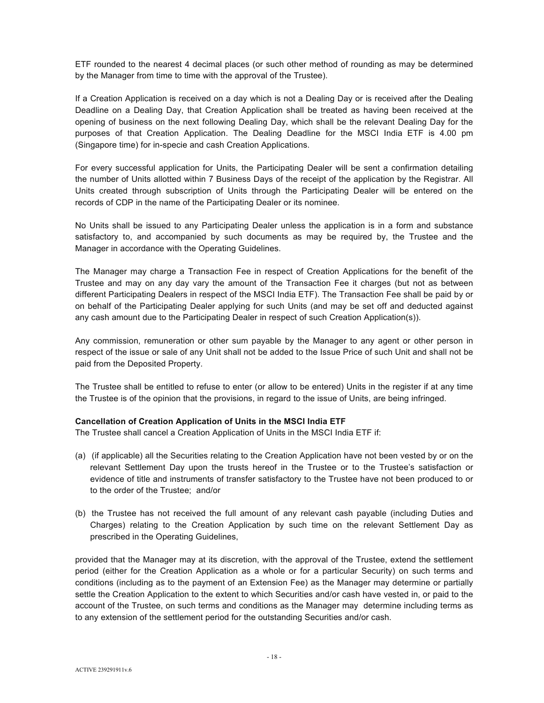ETF rounded to the nearest 4 decimal places (or such other method of rounding as may be determined by the Manager from time to time with the approval of the Trustee).

If a Creation Application is received on a day which is not a Dealing Day or is received after the Dealing Deadline on a Dealing Day, that Creation Application shall be treated as having been received at the opening of business on the next following Dealing Day, which shall be the relevant Dealing Day for the purposes of that Creation Application. The Dealing Deadline for the MSCI India ETF is 4.00 pm (Singapore time) for in-specie and cash Creation Applications.

For every successful application for Units, the Participating Dealer will be sent a confirmation detailing the number of Units allotted within 7 Business Days of the receipt of the application by the Registrar. All Units created through subscription of Units through the Participating Dealer will be entered on the records of CDP in the name of the Participating Dealer or its nominee.

No Units shall be issued to any Participating Dealer unless the application is in a form and substance satisfactory to, and accompanied by such documents as may be required by, the Trustee and the Manager in accordance with the Operating Guidelines.

The Manager may charge a Transaction Fee in respect of Creation Applications for the benefit of the Trustee and may on any day vary the amount of the Transaction Fee it charges (but not as between different Participating Dealers in respect of the MSCI India ETF). The Transaction Fee shall be paid by or on behalf of the Participating Dealer applying for such Units (and may be set off and deducted against any cash amount due to the Participating Dealer in respect of such Creation Application(s)).

Any commission, remuneration or other sum payable by the Manager to any agent or other person in respect of the issue or sale of any Unit shall not be added to the Issue Price of such Unit and shall not be paid from the Deposited Property.

The Trustee shall be entitled to refuse to enter (or allow to be entered) Units in the register if at any time the Trustee is of the opinion that the provisions, in regard to the issue of Units, are being infringed.

#### **Cancellation of Creation Application of Units in the MSCI India ETF**

The Trustee shall cancel a Creation Application of Units in the MSCI India ETF if:

- (a) (if applicable) all the Securities relating to the Creation Application have not been vested by or on the relevant Settlement Day upon the trusts hereof in the Trustee or to the Trustee's satisfaction or evidence of title and instruments of transfer satisfactory to the Trustee have not been produced to or to the order of the Trustee; and/or
- (b) the Trustee has not received the full amount of any relevant cash payable (including Duties and Charges) relating to the Creation Application by such time on the relevant Settlement Day as prescribed in the Operating Guidelines,

provided that the Manager may at its discretion, with the approval of the Trustee, extend the settlement period (either for the Creation Application as a whole or for a particular Security) on such terms and conditions (including as to the payment of an Extension Fee) as the Manager may determine or partially settle the Creation Application to the extent to which Securities and/or cash have vested in, or paid to the account of the Trustee, on such terms and conditions as the Manager may determine including terms as to any extension of the settlement period for the outstanding Securities and/or cash.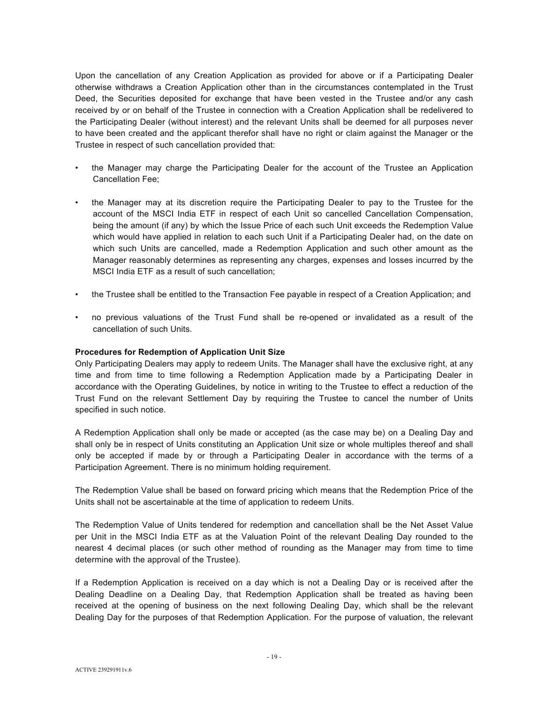Upon the cancellation of any Creation Application as provided for above or if a Participating Dealer otherwise withdraws a Creation Application other than in the circumstances contemplated in the Trust Deed, the Securities deposited for exchange that have been vested in the Trustee and/or any cash received by or on behalf of the Trustee in connection with a Creation Application shall be redelivered to the Participating Dealer (without interest) and the relevant Units shall be deemed for all purposes never to have been created and the applicant therefor shall have no right or claim against the Manager or the Trustee in respect of such cancellation provided that:

- the Manager may charge the Participating Dealer for the account of the Trustee an Application Cancellation Fee;
- the Manager may at its discretion require the Participating Dealer to pay to the Trustee for the account of the MSCI India ETF in respect of each Unit so cancelled Cancellation Compensation, being the amount (if any) by which the Issue Price of each such Unit exceeds the Redemption Value which would have applied in relation to each such Unit if a Participating Dealer had, on the date on which such Units are cancelled, made a Redemption Application and such other amount as the Manager reasonably determines as representing any charges, expenses and losses incurred by the MSCI India ETF as a result of such cancellation;
- the Trustee shall be entitled to the Transaction Fee payable in respect of a Creation Application; and
- no previous valuations of the Trust Fund shall be re-opened or invalidated as a result of the cancellation of such Units.

#### **Procedures for Redemption of Application Unit Size**

Only Participating Dealers may apply to redeem Units. The Manager shall have the exclusive right, at any time and from time to time following a Redemption Application made by a Participating Dealer in accordance with the Operating Guidelines, by notice in writing to the Trustee to effect a reduction of the Trust Fund on the relevant Settlement Day by requiring the Trustee to cancel the number of Units specified in such notice.

A Redemption Application shall only be made or accepted (as the case may be) on a Dealing Day and shall only be in respect of Units constituting an Application Unit size or whole multiples thereof and shall only be accepted if made by or through a Participating Dealer in accordance with the terms of a Participation Agreement. There is no minimum holding requirement.

The Redemption Value shall be based on forward pricing which means that the Redemption Price of the Units shall not be ascertainable at the time of application to redeem Units.

The Redemption Value of Units tendered for redemption and cancellation shall be the Net Asset Value per Unit in the MSCI India ETF as at the Valuation Point of the relevant Dealing Day rounded to the nearest 4 decimal places (or such other method of rounding as the Manager may from time to time determine with the approval of the Trustee).

If a Redemption Application is received on a day which is not a Dealing Day or is received after the Dealing Deadline on a Dealing Day, that Redemption Application shall be treated as having been received at the opening of business on the next following Dealing Day, which shall be the relevant Dealing Day for the purposes of that Redemption Application. For the purpose of valuation, the relevant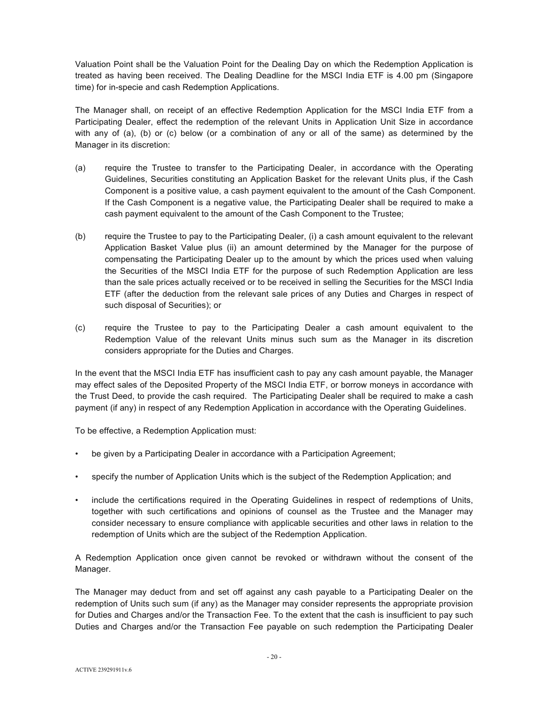Valuation Point shall be the Valuation Point for the Dealing Day on which the Redemption Application is treated as having been received. The Dealing Deadline for the MSCI India ETF is 4.00 pm (Singapore time) for in-specie and cash Redemption Applications.

The Manager shall, on receipt of an effective Redemption Application for the MSCI India ETF from a Participating Dealer, effect the redemption of the relevant Units in Application Unit Size in accordance with any of (a), (b) or (c) below (or a combination of any or all of the same) as determined by the Manager in its discretion:

- (a) require the Trustee to transfer to the Participating Dealer, in accordance with the Operating Guidelines, Securities constituting an Application Basket for the relevant Units plus, if the Cash Component is a positive value, a cash payment equivalent to the amount of the Cash Component. If the Cash Component is a negative value, the Participating Dealer shall be required to make a cash payment equivalent to the amount of the Cash Component to the Trustee;
- (b) require the Trustee to pay to the Participating Dealer, (i) a cash amount equivalent to the relevant Application Basket Value plus (ii) an amount determined by the Manager for the purpose of compensating the Participating Dealer up to the amount by which the prices used when valuing the Securities of the MSCI India ETF for the purpose of such Redemption Application are less than the sale prices actually received or to be received in selling the Securities for the MSCI India ETF (after the deduction from the relevant sale prices of any Duties and Charges in respect of such disposal of Securities); or
- (c) require the Trustee to pay to the Participating Dealer a cash amount equivalent to the Redemption Value of the relevant Units minus such sum as the Manager in its discretion considers appropriate for the Duties and Charges.

In the event that the MSCI India ETF has insufficient cash to pay any cash amount payable, the Manager may effect sales of the Deposited Property of the MSCI India ETF, or borrow moneys in accordance with the Trust Deed, to provide the cash required. The Participating Dealer shall be required to make a cash payment (if any) in respect of any Redemption Application in accordance with the Operating Guidelines.

To be effective, a Redemption Application must:

- be given by a Participating Dealer in accordance with a Participation Agreement;
- specify the number of Application Units which is the subject of the Redemption Application; and
- include the certifications required in the Operating Guidelines in respect of redemptions of Units, together with such certifications and opinions of counsel as the Trustee and the Manager may consider necessary to ensure compliance with applicable securities and other laws in relation to the redemption of Units which are the subject of the Redemption Application.

A Redemption Application once given cannot be revoked or withdrawn without the consent of the Manager.

The Manager may deduct from and set off against any cash payable to a Participating Dealer on the redemption of Units such sum (if any) as the Manager may consider represents the appropriate provision for Duties and Charges and/or the Transaction Fee. To the extent that the cash is insufficient to pay such Duties and Charges and/or the Transaction Fee payable on such redemption the Participating Dealer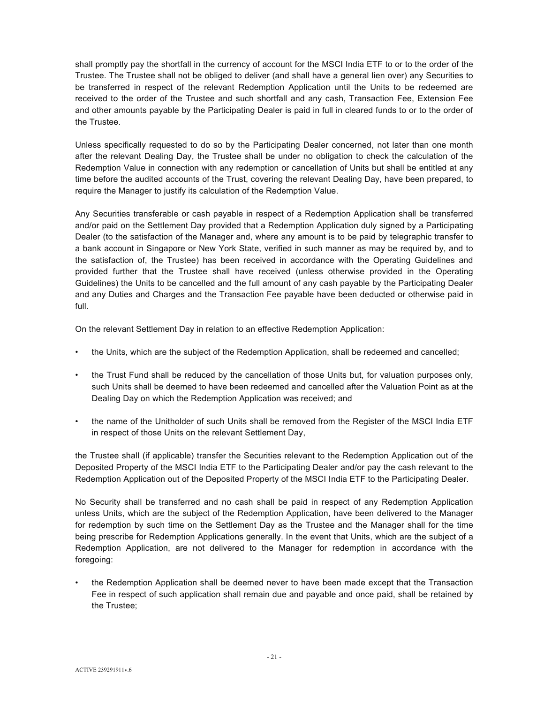shall promptly pay the shortfall in the currency of account for the MSCI India ETF to or to the order of the Trustee. The Trustee shall not be obliged to deliver (and shall have a general lien over) any Securities to be transferred in respect of the relevant Redemption Application until the Units to be redeemed are received to the order of the Trustee and such shortfall and any cash, Transaction Fee, Extension Fee and other amounts payable by the Participating Dealer is paid in full in cleared funds to or to the order of the Trustee.

Unless specifically requested to do so by the Participating Dealer concerned, not later than one month after the relevant Dealing Day, the Trustee shall be under no obligation to check the calculation of the Redemption Value in connection with any redemption or cancellation of Units but shall be entitled at any time before the audited accounts of the Trust, covering the relevant Dealing Day, have been prepared, to require the Manager to justify its calculation of the Redemption Value.

Any Securities transferable or cash payable in respect of a Redemption Application shall be transferred and/or paid on the Settlement Day provided that a Redemption Application duly signed by a Participating Dealer (to the satisfaction of the Manager and, where any amount is to be paid by telegraphic transfer to a bank account in Singapore or New York State, verified in such manner as may be required by, and to the satisfaction of, the Trustee) has been received in accordance with the Operating Guidelines and provided further that the Trustee shall have received (unless otherwise provided in the Operating Guidelines) the Units to be cancelled and the full amount of any cash payable by the Participating Dealer and any Duties and Charges and the Transaction Fee payable have been deducted or otherwise paid in full.

On the relevant Settlement Day in relation to an effective Redemption Application:

- the Units, which are the subject of the Redemption Application, shall be redeemed and cancelled;
- the Trust Fund shall be reduced by the cancellation of those Units but, for valuation purposes only, such Units shall be deemed to have been redeemed and cancelled after the Valuation Point as at the Dealing Day on which the Redemption Application was received; and
- the name of the Unitholder of such Units shall be removed from the Register of the MSCI India ETF in respect of those Units on the relevant Settlement Day,

the Trustee shall (if applicable) transfer the Securities relevant to the Redemption Application out of the Deposited Property of the MSCI India ETF to the Participating Dealer and/or pay the cash relevant to the Redemption Application out of the Deposited Property of the MSCI India ETF to the Participating Dealer.

No Security shall be transferred and no cash shall be paid in respect of any Redemption Application unless Units, which are the subject of the Redemption Application, have been delivered to the Manager for redemption by such time on the Settlement Day as the Trustee and the Manager shall for the time being prescribe for Redemption Applications generally. In the event that Units, which are the subject of a Redemption Application, are not delivered to the Manager for redemption in accordance with the foregoing:

• the Redemption Application shall be deemed never to have been made except that the Transaction Fee in respect of such application shall remain due and payable and once paid, shall be retained by the Trustee;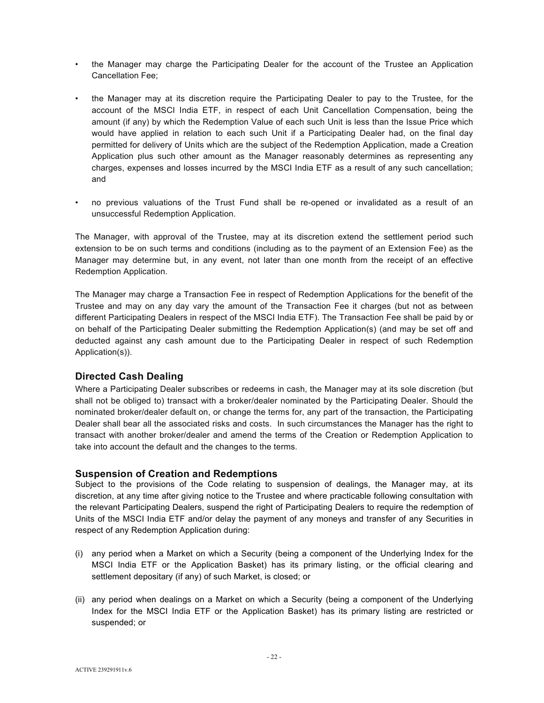- the Manager may charge the Participating Dealer for the account of the Trustee an Application Cancellation Fee;
- the Manager may at its discretion require the Participating Dealer to pay to the Trustee, for the account of the MSCI India ETF, in respect of each Unit Cancellation Compensation, being the amount (if any) by which the Redemption Value of each such Unit is less than the Issue Price which would have applied in relation to each such Unit if a Participating Dealer had, on the final day permitted for delivery of Units which are the subject of the Redemption Application, made a Creation Application plus such other amount as the Manager reasonably determines as representing any charges, expenses and losses incurred by the MSCI India ETF as a result of any such cancellation; and
- no previous valuations of the Trust Fund shall be re-opened or invalidated as a result of an unsuccessful Redemption Application.

The Manager, with approval of the Trustee, may at its discretion extend the settlement period such extension to be on such terms and conditions (including as to the payment of an Extension Fee) as the Manager may determine but, in any event, not later than one month from the receipt of an effective Redemption Application.

The Manager may charge a Transaction Fee in respect of Redemption Applications for the benefit of the Trustee and may on any day vary the amount of the Transaction Fee it charges (but not as between different Participating Dealers in respect of the MSCI India ETF). The Transaction Fee shall be paid by or on behalf of the Participating Dealer submitting the Redemption Application(s) (and may be set off and deducted against any cash amount due to the Participating Dealer in respect of such Redemption Application(s)).

# **Directed Cash Dealing**

Where a Participating Dealer subscribes or redeems in cash, the Manager may at its sole discretion (but shall not be obliged to) transact with a broker/dealer nominated by the Participating Dealer. Should the nominated broker/dealer default on, or change the terms for, any part of the transaction, the Participating Dealer shall bear all the associated risks and costs. In such circumstances the Manager has the right to transact with another broker/dealer and amend the terms of the Creation or Redemption Application to take into account the default and the changes to the terms.

#### **Suspension of Creation and Redemptions**

Subject to the provisions of the Code relating to suspension of dealings, the Manager may, at its discretion, at any time after giving notice to the Trustee and where practicable following consultation with the relevant Participating Dealers, suspend the right of Participating Dealers to require the redemption of Units of the MSCI India ETF and/or delay the payment of any moneys and transfer of any Securities in respect of any Redemption Application during:

- (i) any period when a Market on which a Security (being a component of the Underlying Index for the MSCI India ETF or the Application Basket) has its primary listing, or the official clearing and settlement depositary (if any) of such Market, is closed; or
- (ii) any period when dealings on a Market on which a Security (being a component of the Underlying Index for the MSCI India ETF or the Application Basket) has its primary listing are restricted or suspended; or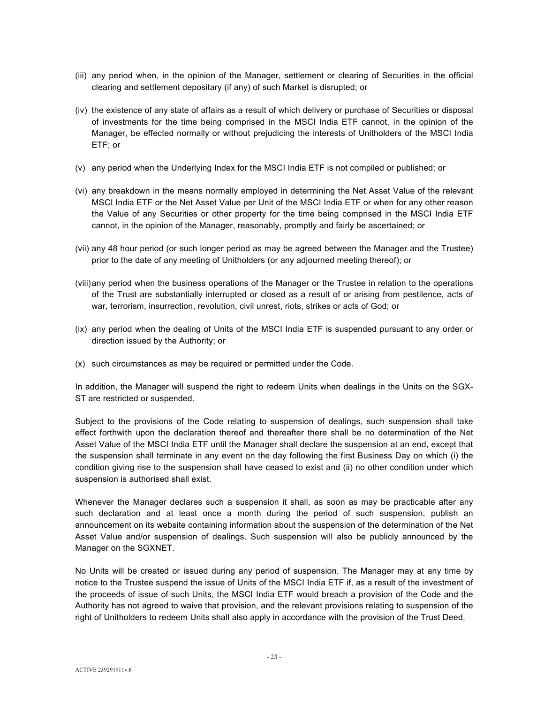- (iii) any period when, in the opinion of the Manager, settlement or clearing of Securities in the official clearing and settlement depositary (if any) of such Market is disrupted; or
- (iv) the existence of any state of affairs as a result of which delivery or purchase of Securities or disposal of investments for the time being comprised in the MSCI India ETF cannot, in the opinion of the Manager, be effected normally or without prejudicing the interests of Unitholders of the MSCI India ETF; or
- (v) any period when the Underlying Index for the MSCI India ETF is not compiled or published; or
- (vi) any breakdown in the means normally employed in determining the Net Asset Value of the relevant MSCI India ETF or the Net Asset Value per Unit of the MSCI India ETF or when for any other reason the Value of any Securities or other property for the time being comprised in the MSCI India ETF cannot, in the opinion of the Manager, reasonably, promptly and fairly be ascertained; or
- (vii) any 48 hour period (or such longer period as may be agreed between the Manager and the Trustee) prior to the date of any meeting of Unitholders (or any adjourned meeting thereof); or
- (viii) any period when the business operations of the Manager or the Trustee in relation to the operations of the Trust are substantially interrupted or closed as a result of or arising from pestilence, acts of war, terrorism, insurrection, revolution, civil unrest, riots, strikes or acts of God; or
- (ix) any period when the dealing of Units of the MSCI India ETF is suspended pursuant to any order or direction issued by the Authority; or
- (x) such circumstances as may be required or permitted under the Code.

In addition, the Manager will suspend the right to redeem Units when dealings in the Units on the SGX-ST are restricted or suspended.

Subject to the provisions of the Code relating to suspension of dealings, such suspension shall take effect forthwith upon the declaration thereof and thereafter there shall be no determination of the Net Asset Value of the MSCI India ETF until the Manager shall declare the suspension at an end, except that the suspension shall terminate in any event on the day following the first Business Day on which (i) the condition giving rise to the suspension shall have ceased to exist and (ii) no other condition under which suspension is authorised shall exist.

Whenever the Manager declares such a suspension it shall, as soon as may be practicable after any such declaration and at least once a month during the period of such suspension, publish an announcement on its website containing information about the suspension of the determination of the Net Asset Value and/or suspension of dealings. Such suspension will also be publicly announced by the Manager on the SGXNET.

No Units will be created or issued during any period of suspension. The Manager may at any time by notice to the Trustee suspend the issue of Units of the MSCI India ETF if, as a result of the investment of the proceeds of issue of such Units, the MSCI India ETF would breach a provision of the Code and the Authority has not agreed to waive that provision, and the relevant provisions relating to suspension of the right of Unitholders to redeem Units shall also apply in accordance with the provision of the Trust Deed.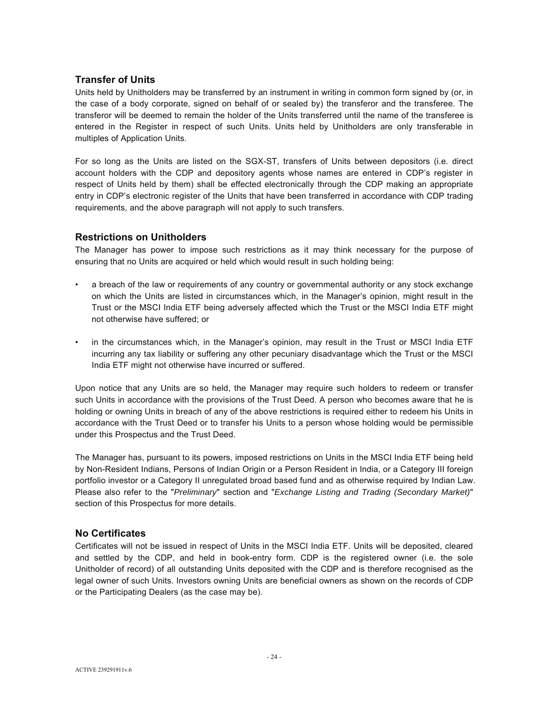# **Transfer of Units**

Units held by Unitholders may be transferred by an instrument in writing in common form signed by (or, in the case of a body corporate, signed on behalf of or sealed by) the transferor and the transferee. The transferor will be deemed to remain the holder of the Units transferred until the name of the transferee is entered in the Register in respect of such Units. Units held by Unitholders are only transferable in multiples of Application Units.

For so long as the Units are listed on the SGX-ST, transfers of Units between depositors (i.e. direct account holders with the CDP and depository agents whose names are entered in CDP's register in respect of Units held by them) shall be effected electronically through the CDP making an appropriate entry in CDP's electronic register of the Units that have been transferred in accordance with CDP trading requirements, and the above paragraph will not apply to such transfers.

# **Restrictions on Unitholders**

The Manager has power to impose such restrictions as it may think necessary for the purpose of ensuring that no Units are acquired or held which would result in such holding being:

- a breach of the law or requirements of any country or governmental authority or any stock exchange on which the Units are listed in circumstances which, in the Manager's opinion, might result in the Trust or the MSCI India ETF being adversely affected which the Trust or the MSCI India ETF might not otherwise have suffered; or
- in the circumstances which, in the Manager's opinion, may result in the Trust or MSCI India ETF incurring any tax liability or suffering any other pecuniary disadvantage which the Trust or the MSCI India ETF might not otherwise have incurred or suffered.

Upon notice that any Units are so held, the Manager may require such holders to redeem or transfer such Units in accordance with the provisions of the Trust Deed. A person who becomes aware that he is holding or owning Units in breach of any of the above restrictions is required either to redeem his Units in accordance with the Trust Deed or to transfer his Units to a person whose holding would be permissible under this Prospectus and the Trust Deed.

The Manager has, pursuant to its powers, imposed restrictions on Units in the MSCI India ETF being held by Non-Resident Indians, Persons of Indian Origin or a Person Resident in India, or a Category III foreign portfolio investor or a Category II unregulated broad based fund and as otherwise required by Indian Law. Please also refer to the "*Preliminary*" section and "*Exchange Listing and Trading (Secondary Market)*" section of this Prospectus for more details.

# **No Certificates**

Certificates will not be issued in respect of Units in the MSCI India ETF. Units will be deposited, cleared and settled by the CDP, and held in book-entry form. CDP is the registered owner (i.e. the sole Unitholder of record) of all outstanding Units deposited with the CDP and is therefore recognised as the legal owner of such Units. Investors owning Units are beneficial owners as shown on the records of CDP or the Participating Dealers (as the case may be).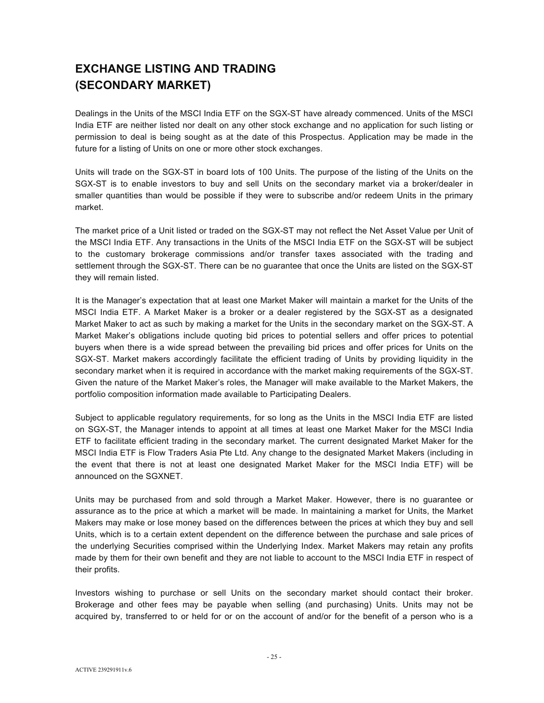# **EXCHANGE LISTING AND TRADING (SECONDARY MARKET)**

Dealings in the Units of the MSCI India ETF on the SGX-ST have already commenced. Units of the MSCI India ETF are neither listed nor dealt on any other stock exchange and no application for such listing or permission to deal is being sought as at the date of this Prospectus. Application may be made in the future for a listing of Units on one or more other stock exchanges.

Units will trade on the SGX-ST in board lots of 100 Units. The purpose of the listing of the Units on the SGX-ST is to enable investors to buy and sell Units on the secondary market via a broker/dealer in smaller quantities than would be possible if they were to subscribe and/or redeem Units in the primary market.

The market price of a Unit listed or traded on the SGX-ST may not reflect the Net Asset Value per Unit of the MSCI India ETF. Any transactions in the Units of the MSCI India ETF on the SGX-ST will be subject to the customary brokerage commissions and/or transfer taxes associated with the trading and settlement through the SGX-ST. There can be no guarantee that once the Units are listed on the SGX-ST they will remain listed.

It is the Manager's expectation that at least one Market Maker will maintain a market for the Units of the MSCI India ETF. A Market Maker is a broker or a dealer registered by the SGX-ST as a designated Market Maker to act as such by making a market for the Units in the secondary market on the SGX-ST. A Market Maker's obligations include quoting bid prices to potential sellers and offer prices to potential buyers when there is a wide spread between the prevailing bid prices and offer prices for Units on the SGX-ST. Market makers accordingly facilitate the efficient trading of Units by providing liquidity in the secondary market when it is required in accordance with the market making requirements of the SGX-ST. Given the nature of the Market Maker's roles, the Manager will make available to the Market Makers, the portfolio composition information made available to Participating Dealers.

Subject to applicable regulatory requirements, for so long as the Units in the MSCI India ETF are listed on SGX-ST, the Manager intends to appoint at all times at least one Market Maker for the MSCI India ETF to facilitate efficient trading in the secondary market. The current designated Market Maker for the MSCI India ETF is Flow Traders Asia Pte Ltd. Any change to the designated Market Makers (including in the event that there is not at least one designated Market Maker for the MSCI India ETF) will be announced on the SGXNET.

Units may be purchased from and sold through a Market Maker. However, there is no guarantee or assurance as to the price at which a market will be made. In maintaining a market for Units, the Market Makers may make or lose money based on the differences between the prices at which they buy and sell Units, which is to a certain extent dependent on the difference between the purchase and sale prices of the underlying Securities comprised within the Underlying Index. Market Makers may retain any profits made by them for their own benefit and they are not liable to account to the MSCI India ETF in respect of their profits.

Investors wishing to purchase or sell Units on the secondary market should contact their broker. Brokerage and other fees may be payable when selling (and purchasing) Units. Units may not be acquired by, transferred to or held for or on the account of and/or for the benefit of a person who is a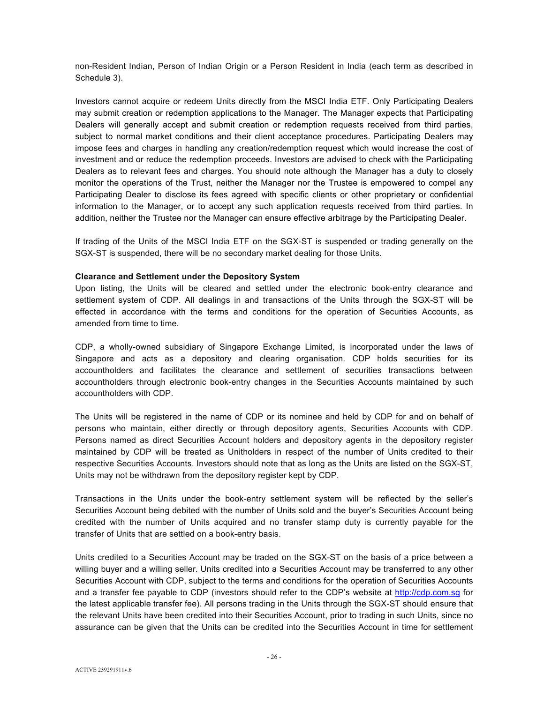non-Resident Indian, Person of Indian Origin or a Person Resident in India (each term as described in Schedule 3).

Investors cannot acquire or redeem Units directly from the MSCI India ETF. Only Participating Dealers may submit creation or redemption applications to the Manager. The Manager expects that Participating Dealers will generally accept and submit creation or redemption requests received from third parties, subject to normal market conditions and their client acceptance procedures. Participating Dealers may impose fees and charges in handling any creation/redemption request which would increase the cost of investment and or reduce the redemption proceeds. Investors are advised to check with the Participating Dealers as to relevant fees and charges. You should note although the Manager has a duty to closely monitor the operations of the Trust, neither the Manager nor the Trustee is empowered to compel any Participating Dealer to disclose its fees agreed with specific clients or other proprietary or confidential information to the Manager, or to accept any such application requests received from third parties. In addition, neither the Trustee nor the Manager can ensure effective arbitrage by the Participating Dealer.

If trading of the Units of the MSCI India ETF on the SGX-ST is suspended or trading generally on the SGX-ST is suspended, there will be no secondary market dealing for those Units.

#### **Clearance and Settlement under the Depository System**

Upon listing, the Units will be cleared and settled under the electronic book-entry clearance and settlement system of CDP. All dealings in and transactions of the Units through the SGX-ST will be effected in accordance with the terms and conditions for the operation of Securities Accounts, as amended from time to time.

CDP, a wholly-owned subsidiary of Singapore Exchange Limited, is incorporated under the laws of Singapore and acts as a depository and clearing organisation. CDP holds securities for its accountholders and facilitates the clearance and settlement of securities transactions between accountholders through electronic book-entry changes in the Securities Accounts maintained by such accountholders with CDP.

The Units will be registered in the name of CDP or its nominee and held by CDP for and on behalf of persons who maintain, either directly or through depository agents, Securities Accounts with CDP. Persons named as direct Securities Account holders and depository agents in the depository register maintained by CDP will be treated as Unitholders in respect of the number of Units credited to their respective Securities Accounts. Investors should note that as long as the Units are listed on the SGX-ST, Units may not be withdrawn from the depository register kept by CDP.

Transactions in the Units under the book-entry settlement system will be reflected by the seller's Securities Account being debited with the number of Units sold and the buyer's Securities Account being credited with the number of Units acquired and no transfer stamp duty is currently payable for the transfer of Units that are settled on a book-entry basis.

Units credited to a Securities Account may be traded on the SGX-ST on the basis of a price between a willing buyer and a willing seller. Units credited into a Securities Account may be transferred to any other Securities Account with CDP, subject to the terms and conditions for the operation of Securities Accounts and a transfer fee payable to CDP (investors should refer to the CDP's website at http://cdp.com.sg for the latest applicable transfer fee). All persons trading in the Units through the SGX-ST should ensure that the relevant Units have been credited into their Securities Account, prior to trading in such Units, since no assurance can be given that the Units can be credited into the Securities Account in time for settlement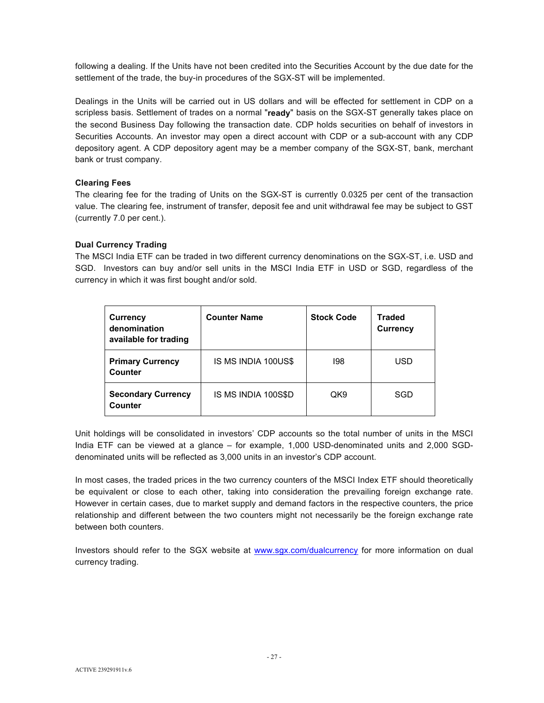following a dealing. If the Units have not been credited into the Securities Account by the due date for the settlement of the trade, the buy-in procedures of the SGX-ST will be implemented.

Dealings in the Units will be carried out in US dollars and will be effected for settlement in CDP on a scripless basis. Settlement of trades on a normal "**ready**" basis on the SGX-ST generally takes place on the second Business Day following the transaction date. CDP holds securities on behalf of investors in Securities Accounts. An investor may open a direct account with CDP or a sub-account with any CDP depository agent. A CDP depository agent may be a member company of the SGX-ST, bank, merchant bank or trust company.

## **Clearing Fees**

The clearing fee for the trading of Units on the SGX-ST is currently 0.0325 per cent of the transaction value. The clearing fee, instrument of transfer, deposit fee and unit withdrawal fee may be subject to GST (currently 7.0 per cent.).

## **Dual Currency Trading**

The MSCI India ETF can be traded in two different currency denominations on the SGX-ST, i.e. USD and SGD. Investors can buy and/or sell units in the MSCI India ETF in USD or SGD, regardless of the currency in which it was first bought and/or sold.

| <b>Currency</b><br>denomination<br>available for trading | <b>Counter Name</b> | <b>Stock Code</b> | <b>Traded</b><br><b>Currency</b> |
|----------------------------------------------------------|---------------------|-------------------|----------------------------------|
| <b>Primary Currency</b><br>Counter                       | IS MS INDIA 100US\$ | 198               | USD.                             |
| <b>Secondary Currency</b><br>Counter                     | IS MS INDIA 100S\$D | QK9               | SGD                              |

Unit holdings will be consolidated in investors' CDP accounts so the total number of units in the MSCI India ETF can be viewed at a glance – for example, 1,000 USD-denominated units and 2,000 SGDdenominated units will be reflected as 3,000 units in an investor's CDP account.

In most cases, the traded prices in the two currency counters of the MSCI Index ETF should theoretically be equivalent or close to each other, taking into consideration the prevailing foreign exchange rate. However in certain cases, due to market supply and demand factors in the respective counters, the price relationship and different between the two counters might not necessarily be the foreign exchange rate between both counters.

Investors should refer to the SGX website at www.sgx.com/dualcurrency for more information on dual currency trading.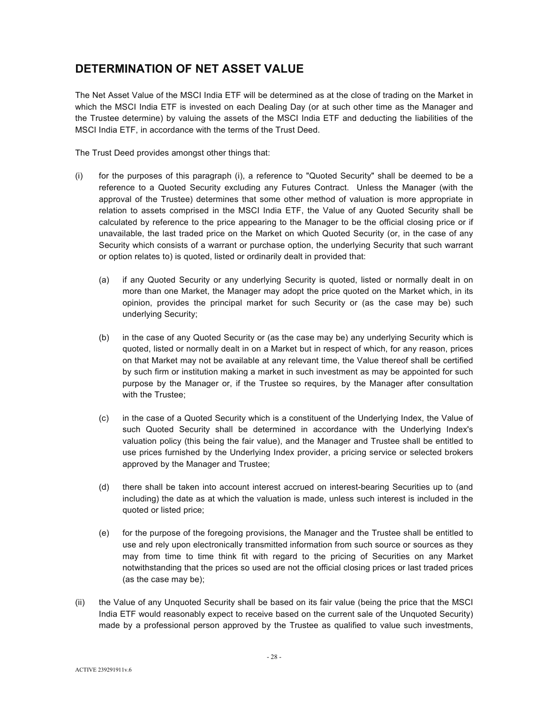# **DETERMINATION OF NET ASSET VALUE**

The Net Asset Value of the MSCI India ETF will be determined as at the close of trading on the Market in which the MSCI India ETF is invested on each Dealing Day (or at such other time as the Manager and the Trustee determine) by valuing the assets of the MSCI India ETF and deducting the liabilities of the MSCI India ETF, in accordance with the terms of the Trust Deed.

The Trust Deed provides amongst other things that:

- (i) for the purposes of this paragraph (i), a reference to "Quoted Security" shall be deemed to be a reference to a Quoted Security excluding any Futures Contract. Unless the Manager (with the approval of the Trustee) determines that some other method of valuation is more appropriate in relation to assets comprised in the MSCI India ETF, the Value of any Quoted Security shall be calculated by reference to the price appearing to the Manager to be the official closing price or if unavailable, the last traded price on the Market on which Quoted Security (or, in the case of any Security which consists of a warrant or purchase option, the underlying Security that such warrant or option relates to) is quoted, listed or ordinarily dealt in provided that:
	- (a) if any Quoted Security or any underlying Security is quoted, listed or normally dealt in on more than one Market, the Manager may adopt the price quoted on the Market which, in its opinion, provides the principal market for such Security or (as the case may be) such underlying Security;
	- (b) in the case of any Quoted Security or (as the case may be) any underlying Security which is quoted, listed or normally dealt in on a Market but in respect of which, for any reason, prices on that Market may not be available at any relevant time, the Value thereof shall be certified by such firm or institution making a market in such investment as may be appointed for such purpose by the Manager or, if the Trustee so requires, by the Manager after consultation with the Trustee;
	- (c) in the case of a Quoted Security which is a constituent of the Underlying Index, the Value of such Quoted Security shall be determined in accordance with the Underlying Index's valuation policy (this being the fair value), and the Manager and Trustee shall be entitled to use prices furnished by the Underlying Index provider, a pricing service or selected brokers approved by the Manager and Trustee;
	- (d) there shall be taken into account interest accrued on interest-bearing Securities up to (and including) the date as at which the valuation is made, unless such interest is included in the quoted or listed price;
	- (e) for the purpose of the foregoing provisions, the Manager and the Trustee shall be entitled to use and rely upon electronically transmitted information from such source or sources as they may from time to time think fit with regard to the pricing of Securities on any Market notwithstanding that the prices so used are not the official closing prices or last traded prices (as the case may be);
- (ii) the Value of any Unquoted Security shall be based on its fair value (being the price that the MSCI India ETF would reasonably expect to receive based on the current sale of the Unquoted Security) made by a professional person approved by the Trustee as qualified to value such investments,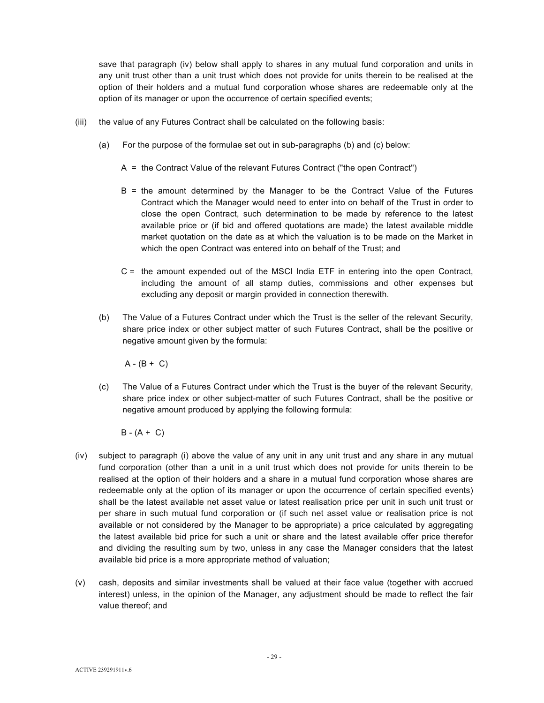save that paragraph (iv) below shall apply to shares in any mutual fund corporation and units in any unit trust other than a unit trust which does not provide for units therein to be realised at the option of their holders and a mutual fund corporation whose shares are redeemable only at the option of its manager or upon the occurrence of certain specified events;

- (iii) the value of any Futures Contract shall be calculated on the following basis:
	- (a) For the purpose of the formulae set out in sub-paragraphs (b) and (c) below:
		- A = the Contract Value of the relevant Futures Contract ("the open Contract")
		- B = the amount determined by the Manager to be the Contract Value of the Futures Contract which the Manager would need to enter into on behalf of the Trust in order to close the open Contract, such determination to be made by reference to the latest available price or (if bid and offered quotations are made) the latest available middle market quotation on the date as at which the valuation is to be made on the Market in which the open Contract was entered into on behalf of the Trust; and
		- C = the amount expended out of the MSCI India ETF in entering into the open Contract, including the amount of all stamp duties, commissions and other expenses but excluding any deposit or margin provided in connection therewith.
	- (b) The Value of a Futures Contract under which the Trust is the seller of the relevant Security, share price index or other subject matter of such Futures Contract, shall be the positive or negative amount given by the formula:

 $A - (B + C)$ 

(c) The Value of a Futures Contract under which the Trust is the buyer of the relevant Security, share price index or other subject-matter of such Futures Contract, shall be the positive or negative amount produced by applying the following formula:

 $B - (A + C)$ 

- (iv) subject to paragraph (i) above the value of any unit in any unit trust and any share in any mutual fund corporation (other than a unit in a unit trust which does not provide for units therein to be realised at the option of their holders and a share in a mutual fund corporation whose shares are redeemable only at the option of its manager or upon the occurrence of certain specified events) shall be the latest available net asset value or latest realisation price per unit in such unit trust or per share in such mutual fund corporation or (if such net asset value or realisation price is not available or not considered by the Manager to be appropriate) a price calculated by aggregating the latest available bid price for such a unit or share and the latest available offer price therefor and dividing the resulting sum by two, unless in any case the Manager considers that the latest available bid price is a more appropriate method of valuation;
- (v) cash, deposits and similar investments shall be valued at their face value (together with accrued interest) unless, in the opinion of the Manager, any adjustment should be made to reflect the fair value thereof; and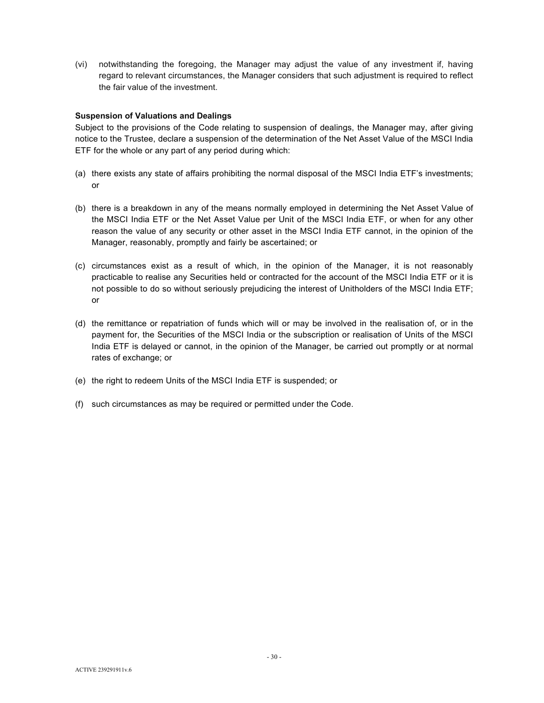(vi) notwithstanding the foregoing, the Manager may adjust the value of any investment if, having regard to relevant circumstances, the Manager considers that such adjustment is required to reflect the fair value of the investment.

#### **Suspension of Valuations and Dealings**

Subject to the provisions of the Code relating to suspension of dealings, the Manager may, after giving notice to the Trustee, declare a suspension of the determination of the Net Asset Value of the MSCI India ETF for the whole or any part of any period during which:

- (a) there exists any state of affairs prohibiting the normal disposal of the MSCI India ETF's investments; or
- (b) there is a breakdown in any of the means normally employed in determining the Net Asset Value of the MSCI India ETF or the Net Asset Value per Unit of the MSCI India ETF, or when for any other reason the value of any security or other asset in the MSCI India ETF cannot, in the opinion of the Manager, reasonably, promptly and fairly be ascertained; or
- (c) circumstances exist as a result of which, in the opinion of the Manager, it is not reasonably practicable to realise any Securities held or contracted for the account of the MSCI India ETF or it is not possible to do so without seriously prejudicing the interest of Unitholders of the MSCI India ETF; or
- (d) the remittance or repatriation of funds which will or may be involved in the realisation of, or in the payment for, the Securities of the MSCI India or the subscription or realisation of Units of the MSCI India ETF is delayed or cannot, in the opinion of the Manager, be carried out promptly or at normal rates of exchange; or
- (e) the right to redeem Units of the MSCI India ETF is suspended; or
- (f) such circumstances as may be required or permitted under the Code.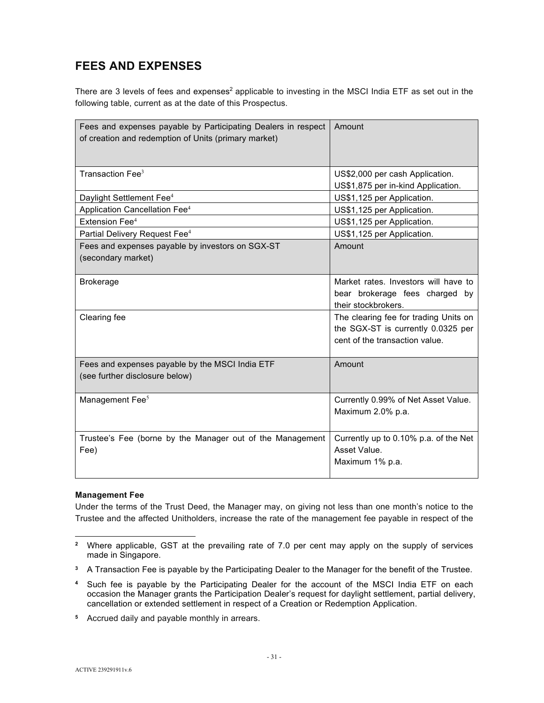# **FEES AND EXPENSES**

There are 3 levels of fees and expenses<sup>2</sup> applicable to investing in the MSCI India ETF as set out in the following table, current as at the date of this Prospectus.

| Fees and expenses payable by Participating Dealers in respect<br>of creation and redemption of Units (primary market) | Amount                                                                                                        |
|-----------------------------------------------------------------------------------------------------------------------|---------------------------------------------------------------------------------------------------------------|
| Transaction Fee <sup>3</sup>                                                                                          | US\$2,000 per cash Application.<br>US\$1,875 per in-kind Application.                                         |
| Daylight Settlement Fee <sup>4</sup>                                                                                  | US\$1,125 per Application.                                                                                    |
| Application Cancellation Fee <sup>4</sup>                                                                             | US\$1,125 per Application.                                                                                    |
| Extension Fee <sup>4</sup>                                                                                            | US\$1,125 per Application.                                                                                    |
| Partial Delivery Request Fee <sup>4</sup>                                                                             | US\$1,125 per Application.                                                                                    |
| Fees and expenses payable by investors on SGX-ST<br>(secondary market)                                                | Amount                                                                                                        |
| <b>Brokerage</b>                                                                                                      | Market rates. Investors will have to<br>bear brokerage fees charged by<br>their stockbrokers.                 |
| Clearing fee                                                                                                          | The clearing fee for trading Units on<br>the SGX-ST is currently 0.0325 per<br>cent of the transaction value. |
| Fees and expenses payable by the MSCI India ETF<br>(see further disclosure below)                                     | Amount                                                                                                        |
| Management Fee <sup>5</sup>                                                                                           | Currently 0.99% of Net Asset Value.<br>Maximum 2.0% p.a.                                                      |
| Trustee's Fee (borne by the Manager out of the Management<br>Fee)                                                     | Currently up to 0.10% p.a. of the Net<br>Asset Value.<br>Maximum 1% p.a.                                      |

## **Management Fee**

Under the terms of the Trust Deed, the Manager may, on giving not less than one month's notice to the Trustee and the affected Unitholders, increase the rate of the management fee payable in respect of the

l **2** Where applicable, GST at the prevailing rate of 7.0 per cent may apply on the supply of services made in Singapore.

**<sup>3</sup>** A Transaction Fee is payable by the Participating Dealer to the Manager for the benefit of the Trustee.

**<sup>4</sup>** Such fee is payable by the Participating Dealer for the account of the MSCI India ETF on each occasion the Manager grants the Participation Dealer's request for daylight settlement, partial delivery, cancellation or extended settlement in respect of a Creation or Redemption Application.

**<sup>5</sup>** Accrued daily and payable monthly in arrears.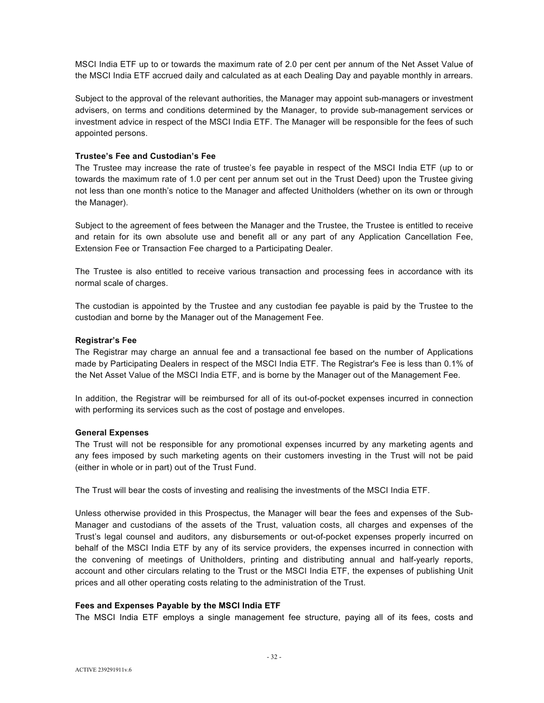MSCI India ETF up to or towards the maximum rate of 2.0 per cent per annum of the Net Asset Value of the MSCI India ETF accrued daily and calculated as at each Dealing Day and payable monthly in arrears.

Subject to the approval of the relevant authorities, the Manager may appoint sub-managers or investment advisers, on terms and conditions determined by the Manager, to provide sub-management services or investment advice in respect of the MSCI India ETF. The Manager will be responsible for the fees of such appointed persons.

## **Trustee's Fee and Custodian's Fee**

The Trustee may increase the rate of trustee's fee payable in respect of the MSCI India ETF (up to or towards the maximum rate of 1.0 per cent per annum set out in the Trust Deed) upon the Trustee giving not less than one month's notice to the Manager and affected Unitholders (whether on its own or through the Manager).

Subject to the agreement of fees between the Manager and the Trustee, the Trustee is entitled to receive and retain for its own absolute use and benefit all or any part of any Application Cancellation Fee, Extension Fee or Transaction Fee charged to a Participating Dealer.

The Trustee is also entitled to receive various transaction and processing fees in accordance with its normal scale of charges.

The custodian is appointed by the Trustee and any custodian fee payable is paid by the Trustee to the custodian and borne by the Manager out of the Management Fee.

## **Registrar's Fee**

The Registrar may charge an annual fee and a transactional fee based on the number of Applications made by Participating Dealers in respect of the MSCI India ETF. The Registrar's Fee is less than 0.1% of the Net Asset Value of the MSCI India ETF, and is borne by the Manager out of the Management Fee.

In addition, the Registrar will be reimbursed for all of its out-of-pocket expenses incurred in connection with performing its services such as the cost of postage and envelopes.

## **General Expenses**

The Trust will not be responsible for any promotional expenses incurred by any marketing agents and any fees imposed by such marketing agents on their customers investing in the Trust will not be paid (either in whole or in part) out of the Trust Fund.

The Trust will bear the costs of investing and realising the investments of the MSCI India ETF.

Unless otherwise provided in this Prospectus, the Manager will bear the fees and expenses of the Sub-Manager and custodians of the assets of the Trust, valuation costs, all charges and expenses of the Trust's legal counsel and auditors, any disbursements or out-of-pocket expenses properly incurred on behalf of the MSCI India ETF by any of its service providers, the expenses incurred in connection with the convening of meetings of Unitholders, printing and distributing annual and half-yearly reports, account and other circulars relating to the Trust or the MSCI India ETF, the expenses of publishing Unit prices and all other operating costs relating to the administration of the Trust.

## **Fees and Expenses Payable by the MSCI India ETF**

The MSCI India ETF employs a single management fee structure, paying all of its fees, costs and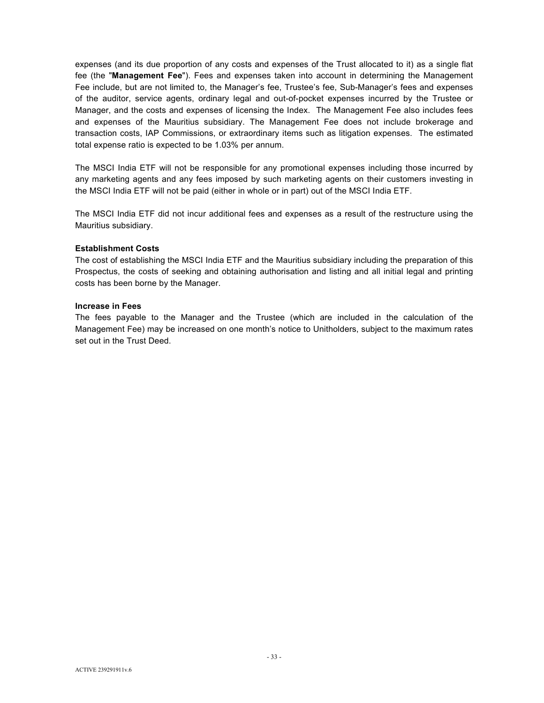expenses (and its due proportion of any costs and expenses of the Trust allocated to it) as a single flat fee (the "**Management Fee**"). Fees and expenses taken into account in determining the Management Fee include, but are not limited to, the Manager's fee, Trustee's fee, Sub-Manager's fees and expenses of the auditor, service agents, ordinary legal and out-of-pocket expenses incurred by the Trustee or Manager, and the costs and expenses of licensing the Index. The Management Fee also includes fees and expenses of the Mauritius subsidiary. The Management Fee does not include brokerage and transaction costs, IAP Commissions, or extraordinary items such as litigation expenses. The estimated total expense ratio is expected to be 1.03% per annum.

The MSCI India ETF will not be responsible for any promotional expenses including those incurred by any marketing agents and any fees imposed by such marketing agents on their customers investing in the MSCI India ETF will not be paid (either in whole or in part) out of the MSCI India ETF.

The MSCI India ETF did not incur additional fees and expenses as a result of the restructure using the Mauritius subsidiary.

#### **Establishment Costs**

The cost of establishing the MSCI India ETF and the Mauritius subsidiary including the preparation of this Prospectus, the costs of seeking and obtaining authorisation and listing and all initial legal and printing costs has been borne by the Manager.

#### **Increase in Fees**

The fees payable to the Manager and the Trustee (which are included in the calculation of the Management Fee) may be increased on one month's notice to Unitholders, subject to the maximum rates set out in the Trust Deed.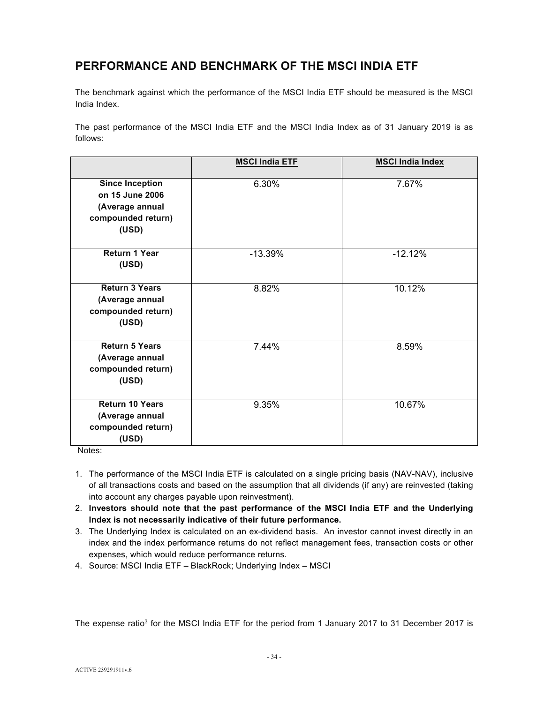# **PERFORMANCE AND BENCHMARK OF THE MSCI INDIA ETF**

The benchmark against which the performance of the MSCI India ETF should be measured is the MSCI India Index.

The past performance of the MSCI India ETF and the MSCI India Index as of 31 January 2019 is as follows:

|                                                                                             | <b>MSCI India ETF</b> | <b>MSCI India Index</b> |
|---------------------------------------------------------------------------------------------|-----------------------|-------------------------|
| <b>Since Inception</b><br>on 15 June 2006<br>(Average annual<br>compounded return)<br>(USD) | 6.30%                 | 7.67%                   |
| <b>Return 1 Year</b><br>(USD)                                                               | $-13.39%$             | $-12.12%$               |
| <b>Return 3 Years</b><br>(Average annual<br>compounded return)<br>(USD)                     | 8.82%                 | 10.12%                  |
| <b>Return 5 Years</b><br>(Average annual<br>compounded return)<br>(USD)                     | 7.44%                 | 8.59%                   |
| <b>Return 10 Years</b><br>(Average annual<br>compounded return)<br>(USD)                    | 9.35%                 | 10.67%                  |

Notes:

- 1. The performance of the MSCI India ETF is calculated on a single pricing basis (NAV-NAV), inclusive of all transactions costs and based on the assumption that all dividends (if any) are reinvested (taking into account any charges payable upon reinvestment).
- 2. **Investors should note that the past performance of the MSCI India ETF and the Underlying Index is not necessarily indicative of their future performance.**
- 3. The Underlying Index is calculated on an ex-dividend basis. An investor cannot invest directly in an index and the index performance returns do not reflect management fees, transaction costs or other expenses, which would reduce performance returns.
- 4. Source: MSCI India ETF BlackRock; Underlying Index MSCI

The expense ratio<sup>3</sup> for the MSCI India ETF for the period from 1 January 2017 to 31 December 2017 is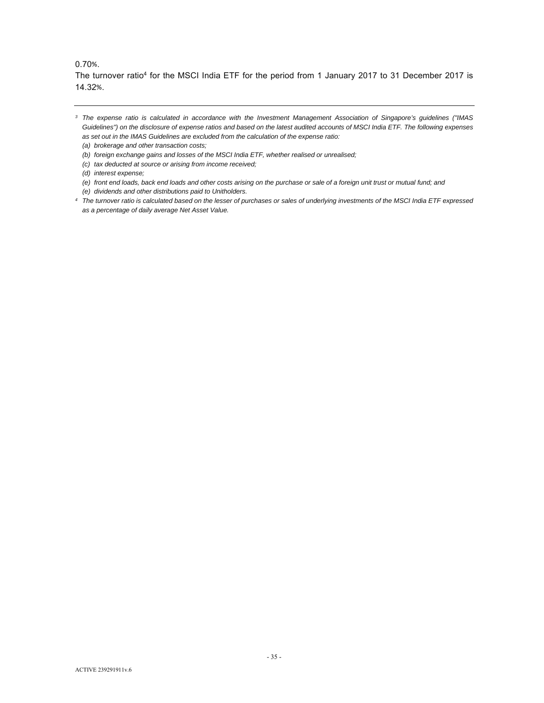## 0.70%.

The turnover ratio<sup>4</sup> for the MSCI India ETF for the period from 1 January 2017 to 31 December 2017 is 14.32%.

- *(b) foreign exchange gains and losses of the MSCI India ETF, whether realised or unrealised;*
- *(c) tax deducted at source or arising from income received;*

- *(e) front end loads, back end loads and other costs arising on the purchase or sale of a foreign unit trust or mutual fund; and*
- *(e) dividends and other distributions paid to Unitholders.*
- *4 The turnover ratio is calculated based on the lesser of purchases or sales of underlying investments of the MSCI India ETF expressed as a percentage of daily average Net Asset Value.*

*<sup>3</sup> The expense ratio is calculated in accordance with the Investment Management Association of Singapore's guidelines ("IMAS Guidelines") on the disclosure of expense ratios and based on the latest audited accounts of MSCI India ETF. The following expenses as set out in the IMAS Guidelines are excluded from the calculation of the expense ratio:* 

*<sup>(</sup>a) brokerage and other transaction costs;* 

*<sup>(</sup>d) interest expense;*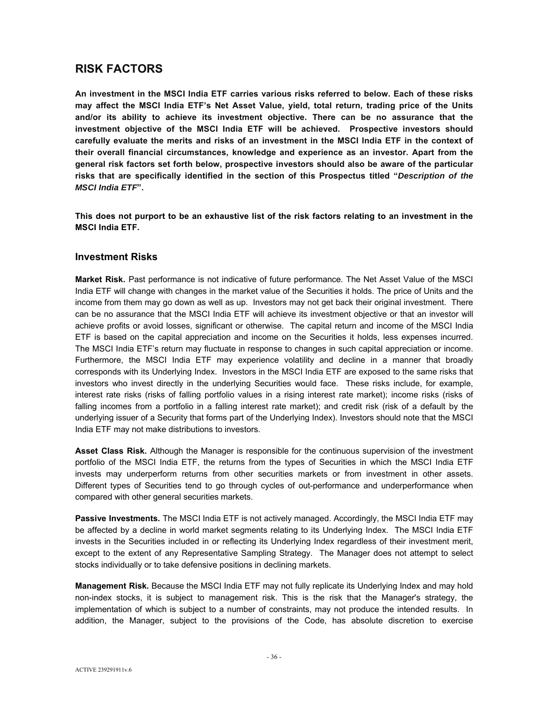# **RISK FACTORS**

**An investment in the MSCI India ETF carries various risks referred to below. Each of these risks may affect the MSCI India ETF's Net Asset Value, yield, total return, trading price of the Units and/or its ability to achieve its investment objective. There can be no assurance that the investment objective of the MSCI India ETF will be achieved. Prospective investors should carefully evaluate the merits and risks of an investment in the MSCI India ETF in the context of their overall financial circumstances, knowledge and experience as an investor. Apart from the general risk factors set forth below, prospective investors should also be aware of the particular risks that are specifically identified in the section of this Prospectus titled "***Description of the MSCI India ETF***".** 

**This does not purport to be an exhaustive list of the risk factors relating to an investment in the MSCI India ETF.** 

# **Investment Risks**

**Market Risk.** Past performance is not indicative of future performance. The Net Asset Value of the MSCI India ETF will change with changes in the market value of the Securities it holds. The price of Units and the income from them may go down as well as up. Investors may not get back their original investment. There can be no assurance that the MSCI India ETF will achieve its investment objective or that an investor will achieve profits or avoid losses, significant or otherwise. The capital return and income of the MSCI India ETF is based on the capital appreciation and income on the Securities it holds, less expenses incurred. The MSCI India ETF's return may fluctuate in response to changes in such capital appreciation or income. Furthermore, the MSCI India ETF may experience volatility and decline in a manner that broadly corresponds with its Underlying Index. Investors in the MSCI India ETF are exposed to the same risks that investors who invest directly in the underlying Securities would face. These risks include, for example, interest rate risks (risks of falling portfolio values in a rising interest rate market); income risks (risks of falling incomes from a portfolio in a falling interest rate market); and credit risk (risk of a default by the underlying issuer of a Security that forms part of the Underlying Index). Investors should note that the MSCI India ETF may not make distributions to investors.

**Asset Class Risk.** Although the Manager is responsible for the continuous supervision of the investment portfolio of the MSCI India ETF, the returns from the types of Securities in which the MSCI India ETF invests may underperform returns from other securities markets or from investment in other assets. Different types of Securities tend to go through cycles of out-performance and underperformance when compared with other general securities markets.

**Passive Investments.** The MSCI India ETF is not actively managed. Accordingly, the MSCI India ETF may be affected by a decline in world market segments relating to its Underlying Index. The MSCI India ETF invests in the Securities included in or reflecting its Underlying Index regardless of their investment merit, except to the extent of any Representative Sampling Strategy. The Manager does not attempt to select stocks individually or to take defensive positions in declining markets.

**Management Risk.** Because the MSCI India ETF may not fully replicate its Underlying Index and may hold non-index stocks, it is subject to management risk. This is the risk that the Manager's strategy, the implementation of which is subject to a number of constraints, may not produce the intended results. In addition, the Manager, subject to the provisions of the Code, has absolute discretion to exercise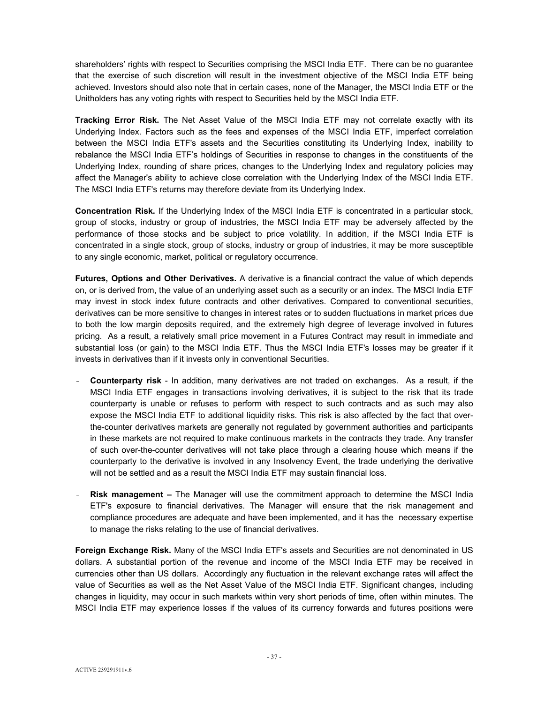shareholders' rights with respect to Securities comprising the MSCI India ETF. There can be no guarantee that the exercise of such discretion will result in the investment objective of the MSCI India ETF being achieved. Investors should also note that in certain cases, none of the Manager, the MSCI India ETF or the Unitholders has any voting rights with respect to Securities held by the MSCI India ETF.

**Tracking Error Risk.** The Net Asset Value of the MSCI India ETF may not correlate exactly with its Underlying Index. Factors such as the fees and expenses of the MSCI India ETF, imperfect correlation between the MSCI India ETF's assets and the Securities constituting its Underlying Index, inability to rebalance the MSCI India ETF's holdings of Securities in response to changes in the constituents of the Underlying Index, rounding of share prices, changes to the Underlying Index and regulatory policies may affect the Manager's ability to achieve close correlation with the Underlying Index of the MSCI India ETF. The MSCI India ETF's returns may therefore deviate from its Underlying Index.

**Concentration Risk.** If the Underlying Index of the MSCI India ETF is concentrated in a particular stock, group of stocks, industry or group of industries, the MSCI India ETF may be adversely affected by the performance of those stocks and be subject to price volatility. In addition, if the MSCI India ETF is concentrated in a single stock, group of stocks, industry or group of industries, it may be more susceptible to any single economic, market, political or regulatory occurrence.

**Futures, Options and Other Derivatives.** A derivative is a financial contract the value of which depends on, or is derived from, the value of an underlying asset such as a security or an index. The MSCI India ETF may invest in stock index future contracts and other derivatives. Compared to conventional securities, derivatives can be more sensitive to changes in interest rates or to sudden fluctuations in market prices due to both the low margin deposits required, and the extremely high degree of leverage involved in futures pricing. As a result, a relatively small price movement in a Futures Contract may result in immediate and substantial loss (or gain) to the MSCI India ETF. Thus the MSCI India ETF's losses may be greater if it invests in derivatives than if it invests only in conventional Securities.

- **Counterparty risk** In addition, many derivatives are not traded on exchanges. As a result, if the MSCI India ETF engages in transactions involving derivatives, it is subject to the risk that its trade counterparty is unable or refuses to perform with respect to such contracts and as such may also expose the MSCI India ETF to additional liquidity risks. This risk is also affected by the fact that overthe-counter derivatives markets are generally not regulated by government authorities and participants in these markets are not required to make continuous markets in the contracts they trade. Any transfer of such over-the-counter derivatives will not take place through a clearing house which means if the counterparty to the derivative is involved in any Insolvency Event, the trade underlying the derivative will not be settled and as a result the MSCI India ETF may sustain financial loss.
- **Risk management –** The Manager will use the commitment approach to determine the MSCI India ETF's exposure to financial derivatives. The Manager will ensure that the risk management and compliance procedures are adequate and have been implemented, and it has the necessary expertise to manage the risks relating to the use of financial derivatives.

**Foreign Exchange Risk.** Many of the MSCI India ETF's assets and Securities are not denominated in US dollars. A substantial portion of the revenue and income of the MSCI India ETF may be received in currencies other than US dollars. Accordingly any fluctuation in the relevant exchange rates will affect the value of Securities as well as the Net Asset Value of the MSCI India ETF. Significant changes, including changes in liquidity, may occur in such markets within very short periods of time, often within minutes. The MSCI India ETF may experience losses if the values of its currency forwards and futures positions were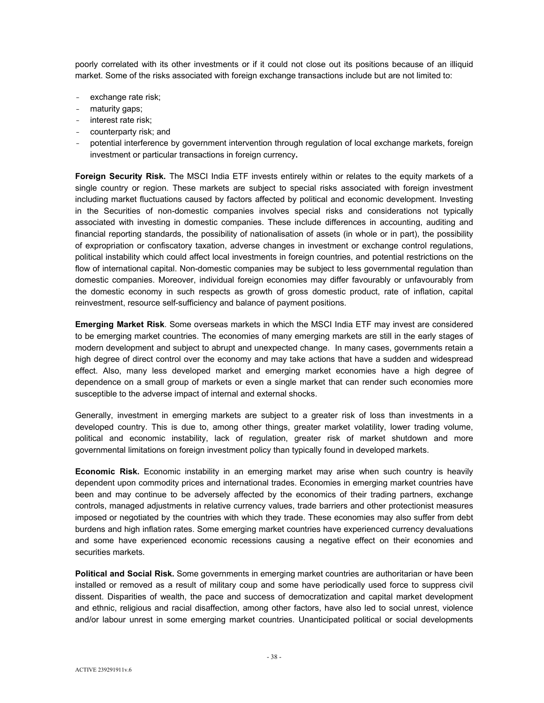poorly correlated with its other investments or if it could not close out its positions because of an illiquid market. Some of the risks associated with foreign exchange transactions include but are not limited to:

- exchange rate risk;
- maturity gaps;
- interest rate risk;
- counterparty risk; and
- potential interference by government intervention through regulation of local exchange markets, foreign investment or particular transactions in foreign currency**.**

**Foreign Security Risk.** The MSCI India ETF invests entirely within or relates to the equity markets of a single country or region. These markets are subject to special risks associated with foreign investment including market fluctuations caused by factors affected by political and economic development. Investing in the Securities of non-domestic companies involves special risks and considerations not typically associated with investing in domestic companies. These include differences in accounting, auditing and financial reporting standards, the possibility of nationalisation of assets (in whole or in part), the possibility of expropriation or confiscatory taxation, adverse changes in investment or exchange control regulations, political instability which could affect local investments in foreign countries, and potential restrictions on the flow of international capital. Non-domestic companies may be subject to less governmental regulation than domestic companies. Moreover, individual foreign economies may differ favourably or unfavourably from the domestic economy in such respects as growth of gross domestic product, rate of inflation, capital reinvestment, resource self-sufficiency and balance of payment positions.

**Emerging Market Risk**. Some overseas markets in which the MSCI India ETF may invest are considered to be emerging market countries. The economies of many emerging markets are still in the early stages of modern development and subject to abrupt and unexpected change. In many cases, governments retain a high degree of direct control over the economy and may take actions that have a sudden and widespread effect. Also, many less developed market and emerging market economies have a high degree of dependence on a small group of markets or even a single market that can render such economies more susceptible to the adverse impact of internal and external shocks.

Generally, investment in emerging markets are subject to a greater risk of loss than investments in a developed country. This is due to, among other things, greater market volatility, lower trading volume, political and economic instability, lack of regulation, greater risk of market shutdown and more governmental limitations on foreign investment policy than typically found in developed markets.

**Economic Risk.** Economic instability in an emerging market may arise when such country is heavily dependent upon commodity prices and international trades. Economies in emerging market countries have been and may continue to be adversely affected by the economics of their trading partners, exchange controls, managed adjustments in relative currency values, trade barriers and other protectionist measures imposed or negotiated by the countries with which they trade. These economies may also suffer from debt burdens and high inflation rates. Some emerging market countries have experienced currency devaluations and some have experienced economic recessions causing a negative effect on their economies and securities markets.

**Political and Social Risk.** Some governments in emerging market countries are authoritarian or have been installed or removed as a result of military coup and some have periodically used force to suppress civil dissent. Disparities of wealth, the pace and success of democratization and capital market development and ethnic, religious and racial disaffection, among other factors, have also led to social unrest, violence and/or labour unrest in some emerging market countries. Unanticipated political or social developments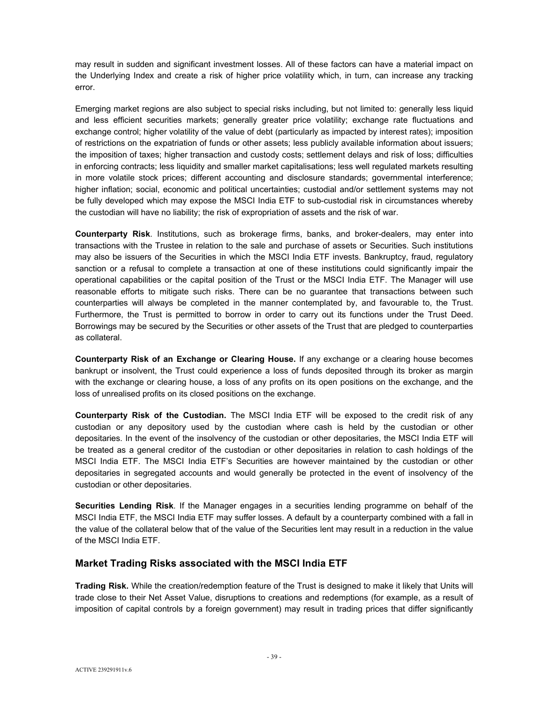may result in sudden and significant investment losses. All of these factors can have a material impact on the Underlying Index and create a risk of higher price volatility which, in turn, can increase any tracking error.

Emerging market regions are also subject to special risks including, but not limited to: generally less liquid and less efficient securities markets; generally greater price volatility; exchange rate fluctuations and exchange control; higher volatility of the value of debt (particularly as impacted by interest rates); imposition of restrictions on the expatriation of funds or other assets; less publicly available information about issuers; the imposition of taxes; higher transaction and custody costs; settlement delays and risk of loss; difficulties in enforcing contracts; less liquidity and smaller market capitalisations; less well regulated markets resulting in more volatile stock prices; different accounting and disclosure standards; governmental interference; higher inflation; social, economic and political uncertainties; custodial and/or settlement systems may not be fully developed which may expose the MSCI India ETF to sub-custodial risk in circumstances whereby the custodian will have no liability; the risk of expropriation of assets and the risk of war.

**Counterparty Risk**. Institutions, such as brokerage firms, banks, and broker-dealers, may enter into transactions with the Trustee in relation to the sale and purchase of assets or Securities. Such institutions may also be issuers of the Securities in which the MSCI India ETF invests. Bankruptcy, fraud, regulatory sanction or a refusal to complete a transaction at one of these institutions could significantly impair the operational capabilities or the capital position of the Trust or the MSCI India ETF. The Manager will use reasonable efforts to mitigate such risks. There can be no guarantee that transactions between such counterparties will always be completed in the manner contemplated by, and favourable to, the Trust. Furthermore, the Trust is permitted to borrow in order to carry out its functions under the Trust Deed. Borrowings may be secured by the Securities or other assets of the Trust that are pledged to counterparties as collateral.

**Counterparty Risk of an Exchange or Clearing House.** If any exchange or a clearing house becomes bankrupt or insolvent, the Trust could experience a loss of funds deposited through its broker as margin with the exchange or clearing house, a loss of any profits on its open positions on the exchange, and the loss of unrealised profits on its closed positions on the exchange.

**Counterparty Risk of the Custodian.** The MSCI India ETF will be exposed to the credit risk of any custodian or any depository used by the custodian where cash is held by the custodian or other depositaries. In the event of the insolvency of the custodian or other depositaries, the MSCI India ETF will be treated as a general creditor of the custodian or other depositaries in relation to cash holdings of the MSCI India ETF. The MSCI India ETF's Securities are however maintained by the custodian or other depositaries in segregated accounts and would generally be protected in the event of insolvency of the custodian or other depositaries.

**Securities Lending Risk**. If the Manager engages in a securities lending programme on behalf of the MSCI India ETF, the MSCI India ETF may suffer losses. A default by a counterparty combined with a fall in the value of the collateral below that of the value of the Securities lent may result in a reduction in the value of the MSCI India ETF.

# **Market Trading Risks associated with the MSCI India ETF**

**Trading Risk.** While the creation/redemption feature of the Trust is designed to make it likely that Units will trade close to their Net Asset Value, disruptions to creations and redemptions (for example, as a result of imposition of capital controls by a foreign government) may result in trading prices that differ significantly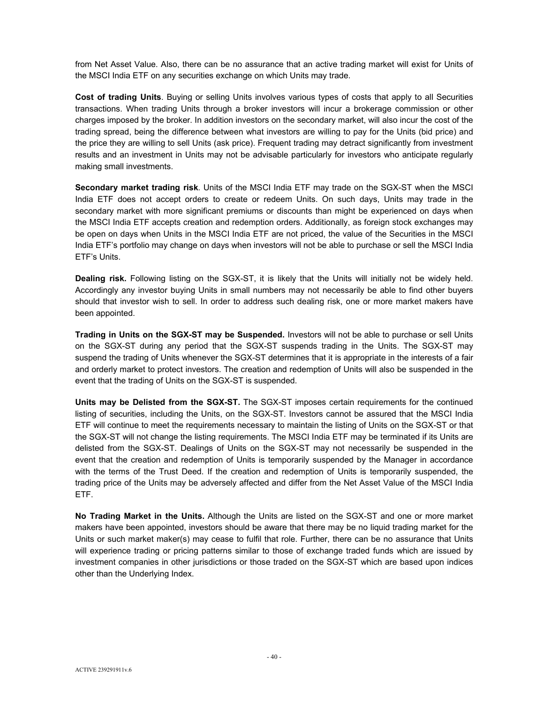from Net Asset Value. Also, there can be no assurance that an active trading market will exist for Units of the MSCI India ETF on any securities exchange on which Units may trade.

**Cost of trading Units**. Buying or selling Units involves various types of costs that apply to all Securities transactions. When trading Units through a broker investors will incur a brokerage commission or other charges imposed by the broker. In addition investors on the secondary market, will also incur the cost of the trading spread, being the difference between what investors are willing to pay for the Units (bid price) and the price they are willing to sell Units (ask price). Frequent trading may detract significantly from investment results and an investment in Units may not be advisable particularly for investors who anticipate regularly making small investments.

**Secondary market trading risk**. Units of the MSCI India ETF may trade on the SGX-ST when the MSCI India ETF does not accept orders to create or redeem Units. On such days, Units may trade in the secondary market with more significant premiums or discounts than might be experienced on days when the MSCI India ETF accepts creation and redemption orders. Additionally, as foreign stock exchanges may be open on days when Units in the MSCI India ETF are not priced, the value of the Securities in the MSCI India ETF's portfolio may change on days when investors will not be able to purchase or sell the MSCI India ETF's Units.

**Dealing risk.** Following listing on the SGX-ST, it is likely that the Units will initially not be widely held. Accordingly any investor buying Units in small numbers may not necessarily be able to find other buyers should that investor wish to sell. In order to address such dealing risk, one or more market makers have been appointed.

**Trading in Units on the SGX-ST may be Suspended.** Investors will not be able to purchase or sell Units on the SGX-ST during any period that the SGX-ST suspends trading in the Units. The SGX-ST may suspend the trading of Units whenever the SGX-ST determines that it is appropriate in the interests of a fair and orderly market to protect investors. The creation and redemption of Units will also be suspended in the event that the trading of Units on the SGX-ST is suspended.

**Units may be Delisted from the SGX-ST.** The SGX-ST imposes certain requirements for the continued listing of securities, including the Units, on the SGX-ST. Investors cannot be assured that the MSCI India ETF will continue to meet the requirements necessary to maintain the listing of Units on the SGX-ST or that the SGX-ST will not change the listing requirements. The MSCI India ETF may be terminated if its Units are delisted from the SGX-ST. Dealings of Units on the SGX-ST may not necessarily be suspended in the event that the creation and redemption of Units is temporarily suspended by the Manager in accordance with the terms of the Trust Deed. If the creation and redemption of Units is temporarily suspended, the trading price of the Units may be adversely affected and differ from the Net Asset Value of the MSCI India ETF.

**No Trading Market in the Units.** Although the Units are listed on the SGX-ST and one or more market makers have been appointed, investors should be aware that there may be no liquid trading market for the Units or such market maker(s) may cease to fulfil that role. Further, there can be no assurance that Units will experience trading or pricing patterns similar to those of exchange traded funds which are issued by investment companies in other jurisdictions or those traded on the SGX-ST which are based upon indices other than the Underlying Index.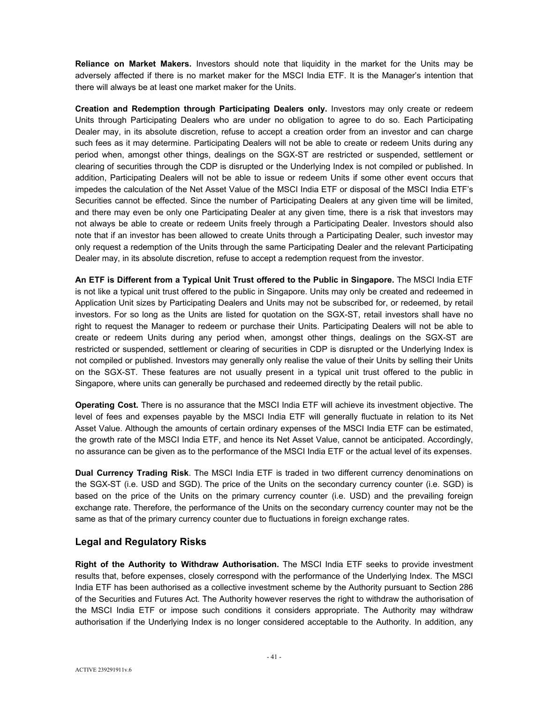**Reliance on Market Makers.** Investors should note that liquidity in the market for the Units may be adversely affected if there is no market maker for the MSCI India ETF. It is the Manager's intention that there will always be at least one market maker for the Units.

**Creation and Redemption through Participating Dealers only.** Investors may only create or redeem Units through Participating Dealers who are under no obligation to agree to do so. Each Participating Dealer may, in its absolute discretion, refuse to accept a creation order from an investor and can charge such fees as it may determine. Participating Dealers will not be able to create or redeem Units during any period when, amongst other things, dealings on the SGX-ST are restricted or suspended, settlement or clearing of securities through the CDP is disrupted or the Underlying Index is not compiled or published. In addition, Participating Dealers will not be able to issue or redeem Units if some other event occurs that impedes the calculation of the Net Asset Value of the MSCI India ETF or disposal of the MSCI India ETF's Securities cannot be effected. Since the number of Participating Dealers at any given time will be limited, and there may even be only one Participating Dealer at any given time, there is a risk that investors may not always be able to create or redeem Units freely through a Participating Dealer. Investors should also note that if an investor has been allowed to create Units through a Participating Dealer, such investor may only request a redemption of the Units through the same Participating Dealer and the relevant Participating Dealer may, in its absolute discretion, refuse to accept a redemption request from the investor.

**An ETF is Different from a Typical Unit Trust offered to the Public in Singapore.** The MSCI India ETF is not like a typical unit trust offered to the public in Singapore. Units may only be created and redeemed in Application Unit sizes by Participating Dealers and Units may not be subscribed for, or redeemed, by retail investors. For so long as the Units are listed for quotation on the SGX-ST, retail investors shall have no right to request the Manager to redeem or purchase their Units. Participating Dealers will not be able to create or redeem Units during any period when, amongst other things, dealings on the SGX-ST are restricted or suspended, settlement or clearing of securities in CDP is disrupted or the Underlying Index is not compiled or published. Investors may generally only realise the value of their Units by selling their Units on the SGX-ST. These features are not usually present in a typical unit trust offered to the public in Singapore, where units can generally be purchased and redeemed directly by the retail public.

**Operating Cost.** There is no assurance that the MSCI India ETF will achieve its investment objective. The level of fees and expenses payable by the MSCI India ETF will generally fluctuate in relation to its Net Asset Value. Although the amounts of certain ordinary expenses of the MSCI India ETF can be estimated, the growth rate of the MSCI India ETF, and hence its Net Asset Value, cannot be anticipated. Accordingly, no assurance can be given as to the performance of the MSCI India ETF or the actual level of its expenses.

**Dual Currency Trading Risk**. The MSCI India ETF is traded in two different currency denominations on the SGX-ST (i.e. USD and SGD). The price of the Units on the secondary currency counter (i.e. SGD) is based on the price of the Units on the primary currency counter (i.e. USD) and the prevailing foreign exchange rate. Therefore, the performance of the Units on the secondary currency counter may not be the same as that of the primary currency counter due to fluctuations in foreign exchange rates.

# **Legal and Regulatory Risks**

**Right of the Authority to Withdraw Authorisation.** The MSCI India ETF seeks to provide investment results that, before expenses, closely correspond with the performance of the Underlying Index. The MSCI India ETF has been authorised as a collective investment scheme by the Authority pursuant to Section 286 of the Securities and Futures Act. The Authority however reserves the right to withdraw the authorisation of the MSCI India ETF or impose such conditions it considers appropriate. The Authority may withdraw authorisation if the Underlying Index is no longer considered acceptable to the Authority. In addition, any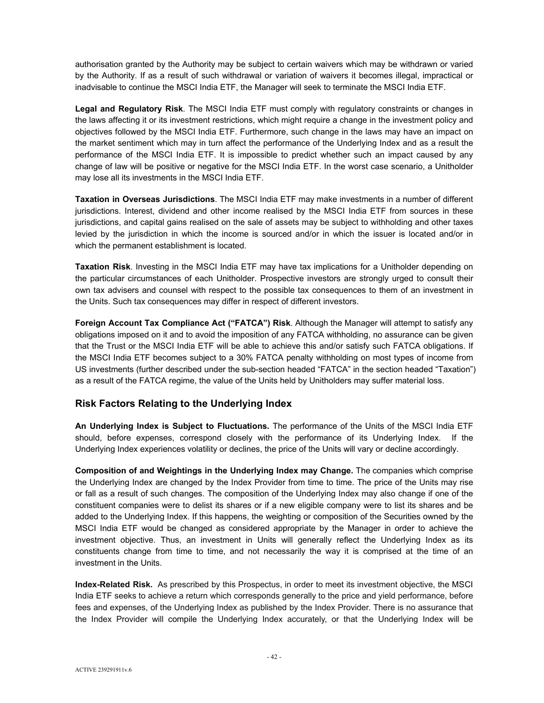authorisation granted by the Authority may be subject to certain waivers which may be withdrawn or varied by the Authority. If as a result of such withdrawal or variation of waivers it becomes illegal, impractical or inadvisable to continue the MSCI India ETF, the Manager will seek to terminate the MSCI India ETF.

**Legal and Regulatory Risk**. The MSCI India ETF must comply with regulatory constraints or changes in the laws affecting it or its investment restrictions, which might require a change in the investment policy and objectives followed by the MSCI India ETF. Furthermore, such change in the laws may have an impact on the market sentiment which may in turn affect the performance of the Underlying Index and as a result the performance of the MSCI India ETF. It is impossible to predict whether such an impact caused by any change of law will be positive or negative for the MSCI India ETF. In the worst case scenario, a Unitholder may lose all its investments in the MSCI India ETF.

**Taxation in Overseas Jurisdictions**. The MSCI India ETF may make investments in a number of different jurisdictions. Interest, dividend and other income realised by the MSCI India ETF from sources in these jurisdictions, and capital gains realised on the sale of assets may be subject to withholding and other taxes levied by the jurisdiction in which the income is sourced and/or in which the issuer is located and/or in which the permanent establishment is located.

**Taxation Risk**. Investing in the MSCI India ETF may have tax implications for a Unitholder depending on the particular circumstances of each Unitholder. Prospective investors are strongly urged to consult their own tax advisers and counsel with respect to the possible tax consequences to them of an investment in the Units. Such tax consequences may differ in respect of different investors.

**Foreign Account Tax Compliance Act ("FATCA") Risk**. Although the Manager will attempt to satisfy any obligations imposed on it and to avoid the imposition of any FATCA withholding, no assurance can be given that the Trust or the MSCI India ETF will be able to achieve this and/or satisfy such FATCA obligations. If the MSCI India ETF becomes subject to a 30% FATCA penalty withholding on most types of income from US investments (further described under the sub-section headed "FATCA" in the section headed "Taxation") as a result of the FATCA regime, the value of the Units held by Unitholders may suffer material loss.

# **Risk Factors Relating to the Underlying Index**

**An Underlying Index is Subject to Fluctuations.** The performance of the Units of the MSCI India ETF should, before expenses, correspond closely with the performance of its Underlying Index. If the Underlying Index experiences volatility or declines, the price of the Units will vary or decline accordingly.

**Composition of and Weightings in the Underlying Index may Change.** The companies which comprise the Underlying Index are changed by the Index Provider from time to time. The price of the Units may rise or fall as a result of such changes. The composition of the Underlying Index may also change if one of the constituent companies were to delist its shares or if a new eligible company were to list its shares and be added to the Underlying Index. If this happens, the weighting or composition of the Securities owned by the MSCI India ETF would be changed as considered appropriate by the Manager in order to achieve the investment objective. Thus, an investment in Units will generally reflect the Underlying Index as its constituents change from time to time, and not necessarily the way it is comprised at the time of an investment in the Units.

**Index-Related Risk.** As prescribed by this Prospectus, in order to meet its investment objective, the MSCI India ETF seeks to achieve a return which corresponds generally to the price and yield performance, before fees and expenses, of the Underlying Index as published by the Index Provider. There is no assurance that the Index Provider will compile the Underlying Index accurately, or that the Underlying Index will be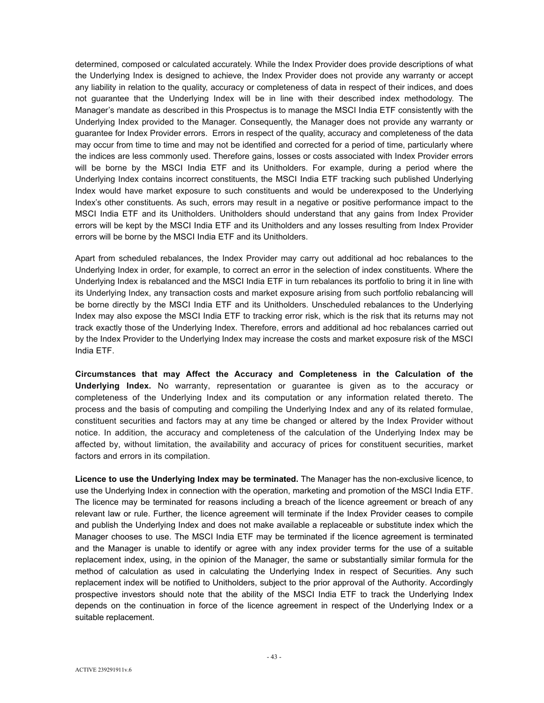determined, composed or calculated accurately. While the Index Provider does provide descriptions of what the Underlying Index is designed to achieve, the Index Provider does not provide any warranty or accept any liability in relation to the quality, accuracy or completeness of data in respect of their indices, and does not guarantee that the Underlying Index will be in line with their described index methodology. The Manager's mandate as described in this Prospectus is to manage the MSCI India ETF consistently with the Underlying Index provided to the Manager. Consequently, the Manager does not provide any warranty or guarantee for Index Provider errors. Errors in respect of the quality, accuracy and completeness of the data may occur from time to time and may not be identified and corrected for a period of time, particularly where the indices are less commonly used. Therefore gains, losses or costs associated with Index Provider errors will be borne by the MSCI India ETF and its Unitholders. For example, during a period where the Underlying Index contains incorrect constituents, the MSCI India ETF tracking such published Underlying Index would have market exposure to such constituents and would be underexposed to the Underlying Index's other constituents. As such, errors may result in a negative or positive performance impact to the MSCI India ETF and its Unitholders. Unitholders should understand that any gains from Index Provider errors will be kept by the MSCI India ETF and its Unitholders and any losses resulting from Index Provider errors will be borne by the MSCI India ETF and its Unitholders.

Apart from scheduled rebalances, the Index Provider may carry out additional ad hoc rebalances to the Underlying Index in order, for example, to correct an error in the selection of index constituents. Where the Underlying Index is rebalanced and the MSCI India ETF in turn rebalances its portfolio to bring it in line with its Underlying Index, any transaction costs and market exposure arising from such portfolio rebalancing will be borne directly by the MSCI India ETF and its Unitholders. Unscheduled rebalances to the Underlying Index may also expose the MSCI India ETF to tracking error risk, which is the risk that its returns may not track exactly those of the Underlying Index. Therefore, errors and additional ad hoc rebalances carried out by the Index Provider to the Underlying Index may increase the costs and market exposure risk of the MSCI India ETF.

**Circumstances that may Affect the Accuracy and Completeness in the Calculation of the Underlying Index.** No warranty, representation or guarantee is given as to the accuracy or completeness of the Underlying Index and its computation or any information related thereto. The process and the basis of computing and compiling the Underlying Index and any of its related formulae, constituent securities and factors may at any time be changed or altered by the Index Provider without notice. In addition, the accuracy and completeness of the calculation of the Underlying Index may be affected by, without limitation, the availability and accuracy of prices for constituent securities, market factors and errors in its compilation.

**Licence to use the Underlying Index may be terminated.** The Manager has the non-exclusive licence, to use the Underlying Index in connection with the operation, marketing and promotion of the MSCI India ETF. The licence may be terminated for reasons including a breach of the licence agreement or breach of any relevant law or rule. Further, the licence agreement will terminate if the Index Provider ceases to compile and publish the Underlying Index and does not make available a replaceable or substitute index which the Manager chooses to use. The MSCI India ETF may be terminated if the licence agreement is terminated and the Manager is unable to identify or agree with any index provider terms for the use of a suitable replacement index, using, in the opinion of the Manager, the same or substantially similar formula for the method of calculation as used in calculating the Underlying Index in respect of Securities. Any such replacement index will be notified to Unitholders, subject to the prior approval of the Authority. Accordingly prospective investors should note that the ability of the MSCI India ETF to track the Underlying Index depends on the continuation in force of the licence agreement in respect of the Underlying Index or a suitable replacement.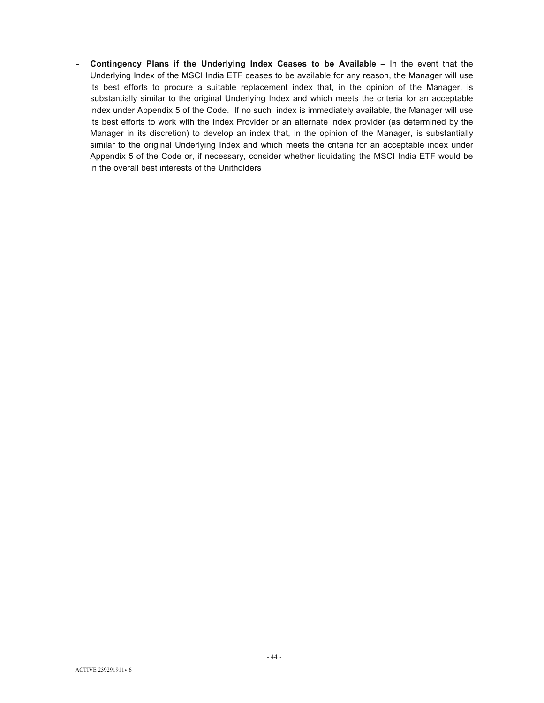- **Contingency Plans if the Underlying Index Ceases to be Available** – In the event that the Underlying Index of the MSCI India ETF ceases to be available for any reason, the Manager will use its best efforts to procure a suitable replacement index that, in the opinion of the Manager, is substantially similar to the original Underlying Index and which meets the criteria for an acceptable index under Appendix 5 of the Code. If no such index is immediately available, the Manager will use its best efforts to work with the Index Provider or an alternate index provider (as determined by the Manager in its discretion) to develop an index that, in the opinion of the Manager, is substantially similar to the original Underlying Index and which meets the criteria for an acceptable index under Appendix 5 of the Code or, if necessary, consider whether liquidating the MSCI India ETF would be in the overall best interests of the Unitholders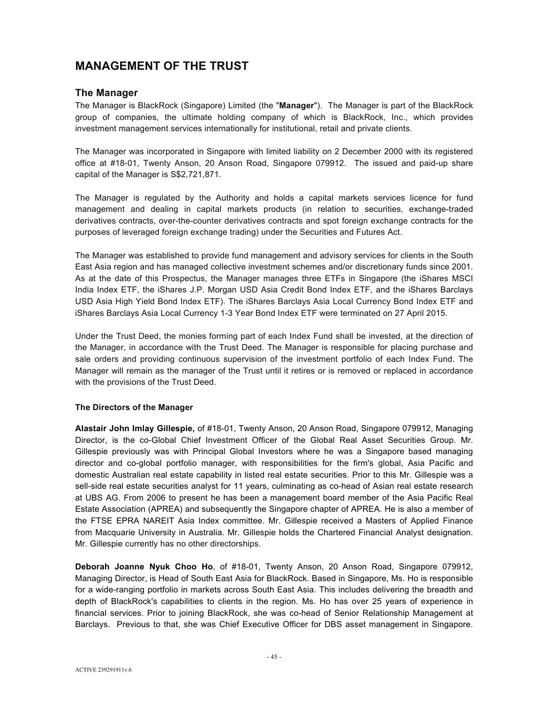# **MANAGEMENT OF THE TRUST**

# **The Manager**

The Manager is BlackRock (Singapore) Limited (the "**Manager**"). The Manager is part of the BlackRock group of companies, the ultimate holding company of which is BlackRock, Inc., which provides investment management services internationally for institutional, retail and private clients.

The Manager was incorporated in Singapore with limited liability on 2 December 2000 with its registered office at #18-01, Twenty Anson, 20 Anson Road, Singapore 079912. The issued and paid-up share capital of the Manager is S\$2,721,871.

The Manager is regulated by the Authority and holds a capital markets services licence for fund management and dealing in capital markets products (in relation to securities, exchange-traded derivatives contracts, over-the-counter derivatives contracts and spot foreign exchange contracts for the purposes of leveraged foreign exchange trading) under the Securities and Futures Act.

The Manager was established to provide fund management and advisory services for clients in the South East Asia region and has managed collective investment schemes and/or discretionary funds since 2001. As at the date of this Prospectus, the Manager manages three ETFs in Singapore (the iShares MSCI India Index ETF, the iShares J.P. Morgan USD Asia Credit Bond Index ETF, and the iShares Barclays USD Asia High Yield Bond Index ETF). The iShares Barclays Asia Local Currency Bond Index ETF and iShares Barclays Asia Local Currency 1-3 Year Bond Index ETF were terminated on 27 April 2015.

Under the Trust Deed, the monies forming part of each Index Fund shall be invested, at the direction of the Manager, in accordance with the Trust Deed. The Manager is responsible for placing purchase and sale orders and providing continuous supervision of the investment portfolio of each Index Fund. The Manager will remain as the manager of the Trust until it retires or is removed or replaced in accordance with the provisions of the Trust Deed.

## **The Directors of the Manager**

**Alastair John Imlay Gillespie,** of #18-01, Twenty Anson, 20 Anson Road, Singapore 079912, Managing Director, is the co-Global Chief Investment Officer of the Global Real Asset Securities Group. Mr. Gillespie previously was with Principal Global Investors where he was a Singapore based managing director and co-global portfolio manager, with responsibilities for the firm's global, Asia Pacific and domestic Australian real estate capability in listed real estate securities. Prior to this Mr. Gillespie was a sell-side real estate securities analyst for 11 years, culminating as co-head of Asian real estate research at UBS AG. From 2006 to present he has been a management board member of the Asia Pacific Real Estate Association (APREA) and subsequently the Singapore chapter of APREA. He is also a member of the FTSE EPRA NAREIT Asia Index committee. Mr. Gillespie received a Masters of Applied Finance from Macquarie University in Australia. Mr. Gillespie holds the Chartered Financial Analyst designation. Mr. Gillespie currently has no other directorships.

**Deborah Joanne Nyuk Choo Ho**, of #18-01, Twenty Anson, 20 Anson Road, Singapore 079912, Managing Director, is Head of South East Asia for BlackRock. Based in Singapore, Ms. Ho is responsible for a wide-ranging portfolio in markets across South East Asia. This includes delivering the breadth and depth of BlackRock's capabilities to clients in the region. Ms. Ho has over 25 years of experience in financial services. Prior to joining BlackRock, she was co-head of Senior Relationship Management at Barclays. Previous to that, she was Chief Executive Officer for DBS asset management in Singapore.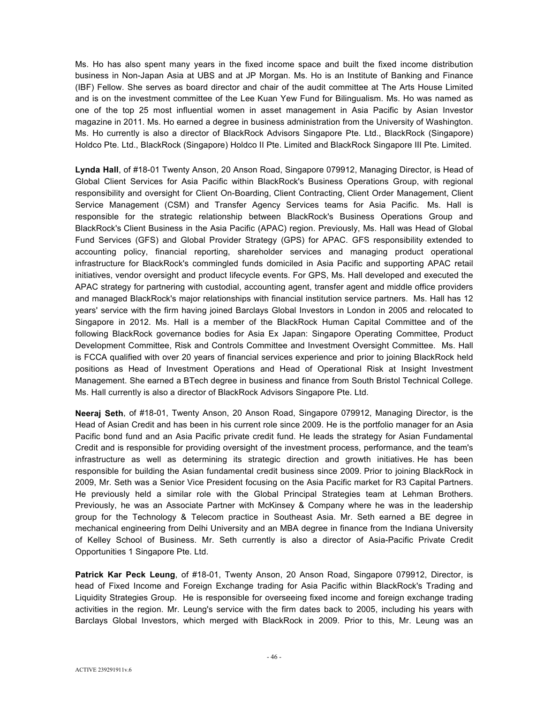Ms. Ho has also spent many years in the fixed income space and built the fixed income distribution business in Non-Japan Asia at UBS and at JP Morgan. Ms. Ho is an Institute of Banking and Finance (IBF) Fellow. She serves as board director and chair of the audit committee at The Arts House Limited and is on the investment committee of the Lee Kuan Yew Fund for Bilingualism. Ms. Ho was named as one of the top 25 most influential women in asset management in Asia Pacific by Asian Investor magazine in 2011. Ms. Ho earned a degree in business administration from the University of Washington. Ms. Ho currently is also a director of BlackRock Advisors Singapore Pte. Ltd., BlackRock (Singapore) Holdco Pte. Ltd., BlackRock (Singapore) Holdco II Pte. Limited and BlackRock Singapore III Pte. Limited.

**Lynda Hall**, of #18-01 Twenty Anson, 20 Anson Road, Singapore 079912, Managing Director, is Head of Global Client Services for Asia Pacific within BlackRock's Business Operations Group, with regional responsibility and oversight for Client On-Boarding, Client Contracting, Client Order Management, Client Service Management (CSM) and Transfer Agency Services teams for Asia Pacific. Ms. Hall is responsible for the strategic relationship between BlackRock's Business Operations Group and BlackRock's Client Business in the Asia Pacific (APAC) region. Previously, Ms. Hall was Head of Global Fund Services (GFS) and Global Provider Strategy (GPS) for APAC. GFS responsibility extended to accounting policy, financial reporting, shareholder services and managing product operational infrastructure for BlackRock's commingled funds domiciled in Asia Pacific and supporting APAC retail initiatives, vendor oversight and product lifecycle events. For GPS, Ms. Hall developed and executed the APAC strategy for partnering with custodial, accounting agent, transfer agent and middle office providers and managed BlackRock's major relationships with financial institution service partners. Ms. Hall has 12 years' service with the firm having joined Barclays Global Investors in London in 2005 and relocated to Singapore in 2012. Ms. Hall is a member of the BlackRock Human Capital Committee and of the following BlackRock governance bodies for Asia Ex Japan: Singapore Operating Committee, Product Development Committee, Risk and Controls Committee and Investment Oversight Committee. Ms. Hall is FCCA qualified with over 20 years of financial services experience and prior to joining BlackRock held positions as Head of Investment Operations and Head of Operational Risk at Insight Investment Management. She earned a BTech degree in business and finance from South Bristol Technical College. Ms. Hall currently is also a director of BlackRock Advisors Singapore Pte. Ltd.

**Neeraj Seth**, of #18-01, Twenty Anson, 20 Anson Road, Singapore 079912, Managing Director, is the Head of Asian Credit and has been in his current role since 2009. He is the portfolio manager for an Asia Pacific bond fund and an Asia Pacific private credit fund. He leads the strategy for Asian Fundamental Credit and is responsible for providing oversight of the investment process, performance, and the team's infrastructure as well as determining its strategic direction and growth initiatives. He has been responsible for building the Asian fundamental credit business since 2009. Prior to joining BlackRock in 2009, Mr. Seth was a Senior Vice President focusing on the Asia Pacific market for R3 Capital Partners. He previously held a similar role with the Global Principal Strategies team at Lehman Brothers. Previously, he was an Associate Partner with McKinsey & Company where he was in the leadership group for the Technology & Telecom practice in Southeast Asia. Mr. Seth earned a BE degree in mechanical engineering from Delhi University and an MBA degree in finance from the Indiana University of Kelley School of Business. Mr. Seth currently is also a director of Asia-Pacific Private Credit Opportunities 1 Singapore Pte. Ltd.

**Patrick Kar Peck Leung**, of #18-01, Twenty Anson, 20 Anson Road, Singapore 079912, Director, is head of Fixed Income and Foreign Exchange trading for Asia Pacific within BlackRock's Trading and Liquidity Strategies Group. He is responsible for overseeing fixed income and foreign exchange trading activities in the region. Mr. Leung's service with the firm dates back to 2005, including his years with Barclays Global Investors, which merged with BlackRock in 2009. Prior to this, Mr. Leung was an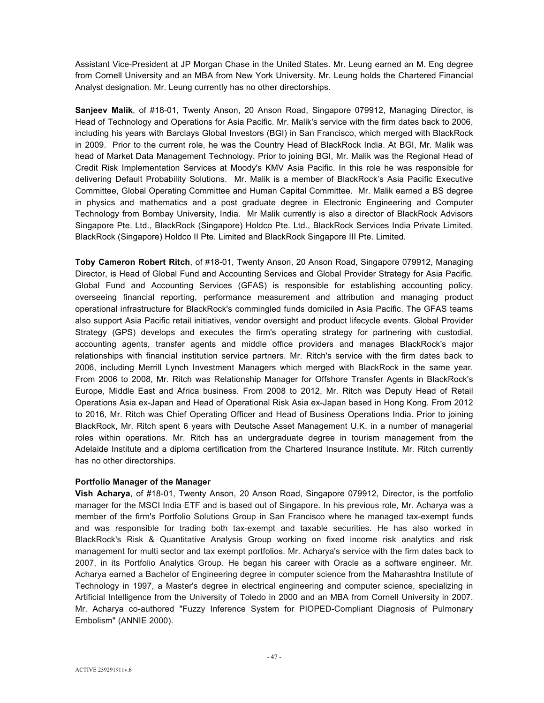Assistant Vice-President at JP Morgan Chase in the United States. Mr. Leung earned an M. Eng degree from Cornell University and an MBA from New York University. Mr. Leung holds the Chartered Financial Analyst designation. Mr. Leung currently has no other directorships.

**Sanjeev Malik**, of #18-01, Twenty Anson, 20 Anson Road, Singapore 079912, Managing Director, is Head of Technology and Operations for Asia Pacific. Mr. Malik's service with the firm dates back to 2006, including his years with Barclays Global Investors (BGI) in San Francisco, which merged with BlackRock in 2009. Prior to the current role, he was the Country Head of BlackRock India. At BGI, Mr. Malik was head of Market Data Management Technology. Prior to joining BGI, Mr. Malik was the Regional Head of Credit Risk Implementation Services at Moody's KMV Asia Pacific. In this role he was responsible for delivering Default Probability Solutions. Mr. Malik is a member of BlackRock's Asia Pacific Executive Committee, Global Operating Committee and Human Capital Committee. Mr. Malik earned a BS degree in physics and mathematics and a post graduate degree in Electronic Engineering and Computer Technology from Bombay University, India. Mr Malik currently is also a director of BlackRock Advisors Singapore Pte. Ltd., BlackRock (Singapore) Holdco Pte. Ltd., BlackRock Services India Private Limited, BlackRock (Singapore) Holdco II Pte. Limited and BlackRock Singapore III Pte. Limited.

**Toby Cameron Robert Ritch**, of #18-01, Twenty Anson, 20 Anson Road, Singapore 079912, Managing Director, is Head of Global Fund and Accounting Services and Global Provider Strategy for Asia Pacific. Global Fund and Accounting Services (GFAS) is responsible for establishing accounting policy, overseeing financial reporting, performance measurement and attribution and managing product operational infrastructure for BlackRock's commingled funds domiciled in Asia Pacific. The GFAS teams also support Asia Pacific retail initiatives, vendor oversight and product lifecycle events. Global Provider Strategy (GPS) develops and executes the firm's operating strategy for partnering with custodial, accounting agents, transfer agents and middle office providers and manages BlackRock's major relationships with financial institution service partners. Mr. Ritch's service with the firm dates back to 2006, including Merrill Lynch Investment Managers which merged with BlackRock in the same year. From 2006 to 2008, Mr. Ritch was Relationship Manager for Offshore Transfer Agents in BlackRock's Europe, Middle East and Africa business. From 2008 to 2012, Mr. Ritch was Deputy Head of Retail Operations Asia ex-Japan and Head of Operational Risk Asia ex-Japan based in Hong Kong. From 2012 to 2016, Mr. Ritch was Chief Operating Officer and Head of Business Operations India. Prior to joining BlackRock, Mr. Ritch spent 6 years with Deutsche Asset Management U.K. in a number of managerial roles within operations. Mr. Ritch has an undergraduate degree in tourism management from the Adelaide Institute and a diploma certification from the Chartered Insurance Institute. Mr. Ritch currently has no other directorships.

## **Portfolio Manager of the Manager**

**Vish Acharya**, of #18-01, Twenty Anson, 20 Anson Road, Singapore 079912, Director, is the portfolio manager for the MSCI India ETF and is based out of Singapore. In his previous role, Mr. Acharya was a member of the firm's Portfolio Solutions Group in San Francisco where he managed tax-exempt funds and was responsible for trading both tax-exempt and taxable securities. He has also worked in BlackRock's Risk & Quantitative Analysis Group working on fixed income risk analytics and risk management for multi sector and tax exempt portfolios. Mr. Acharya's service with the firm dates back to 2007, in its Portfolio Analytics Group. He began his career with Oracle as a software engineer. Mr. Acharya earned a Bachelor of Engineering degree in computer science from the Maharashtra Institute of Technology in 1997, a Master's degree in electrical engineering and computer science, specializing in Artificial Intelligence from the University of Toledo in 2000 and an MBA from Cornell University in 2007. Mr. Acharya co-authored "Fuzzy Inference System for PIOPED-Compliant Diagnosis of Pulmonary Embolism" (ANNIE 2000).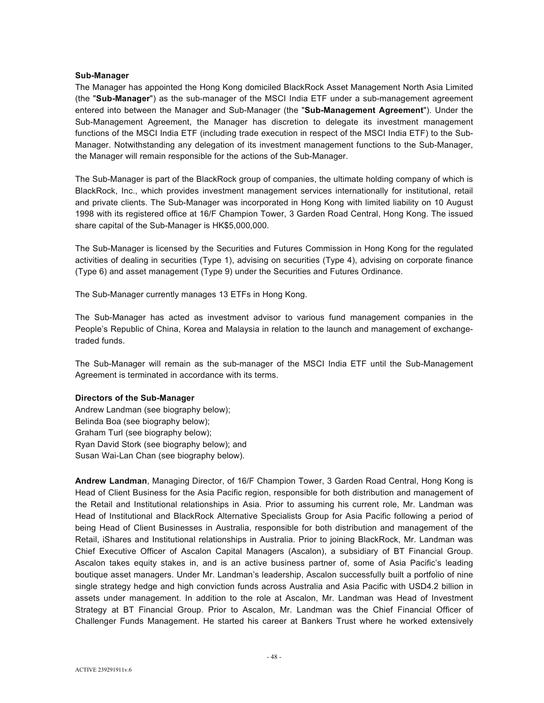#### **Sub-Manager**

The Manager has appointed the Hong Kong domiciled BlackRock Asset Management North Asia Limited (the "**Sub-Manager**") as the sub-manager of the MSCI India ETF under a sub-management agreement entered into between the Manager and Sub-Manager (the "**Sub-Management Agreement**"). Under the Sub-Management Agreement, the Manager has discretion to delegate its investment management functions of the MSCI India ETF (including trade execution in respect of the MSCI India ETF) to the Sub-Manager. Notwithstanding any delegation of its investment management functions to the Sub-Manager, the Manager will remain responsible for the actions of the Sub-Manager.

The Sub-Manager is part of the BlackRock group of companies, the ultimate holding company of which is BlackRock, Inc., which provides investment management services internationally for institutional, retail and private clients. The Sub-Manager was incorporated in Hong Kong with limited liability on 10 August 1998 with its registered office at 16/F Champion Tower, 3 Garden Road Central, Hong Kong. The issued share capital of the Sub-Manager is HK\$5,000,000.

The Sub-Manager is licensed by the Securities and Futures Commission in Hong Kong for the regulated activities of dealing in securities (Type 1), advising on securities (Type 4), advising on corporate finance (Type 6) and asset management (Type 9) under the Securities and Futures Ordinance.

The Sub-Manager currently manages 13 ETFs in Hong Kong.

The Sub-Manager has acted as investment advisor to various fund management companies in the People's Republic of China, Korea and Malaysia in relation to the launch and management of exchangetraded funds.

The Sub-Manager will remain as the sub-manager of the MSCI India ETF until the Sub-Management Agreement is terminated in accordance with its terms.

#### **Directors of the Sub-Manager**

Andrew Landman (see biography below); Belinda Boa (see biography below); Graham Turl (see biography below); Ryan David Stork (see biography below); and Susan Wai-Lan Chan (see biography below).

**Andrew Landman**, Managing Director, of 16/F Champion Tower, 3 Garden Road Central, Hong Kong is Head of Client Business for the Asia Pacific region, responsible for both distribution and management of the Retail and Institutional relationships in Asia. Prior to assuming his current role, Mr. Landman was Head of Institutional and BlackRock Alternative Specialists Group for Asia Pacific following a period of being Head of Client Businesses in Australia, responsible for both distribution and management of the Retail, iShares and Institutional relationships in Australia. Prior to joining BlackRock, Mr. Landman was Chief Executive Officer of Ascalon Capital Managers (Ascalon), a subsidiary of BT Financial Group. Ascalon takes equity stakes in, and is an active business partner of, some of Asia Pacific's leading boutique asset managers. Under Mr. Landman's leadership, Ascalon successfully built a portfolio of nine single strategy hedge and high conviction funds across Australia and Asia Pacific with USD4.2 billion in assets under management. In addition to the role at Ascalon, Mr. Landman was Head of Investment Strategy at BT Financial Group. Prior to Ascalon, Mr. Landman was the Chief Financial Officer of Challenger Funds Management. He started his career at Bankers Trust where he worked extensively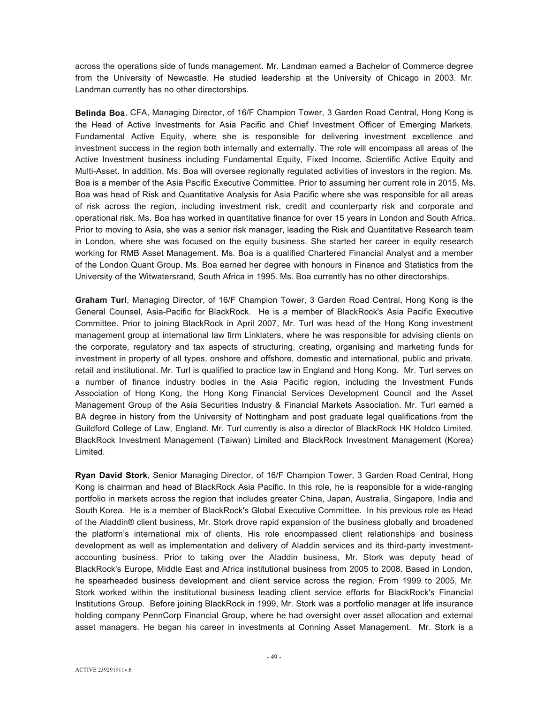across the operations side of funds management. Mr. Landman earned a Bachelor of Commerce degree from the University of Newcastle. He studied leadership at the University of Chicago in 2003. Mr. Landman currently has no other directorships.

**Belinda Boa**, CFA, Managing Director, of 16/F Champion Tower, 3 Garden Road Central, Hong Kong is the Head of Active Investments for Asia Pacific and Chief Investment Officer of Emerging Markets, Fundamental Active Equity, where she is responsible for delivering investment excellence and investment success in the region both internally and externally. The role will encompass all areas of the Active Investment business including Fundamental Equity, Fixed Income, Scientific Active Equity and Multi-Asset. In addition, Ms. Boa will oversee regionally regulated activities of investors in the region. Ms. Boa is a member of the Asia Pacific Executive Committee. Prior to assuming her current role in 2015, Ms. Boa was head of Risk and Quantitative Analysis for Asia Pacific where she was responsible for all areas of risk across the region, including investment risk, credit and counterparty risk and corporate and operational risk. Ms. Boa has worked in quantitative finance for over 15 years in London and South Africa. Prior to moving to Asia, she was a senior risk manager, leading the Risk and Quantitative Research team in London, where she was focused on the equity business. She started her career in equity research working for RMB Asset Management. Ms. Boa is a qualified Chartered Financial Analyst and a member of the London Quant Group. Ms. Boa earned her degree with honours in Finance and Statistics from the University of the Witwatersrand, South Africa in 1995. Ms. Boa currently has no other directorships.

Graham Turl, Managing Director, of 16/F Champion Tower, 3 Garden Road Central, Hong Kong is the General Counsel, Asia-Pacific for BlackRock. He is a member of BlackRock's Asia Pacific Executive Committee. Prior to joining BlackRock in April 2007, Mr. Turl was head of the Hong Kong investment management group at international law firm Linklaters, where he was responsible for advising clients on the corporate, regulatory and tax aspects of structuring, creating, organising and marketing funds for investment in property of all types, onshore and offshore, domestic and international, public and private, retail and institutional. Mr. Turl is qualified to practice law in England and Hong Kong. Mr. Turl serves on a number of finance industry bodies in the Asia Pacific region, including the Investment Funds Association of Hong Kong, the Hong Kong Financial Services Development Council and the Asset Management Group of the Asia Securities Industry & Financial Markets Association. Mr. Turl earned a BA degree in history from the University of Nottingham and post graduate legal qualifications from the Guildford College of Law, England. Mr. Turl currently is also a director of BlackRock HK Holdco Limited, BlackRock Investment Management (Taiwan) Limited and BlackRock Investment Management (Korea) Limited.

**Ryan David Stork**, Senior Managing Director, of 16/F Champion Tower, 3 Garden Road Central, Hong Kong is chairman and head of BlackRock Asia Pacific. In this role, he is responsible for a wide-ranging portfolio in markets across the region that includes greater China, Japan, Australia, Singapore, India and South Korea. He is a member of BlackRock's Global Executive Committee. In his previous role as Head of the Aladdin® client business, Mr. Stork drove rapid expansion of the business globally and broadened the platform's international mix of clients. His role encompassed client relationships and business development as well as implementation and delivery of Aladdin services and its third-party investmentaccounting business. Prior to taking over the Aladdin business, Mr. Stork was deputy head of BlackRock's Europe, Middle East and Africa institutional business from 2005 to 2008. Based in London, he spearheaded business development and client service across the region. From 1999 to 2005, Mr. Stork worked within the institutional business leading client service efforts for BlackRock's Financial Institutions Group. Before joining BlackRock in 1999, Mr. Stork was a portfolio manager at life insurance holding company PennCorp Financial Group, where he had oversight over asset allocation and external asset managers. He began his career in investments at Conning Asset Management. Mr. Stork is a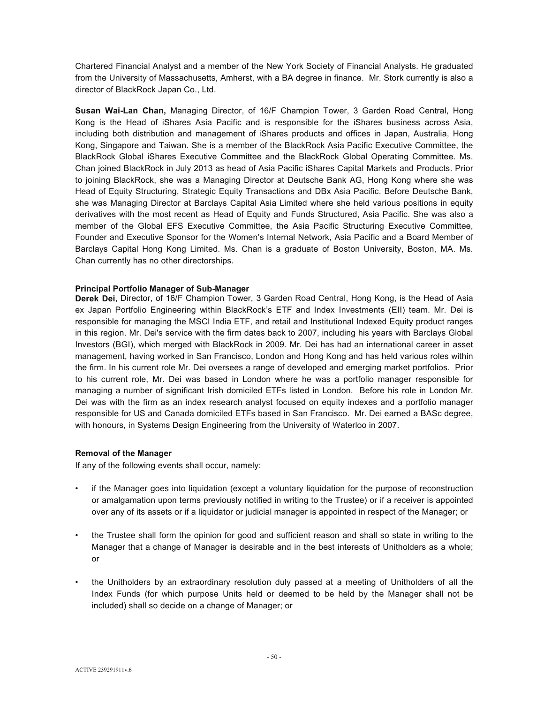Chartered Financial Analyst and a member of the New York Society of Financial Analysts. He graduated from the University of Massachusetts, Amherst, with a BA degree in finance. Mr. Stork currently is also a director of BlackRock Japan Co., Ltd.

**Susan Wai-Lan Chan,** Managing Director, of 16/F Champion Tower, 3 Garden Road Central, Hong Kong is the Head of iShares Asia Pacific and is responsible for the iShares business across Asia, including both distribution and management of iShares products and offices in Japan, Australia, Hong Kong, Singapore and Taiwan. She is a member of the BlackRock Asia Pacific Executive Committee, the BlackRock Global iShares Executive Committee and the BlackRock Global Operating Committee. Ms. Chan joined BlackRock in July 2013 as head of Asia Pacific iShares Capital Markets and Products. Prior to joining BlackRock, she was a Managing Director at Deutsche Bank AG, Hong Kong where she was Head of Equity Structuring, Strategic Equity Transactions and DBx Asia Pacific. Before Deutsche Bank, she was Managing Director at Barclays Capital Asia Limited where she held various positions in equity derivatives with the most recent as Head of Equity and Funds Structured, Asia Pacific. She was also a member of the Global EFS Executive Committee, the Asia Pacific Structuring Executive Committee, Founder and Executive Sponsor for the Women's Internal Network, Asia Pacific and a Board Member of Barclays Capital Hong Kong Limited. Ms. Chan is a graduate of Boston University, Boston, MA. Ms. Chan currently has no other directorships.

#### **Principal Portfolio Manager of Sub-Manager**

**Derek Dei**, Director, of 16/F Champion Tower, 3 Garden Road Central, Hong Kong, is the Head of Asia ex Japan Portfolio Engineering within BlackRock's ETF and Index Investments (EII) team. Mr. Dei is responsible for managing the MSCI India ETF, and retail and Institutional Indexed Equity product ranges in this region. Mr. Dei's service with the firm dates back to 2007, including his years with Barclays Global Investors (BGI), which merged with BlackRock in 2009. Mr. Dei has had an international career in asset management, having worked in San Francisco, London and Hong Kong and has held various roles within the firm. In his current role Mr. Dei oversees a range of developed and emerging market portfolios. Prior to his current role, Mr. Dei was based in London where he was a portfolio manager responsible for managing a number of significant Irish domiciled ETFs listed in London. Before his role in London Mr. Dei was with the firm as an index research analyst focused on equity indexes and a portfolio manager responsible for US and Canada domiciled ETFs based in San Francisco. Mr. Dei earned a BASc degree, with honours, in Systems Design Engineering from the University of Waterloo in 2007.

## **Removal of the Manager**

If any of the following events shall occur, namely:

- if the Manager goes into liquidation (except a voluntary liquidation for the purpose of reconstruction or amalgamation upon terms previously notified in writing to the Trustee) or if a receiver is appointed over any of its assets or if a liquidator or judicial manager is appointed in respect of the Manager; or
- the Trustee shall form the opinion for good and sufficient reason and shall so state in writing to the Manager that a change of Manager is desirable and in the best interests of Unitholders as a whole; or
- the Unitholders by an extraordinary resolution duly passed at a meeting of Unitholders of all the Index Funds (for which purpose Units held or deemed to be held by the Manager shall not be included) shall so decide on a change of Manager; or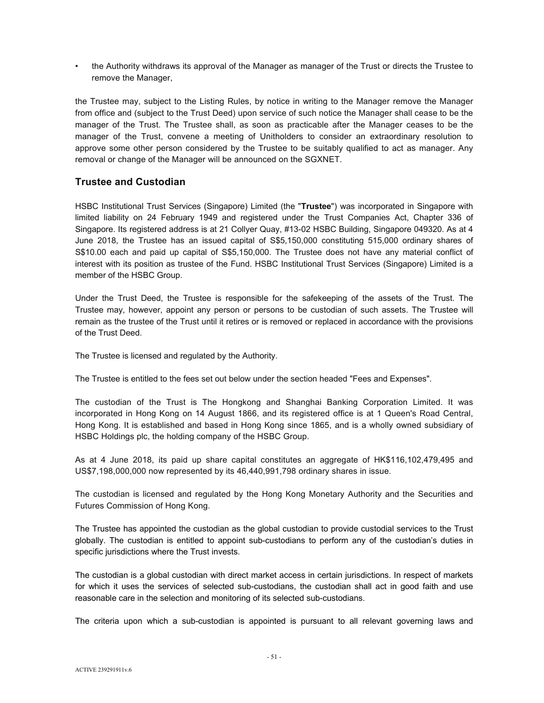• the Authority withdraws its approval of the Manager as manager of the Trust or directs the Trustee to remove the Manager,

the Trustee may, subject to the Listing Rules, by notice in writing to the Manager remove the Manager from office and (subject to the Trust Deed) upon service of such notice the Manager shall cease to be the manager of the Trust. The Trustee shall, as soon as practicable after the Manager ceases to be the manager of the Trust, convene a meeting of Unitholders to consider an extraordinary resolution to approve some other person considered by the Trustee to be suitably qualified to act as manager. Any removal or change of the Manager will be announced on the SGXNET.

# **Trustee and Custodian**

HSBC Institutional Trust Services (Singapore) Limited (the "**Trustee**") was incorporated in Singapore with limited liability on 24 February 1949 and registered under the Trust Companies Act, Chapter 336 of Singapore. Its registered address is at 21 Collyer Quay, #13-02 HSBC Building, Singapore 049320. As at 4 June 2018, the Trustee has an issued capital of S\$5,150,000 constituting 515,000 ordinary shares of S\$10.00 each and paid up capital of S\$5,150,000. The Trustee does not have any material conflict of interest with its position as trustee of the Fund. HSBC Institutional Trust Services (Singapore) Limited is a member of the HSBC Group.

Under the Trust Deed, the Trustee is responsible for the safekeeping of the assets of the Trust. The Trustee may, however, appoint any person or persons to be custodian of such assets. The Trustee will remain as the trustee of the Trust until it retires or is removed or replaced in accordance with the provisions of the Trust Deed.

The Trustee is licensed and regulated by the Authority.

The Trustee is entitled to the fees set out below under the section headed "Fees and Expenses".

The custodian of the Trust is The Hongkong and Shanghai Banking Corporation Limited. It was incorporated in Hong Kong on 14 August 1866, and its registered office is at 1 Queen's Road Central, Hong Kong. It is established and based in Hong Kong since 1865, and is a wholly owned subsidiary of HSBC Holdings plc, the holding company of the HSBC Group.

As at 4 June 2018, its paid up share capital constitutes an aggregate of HK\$116,102,479,495 and US\$7,198,000,000 now represented by its 46,440,991,798 ordinary shares in issue.

The custodian is licensed and regulated by the Hong Kong Monetary Authority and the Securities and Futures Commission of Hong Kong.

The Trustee has appointed the custodian as the global custodian to provide custodial services to the Trust globally. The custodian is entitled to appoint sub-custodians to perform any of the custodian's duties in specific jurisdictions where the Trust invests.

The custodian is a global custodian with direct market access in certain jurisdictions. In respect of markets for which it uses the services of selected sub-custodians, the custodian shall act in good faith and use reasonable care in the selection and monitoring of its selected sub-custodians.

The criteria upon which a sub-custodian is appointed is pursuant to all relevant governing laws and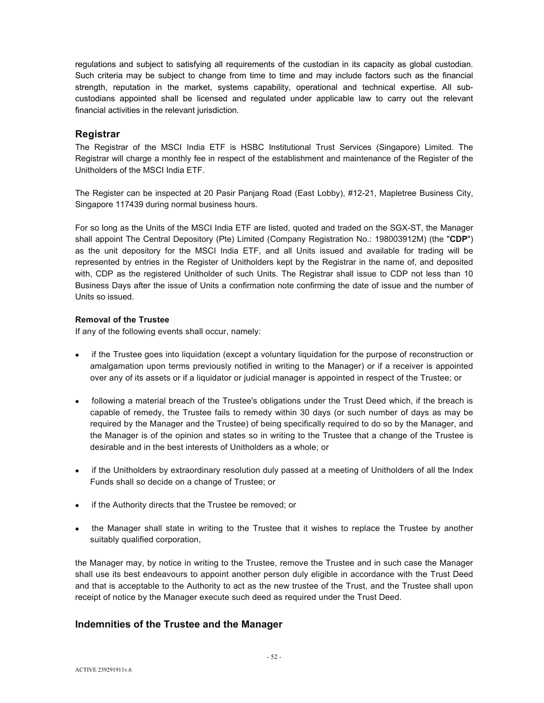regulations and subject to satisfying all requirements of the custodian in its capacity as global custodian. Such criteria may be subject to change from time to time and may include factors such as the financial strength, reputation in the market, systems capability, operational and technical expertise. All subcustodians appointed shall be licensed and regulated under applicable law to carry out the relevant financial activities in the relevant jurisdiction.

# **Registrar**

The Registrar of the MSCI India ETF is HSBC Institutional Trust Services (Singapore) Limited. The Registrar will charge a monthly fee in respect of the establishment and maintenance of the Register of the Unitholders of the MSCI India ETF.

The Register can be inspected at 20 Pasir Panjang Road (East Lobby), #12-21, Mapletree Business City, Singapore 117439 during normal business hours.

For so long as the Units of the MSCI India ETF are listed, quoted and traded on the SGX-ST, the Manager shall appoint The Central Depository (Pte) Limited (Company Registration No.: 198003912M) (the "**CDP**") as the unit depository for the MSCI India ETF, and all Units issued and available for trading will be represented by entries in the Register of Unitholders kept by the Registrar in the name of, and deposited with, CDP as the registered Unitholder of such Units. The Registrar shall issue to CDP not less than 10 Business Days after the issue of Units a confirmation note confirming the date of issue and the number of Units so issued.

## **Removal of the Trustee**

If any of the following events shall occur, namely:

- if the Trustee goes into liquidation (except a voluntary liquidation for the purpose of reconstruction or amalgamation upon terms previously notified in writing to the Manager) or if a receiver is appointed over any of its assets or if a liquidator or judicial manager is appointed in respect of the Trustee; or
- following a material breach of the Trustee's obligations under the Trust Deed which, if the breach is capable of remedy, the Trustee fails to remedy within 30 days (or such number of days as may be required by the Manager and the Trustee) of being specifically required to do so by the Manager, and the Manager is of the opinion and states so in writing to the Trustee that a change of the Trustee is desirable and in the best interests of Unitholders as a whole; or
- if the Unitholders by extraordinary resolution duly passed at a meeting of Unitholders of all the Index Funds shall so decide on a change of Trustee; or
- if the Authority directs that the Trustee be removed; or
- the Manager shall state in writing to the Trustee that it wishes to replace the Trustee by another suitably qualified corporation,

the Manager may, by notice in writing to the Trustee, remove the Trustee and in such case the Manager shall use its best endeavours to appoint another person duly eligible in accordance with the Trust Deed and that is acceptable to the Authority to act as the new trustee of the Trust, and the Trustee shall upon receipt of notice by the Manager execute such deed as required under the Trust Deed.

# **Indemnities of the Trustee and the Manager**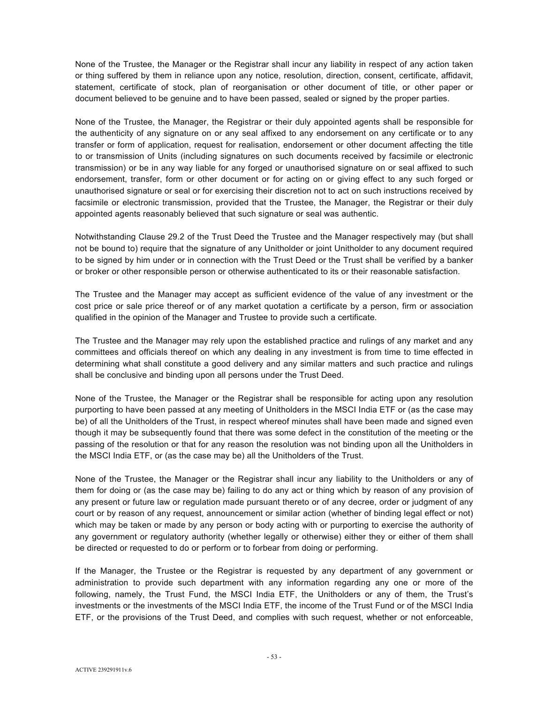None of the Trustee, the Manager or the Registrar shall incur any liability in respect of any action taken or thing suffered by them in reliance upon any notice, resolution, direction, consent, certificate, affidavit, statement, certificate of stock, plan of reorganisation or other document of title, or other paper or document believed to be genuine and to have been passed, sealed or signed by the proper parties.

None of the Trustee, the Manager, the Registrar or their duly appointed agents shall be responsible for the authenticity of any signature on or any seal affixed to any endorsement on any certificate or to any transfer or form of application, request for realisation, endorsement or other document affecting the title to or transmission of Units (including signatures on such documents received by facsimile or electronic transmission) or be in any way liable for any forged or unauthorised signature on or seal affixed to such endorsement, transfer, form or other document or for acting on or giving effect to any such forged or unauthorised signature or seal or for exercising their discretion not to act on such instructions received by facsimile or electronic transmission, provided that the Trustee, the Manager, the Registrar or their duly appointed agents reasonably believed that such signature or seal was authentic.

Notwithstanding Clause 29.2 of the Trust Deed the Trustee and the Manager respectively may (but shall not be bound to) require that the signature of any Unitholder or joint Unitholder to any document required to be signed by him under or in connection with the Trust Deed or the Trust shall be verified by a banker or broker or other responsible person or otherwise authenticated to its or their reasonable satisfaction.

The Trustee and the Manager may accept as sufficient evidence of the value of any investment or the cost price or sale price thereof or of any market quotation a certificate by a person, firm or association qualified in the opinion of the Manager and Trustee to provide such a certificate.

The Trustee and the Manager may rely upon the established practice and rulings of any market and any committees and officials thereof on which any dealing in any investment is from time to time effected in determining what shall constitute a good delivery and any similar matters and such practice and rulings shall be conclusive and binding upon all persons under the Trust Deed.

None of the Trustee, the Manager or the Registrar shall be responsible for acting upon any resolution purporting to have been passed at any meeting of Unitholders in the MSCI India ETF or (as the case may be) of all the Unitholders of the Trust, in respect whereof minutes shall have been made and signed even though it may be subsequently found that there was some defect in the constitution of the meeting or the passing of the resolution or that for any reason the resolution was not binding upon all the Unitholders in the MSCI India ETF, or (as the case may be) all the Unitholders of the Trust.

None of the Trustee, the Manager or the Registrar shall incur any liability to the Unitholders or any of them for doing or (as the case may be) failing to do any act or thing which by reason of any provision of any present or future law or regulation made pursuant thereto or of any decree, order or judgment of any court or by reason of any request, announcement or similar action (whether of binding legal effect or not) which may be taken or made by any person or body acting with or purporting to exercise the authority of any government or regulatory authority (whether legally or otherwise) either they or either of them shall be directed or requested to do or perform or to forbear from doing or performing.

If the Manager, the Trustee or the Registrar is requested by any department of any government or administration to provide such department with any information regarding any one or more of the following, namely, the Trust Fund, the MSCI India ETF, the Unitholders or any of them, the Trust's investments or the investments of the MSCI India ETF, the income of the Trust Fund or of the MSCI India ETF, or the provisions of the Trust Deed, and complies with such request, whether or not enforceable,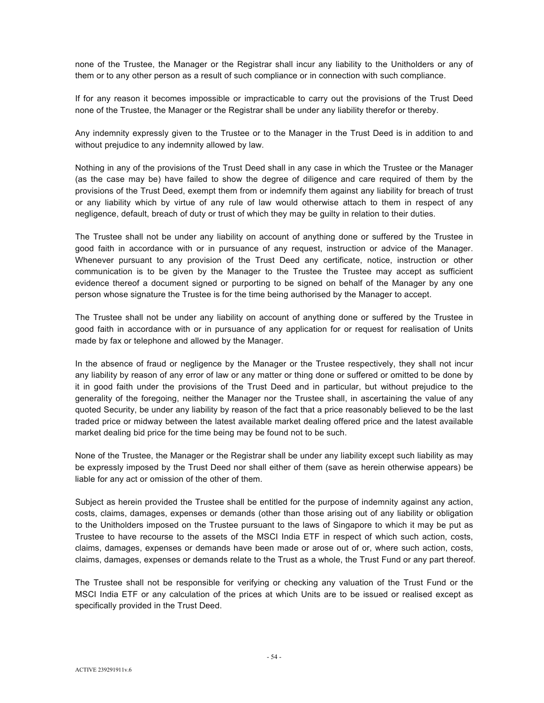none of the Trustee, the Manager or the Registrar shall incur any liability to the Unitholders or any of them or to any other person as a result of such compliance or in connection with such compliance.

If for any reason it becomes impossible or impracticable to carry out the provisions of the Trust Deed none of the Trustee, the Manager or the Registrar shall be under any liability therefor or thereby.

Any indemnity expressly given to the Trustee or to the Manager in the Trust Deed is in addition to and without prejudice to any indemnity allowed by law.

Nothing in any of the provisions of the Trust Deed shall in any case in which the Trustee or the Manager (as the case may be) have failed to show the degree of diligence and care required of them by the provisions of the Trust Deed, exempt them from or indemnify them against any liability for breach of trust or any liability which by virtue of any rule of law would otherwise attach to them in respect of any negligence, default, breach of duty or trust of which they may be guilty in relation to their duties.

The Trustee shall not be under any liability on account of anything done or suffered by the Trustee in good faith in accordance with or in pursuance of any request, instruction or advice of the Manager. Whenever pursuant to any provision of the Trust Deed any certificate, notice, instruction or other communication is to be given by the Manager to the Trustee the Trustee may accept as sufficient evidence thereof a document signed or purporting to be signed on behalf of the Manager by any one person whose signature the Trustee is for the time being authorised by the Manager to accept.

The Trustee shall not be under any liability on account of anything done or suffered by the Trustee in good faith in accordance with or in pursuance of any application for or request for realisation of Units made by fax or telephone and allowed by the Manager.

In the absence of fraud or negligence by the Manager or the Trustee respectively, they shall not incur any liability by reason of any error of law or any matter or thing done or suffered or omitted to be done by it in good faith under the provisions of the Trust Deed and in particular, but without prejudice to the generality of the foregoing, neither the Manager nor the Trustee shall, in ascertaining the value of any quoted Security, be under any liability by reason of the fact that a price reasonably believed to be the last traded price or midway between the latest available market dealing offered price and the latest available market dealing bid price for the time being may be found not to be such.

None of the Trustee, the Manager or the Registrar shall be under any liability except such liability as may be expressly imposed by the Trust Deed nor shall either of them (save as herein otherwise appears) be liable for any act or omission of the other of them.

Subject as herein provided the Trustee shall be entitled for the purpose of indemnity against any action, costs, claims, damages, expenses or demands (other than those arising out of any liability or obligation to the Unitholders imposed on the Trustee pursuant to the laws of Singapore to which it may be put as Trustee to have recourse to the assets of the MSCI India ETF in respect of which such action, costs, claims, damages, expenses or demands have been made or arose out of or, where such action, costs, claims, damages, expenses or demands relate to the Trust as a whole, the Trust Fund or any part thereof.

The Trustee shall not be responsible for verifying or checking any valuation of the Trust Fund or the MSCI India ETF or any calculation of the prices at which Units are to be issued or realised except as specifically provided in the Trust Deed.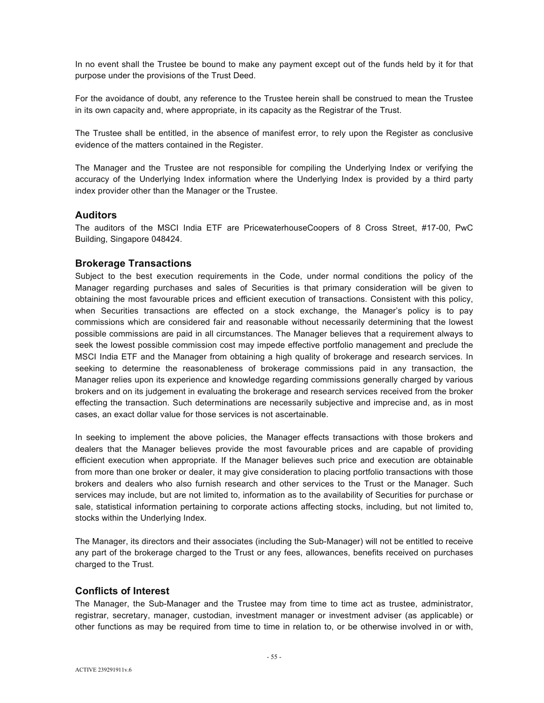In no event shall the Trustee be bound to make any payment except out of the funds held by it for that purpose under the provisions of the Trust Deed.

For the avoidance of doubt, any reference to the Trustee herein shall be construed to mean the Trustee in its own capacity and, where appropriate, in its capacity as the Registrar of the Trust.

The Trustee shall be entitled, in the absence of manifest error, to rely upon the Register as conclusive evidence of the matters contained in the Register.

The Manager and the Trustee are not responsible for compiling the Underlying Index or verifying the accuracy of the Underlying Index information where the Underlying Index is provided by a third party index provider other than the Manager or the Trustee.

# **Auditors**

The auditors of the MSCI India ETF are PricewaterhouseCoopers of 8 Cross Street, #17-00, PwC Building, Singapore 048424.

## **Brokerage Transactions**

Subject to the best execution requirements in the Code, under normal conditions the policy of the Manager regarding purchases and sales of Securities is that primary consideration will be given to obtaining the most favourable prices and efficient execution of transactions. Consistent with this policy, when Securities transactions are effected on a stock exchange, the Manager's policy is to pay commissions which are considered fair and reasonable without necessarily determining that the lowest possible commissions are paid in all circumstances. The Manager believes that a requirement always to seek the lowest possible commission cost may impede effective portfolio management and preclude the MSCI India ETF and the Manager from obtaining a high quality of brokerage and research services. In seeking to determine the reasonableness of brokerage commissions paid in any transaction, the Manager relies upon its experience and knowledge regarding commissions generally charged by various brokers and on its judgement in evaluating the brokerage and research services received from the broker effecting the transaction. Such determinations are necessarily subjective and imprecise and, as in most cases, an exact dollar value for those services is not ascertainable.

In seeking to implement the above policies, the Manager effects transactions with those brokers and dealers that the Manager believes provide the most favourable prices and are capable of providing efficient execution when appropriate. If the Manager believes such price and execution are obtainable from more than one broker or dealer, it may give consideration to placing portfolio transactions with those brokers and dealers who also furnish research and other services to the Trust or the Manager. Such services may include, but are not limited to, information as to the availability of Securities for purchase or sale, statistical information pertaining to corporate actions affecting stocks, including, but not limited to, stocks within the Underlying Index.

The Manager, its directors and their associates (including the Sub-Manager) will not be entitled to receive any part of the brokerage charged to the Trust or any fees, allowances, benefits received on purchases charged to the Trust.

# **Conflicts of Interest**

The Manager, the Sub-Manager and the Trustee may from time to time act as trustee, administrator, registrar, secretary, manager, custodian, investment manager or investment adviser (as applicable) or other functions as may be required from time to time in relation to, or be otherwise involved in or with,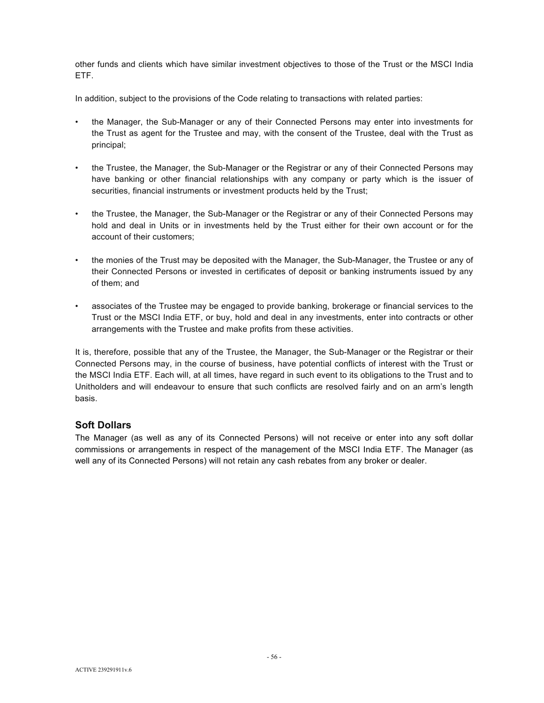other funds and clients which have similar investment objectives to those of the Trust or the MSCI India ETF.

In addition, subject to the provisions of the Code relating to transactions with related parties:

- the Manager, the Sub-Manager or any of their Connected Persons may enter into investments for the Trust as agent for the Trustee and may, with the consent of the Trustee, deal with the Trust as principal;
- the Trustee, the Manager, the Sub-Manager or the Registrar or any of their Connected Persons may have banking or other financial relationships with any company or party which is the issuer of securities, financial instruments or investment products held by the Trust;
- the Trustee, the Manager, the Sub-Manager or the Registrar or any of their Connected Persons may hold and deal in Units or in investments held by the Trust either for their own account or for the account of their customers;
- the monies of the Trust may be deposited with the Manager, the Sub-Manager, the Trustee or any of their Connected Persons or invested in certificates of deposit or banking instruments issued by any of them; and
- associates of the Trustee may be engaged to provide banking, brokerage or financial services to the Trust or the MSCI India ETF, or buy, hold and deal in any investments, enter into contracts or other arrangements with the Trustee and make profits from these activities.

It is, therefore, possible that any of the Trustee, the Manager, the Sub-Manager or the Registrar or their Connected Persons may, in the course of business, have potential conflicts of interest with the Trust or the MSCI India ETF. Each will, at all times, have regard in such event to its obligations to the Trust and to Unitholders and will endeavour to ensure that such conflicts are resolved fairly and on an arm's length basis.

# **Soft Dollars**

The Manager (as well as any of its Connected Persons) will not receive or enter into any soft dollar commissions or arrangements in respect of the management of the MSCI India ETF. The Manager (as well any of its Connected Persons) will not retain any cash rebates from any broker or dealer.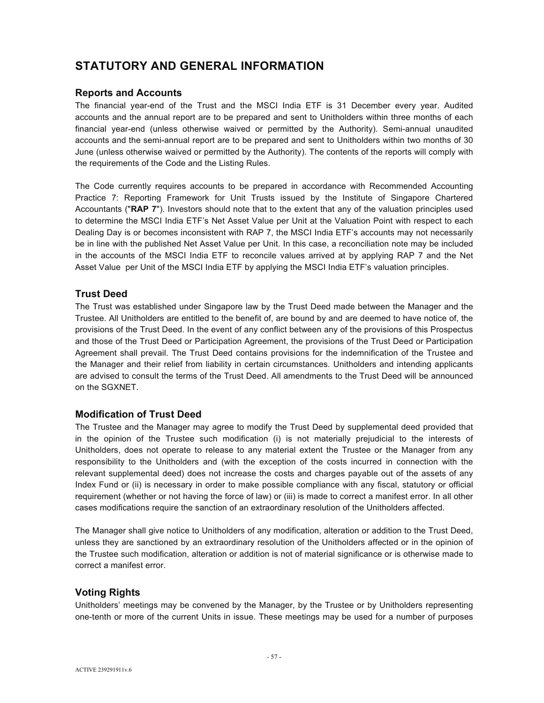# **STATUTORY AND GENERAL INFORMATION**

# **Reports and Accounts**

The financial year-end of the Trust and the MSCI India ETF is 31 December every year. Audited accounts and the annual report are to be prepared and sent to Unitholders within three months of each financial year-end (unless otherwise waived or permitted by the Authority). Semi-annual unaudited accounts and the semi-annual report are to be prepared and sent to Unitholders within two months of 30 June (unless otherwise waived or permitted by the Authority). The contents of the reports will comply with the requirements of the Code and the Listing Rules.

The Code currently requires accounts to be prepared in accordance with Recommended Accounting Practice 7: Reporting Framework for Unit Trusts issued by the Institute of Singapore Chartered Accountants ("**RAP 7**"). Investors should note that to the extent that any of the valuation principles used to determine the MSCI India ETF's Net Asset Value per Unit at the Valuation Point with respect to each Dealing Day is or becomes inconsistent with RAP 7, the MSCI India ETF's accounts may not necessarily be in line with the published Net Asset Value per Unit. In this case, a reconciliation note may be included in the accounts of the MSCI India ETF to reconcile values arrived at by applying RAP 7 and the Net Asset Value per Unit of the MSCI India ETF by applying the MSCI India ETF's valuation principles.

# **Trust Deed**

The Trust was established under Singapore law by the Trust Deed made between the Manager and the Trustee. All Unitholders are entitled to the benefit of, are bound by and are deemed to have notice of, the provisions of the Trust Deed. In the event of any conflict between any of the provisions of this Prospectus and those of the Trust Deed or Participation Agreement, the provisions of the Trust Deed or Participation Agreement shall prevail. The Trust Deed contains provisions for the indemnification of the Trustee and the Manager and their relief from liability in certain circumstances. Unitholders and intending applicants are advised to consult the terms of the Trust Deed. All amendments to the Trust Deed will be announced on the SGXNET.

# **Modification of Trust Deed**

The Trustee and the Manager may agree to modify the Trust Deed by supplemental deed provided that in the opinion of the Trustee such modification (i) is not materially prejudicial to the interests of Unitholders, does not operate to release to any material extent the Trustee or the Manager from any responsibility to the Unitholders and (with the exception of the costs incurred in connection with the relevant supplemental deed) does not increase the costs and charges payable out of the assets of any Index Fund or (ii) is necessary in order to make possible compliance with any fiscal, statutory or official requirement (whether or not having the force of law) or (iii) is made to correct a manifest error. In all other cases modifications require the sanction of an extraordinary resolution of the Unitholders affected.

The Manager shall give notice to Unitholders of any modification, alteration or addition to the Trust Deed, unless they are sanctioned by an extraordinary resolution of the Unitholders affected or in the opinion of the Trustee such modification, alteration or addition is not of material significance or is otherwise made to correct a manifest error.

# **Voting Rights**

Unitholders' meetings may be convened by the Manager, by the Trustee or by Unitholders representing one-tenth or more of the current Units in issue. These meetings may be used for a number of purposes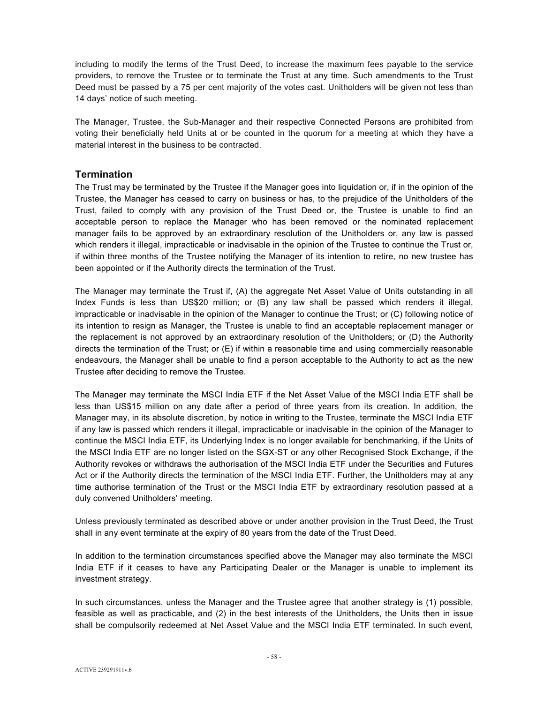including to modify the terms of the Trust Deed, to increase the maximum fees payable to the service providers, to remove the Trustee or to terminate the Trust at any time. Such amendments to the Trust Deed must be passed by a 75 per cent majority of the votes cast. Unitholders will be given not less than 14 days' notice of such meeting.

The Manager, Trustee, the Sub-Manager and their respective Connected Persons are prohibited from voting their beneficially held Units at or be counted in the quorum for a meeting at which they have a material interest in the business to be contracted.

# **Termination**

The Trust may be terminated by the Trustee if the Manager goes into liquidation or, if in the opinion of the Trustee, the Manager has ceased to carry on business or has, to the prejudice of the Unitholders of the Trust, failed to comply with any provision of the Trust Deed or, the Trustee is unable to find an acceptable person to replace the Manager who has been removed or the nominated replacement manager fails to be approved by an extraordinary resolution of the Unitholders or, any law is passed which renders it illegal, impracticable or inadvisable in the opinion of the Trustee to continue the Trust or, if within three months of the Trustee notifying the Manager of its intention to retire, no new trustee has been appointed or if the Authority directs the termination of the Trust.

The Manager may terminate the Trust if, (A) the aggregate Net Asset Value of Units outstanding in all Index Funds is less than US\$20 million; or (B) any law shall be passed which renders it illegal, impracticable or inadvisable in the opinion of the Manager to continue the Trust; or (C) following notice of its intention to resign as Manager, the Trustee is unable to find an acceptable replacement manager or the replacement is not approved by an extraordinary resolution of the Unitholders; or (D) the Authority directs the termination of the Trust; or (E) if within a reasonable time and using commercially reasonable endeavours, the Manager shall be unable to find a person acceptable to the Authority to act as the new Trustee after deciding to remove the Trustee.

The Manager may terminate the MSCI India ETF if the Net Asset Value of the MSCI India ETF shall be less than US\$15 million on any date after a period of three years from its creation. In addition, the Manager may, in its absolute discretion, by notice in writing to the Trustee, terminate the MSCI India ETF if any law is passed which renders it illegal, impracticable or inadvisable in the opinion of the Manager to continue the MSCI India ETF, its Underlying Index is no longer available for benchmarking, if the Units of the MSCI India ETF are no longer listed on the SGX-ST or any other Recognised Stock Exchange, if the Authority revokes or withdraws the authorisation of the MSCI India ETF under the Securities and Futures Act or if the Authority directs the termination of the MSCI India ETF. Further, the Unitholders may at any time authorise termination of the Trust or the MSCI India ETF by extraordinary resolution passed at a duly convened Unitholders' meeting.

Unless previously terminated as described above or under another provision in the Trust Deed, the Trust shall in any event terminate at the expiry of 80 years from the date of the Trust Deed.

In addition to the termination circumstances specified above the Manager may also terminate the MSCI India ETF if it ceases to have any Participating Dealer or the Manager is unable to implement its investment strategy.

In such circumstances, unless the Manager and the Trustee agree that another strategy is (1) possible, feasible as well as practicable, and (2) in the best interests of the Unitholders, the Units then in issue shall be compulsorily redeemed at Net Asset Value and the MSCI India ETF terminated. In such event,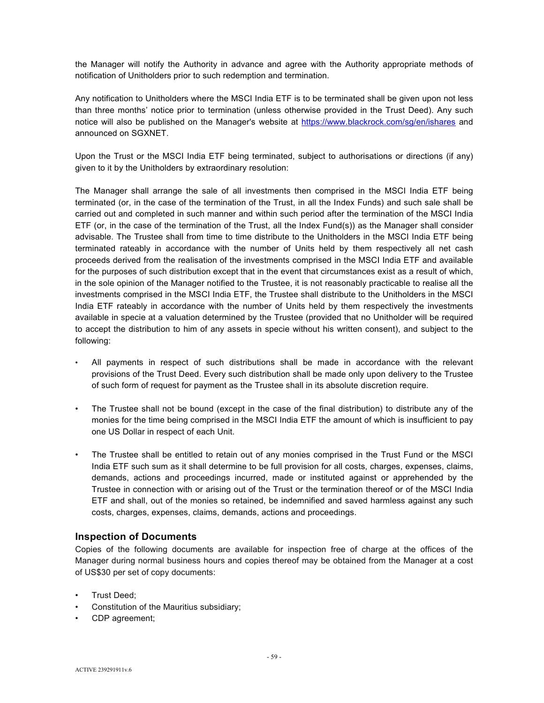the Manager will notify the Authority in advance and agree with the Authority appropriate methods of notification of Unitholders prior to such redemption and termination.

Any notification to Unitholders where the MSCI India ETF is to be terminated shall be given upon not less than three months' notice prior to termination (unless otherwise provided in the Trust Deed). Any such notice will also be published on the Manager's website at https://www.blackrock.com/sg/en/ishares and announced on SGXNET.

Upon the Trust or the MSCI India ETF being terminated, subject to authorisations or directions (if any) given to it by the Unitholders by extraordinary resolution:

The Manager shall arrange the sale of all investments then comprised in the MSCI India ETF being terminated (or, in the case of the termination of the Trust, in all the Index Funds) and such sale shall be carried out and completed in such manner and within such period after the termination of the MSCI India ETF (or, in the case of the termination of the Trust, all the Index Fund(s)) as the Manager shall consider advisable. The Trustee shall from time to time distribute to the Unitholders in the MSCI India ETF being terminated rateably in accordance with the number of Units held by them respectively all net cash proceeds derived from the realisation of the investments comprised in the MSCI India ETF and available for the purposes of such distribution except that in the event that circumstances exist as a result of which, in the sole opinion of the Manager notified to the Trustee, it is not reasonably practicable to realise all the investments comprised in the MSCI India ETF, the Trustee shall distribute to the Unitholders in the MSCI India ETF rateably in accordance with the number of Units held by them respectively the investments available in specie at a valuation determined by the Trustee (provided that no Unitholder will be required to accept the distribution to him of any assets in specie without his written consent), and subject to the following:

- All payments in respect of such distributions shall be made in accordance with the relevant provisions of the Trust Deed. Every such distribution shall be made only upon delivery to the Trustee of such form of request for payment as the Trustee shall in its absolute discretion require.
- The Trustee shall not be bound (except in the case of the final distribution) to distribute any of the monies for the time being comprised in the MSCI India ETF the amount of which is insufficient to pay one US Dollar in respect of each Unit.
- The Trustee shall be entitled to retain out of any monies comprised in the Trust Fund or the MSCI India ETF such sum as it shall determine to be full provision for all costs, charges, expenses, claims, demands, actions and proceedings incurred, made or instituted against or apprehended by the Trustee in connection with or arising out of the Trust or the termination thereof or of the MSCI India ETF and shall, out of the monies so retained, be indemnified and saved harmless against any such costs, charges, expenses, claims, demands, actions and proceedings.

# **Inspection of Documents**

Copies of the following documents are available for inspection free of charge at the offices of the Manager during normal business hours and copies thereof may be obtained from the Manager at a cost of US\$30 per set of copy documents:

- Trust Deed;
- Constitution of the Mauritius subsidiary;
- CDP agreement;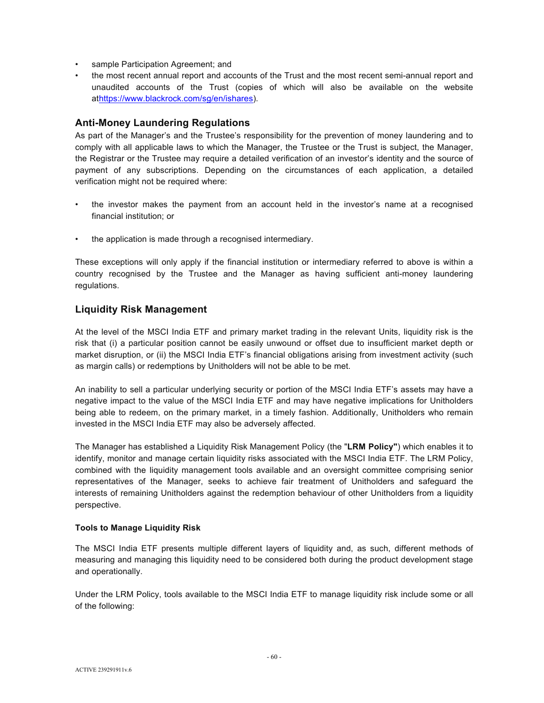- sample Participation Agreement; and
- the most recent annual report and accounts of the Trust and the most recent semi-annual report and unaudited accounts of the Trust (copies of which will also be available on the website athttps://www.blackrock.com/sg/en/ishares).

# **Anti-Money Laundering Regulations**

As part of the Manager's and the Trustee's responsibility for the prevention of money laundering and to comply with all applicable laws to which the Manager, the Trustee or the Trust is subject, the Manager, the Registrar or the Trustee may require a detailed verification of an investor's identity and the source of payment of any subscriptions. Depending on the circumstances of each application, a detailed verification might not be required where:

- the investor makes the payment from an account held in the investor's name at a recognised financial institution; or
- the application is made through a recognised intermediary.

These exceptions will only apply if the financial institution or intermediary referred to above is within a country recognised by the Trustee and the Manager as having sufficient anti-money laundering regulations.

# **Liquidity Risk Management**

At the level of the MSCI India ETF and primary market trading in the relevant Units, liquidity risk is the risk that (i) a particular position cannot be easily unwound or offset due to insufficient market depth or market disruption, or (ii) the MSCI India ETF's financial obligations arising from investment activity (such as margin calls) or redemptions by Unitholders will not be able to be met.

An inability to sell a particular underlying security or portion of the MSCI India ETF's assets may have a negative impact to the value of the MSCI India ETF and may have negative implications for Unitholders being able to redeem, on the primary market, in a timely fashion. Additionally, Unitholders who remain invested in the MSCI India ETF may also be adversely affected.

The Manager has established a Liquidity Risk Management Policy (the "**LRM Policy"**) which enables it to identify, monitor and manage certain liquidity risks associated with the MSCI India ETF. The LRM Policy, combined with the liquidity management tools available and an oversight committee comprising senior representatives of the Manager, seeks to achieve fair treatment of Unitholders and safeguard the interests of remaining Unitholders against the redemption behaviour of other Unitholders from a liquidity perspective.

## **Tools to Manage Liquidity Risk**

The MSCI India ETF presents multiple different layers of liquidity and, as such, different methods of measuring and managing this liquidity need to be considered both during the product development stage and operationally.

Under the LRM Policy, tools available to the MSCI India ETF to manage liquidity risk include some or all of the following: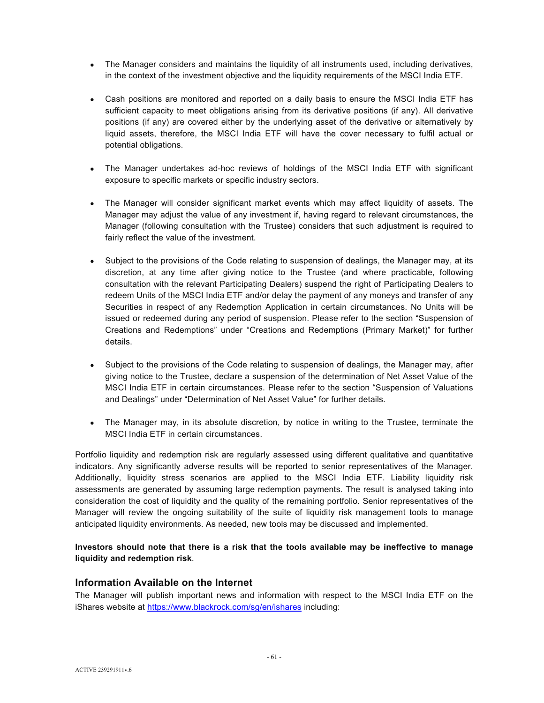- The Manager considers and maintains the liquidity of all instruments used, including derivatives, in the context of the investment objective and the liquidity requirements of the MSCI India ETF.
- Cash positions are monitored and reported on a daily basis to ensure the MSCI India ETF has sufficient capacity to meet obligations arising from its derivative positions (if any). All derivative positions (if any) are covered either by the underlying asset of the derivative or alternatively by liquid assets, therefore, the MSCI India ETF will have the cover necessary to fulfil actual or potential obligations.
- The Manager undertakes ad-hoc reviews of holdings of the MSCI India ETF with significant exposure to specific markets or specific industry sectors.
- The Manager will consider significant market events which may affect liquidity of assets. The Manager may adjust the value of any investment if, having regard to relevant circumstances, the Manager (following consultation with the Trustee) considers that such adjustment is required to fairly reflect the value of the investment.
- Subject to the provisions of the Code relating to suspension of dealings, the Manager may, at its discretion, at any time after giving notice to the Trustee (and where practicable, following consultation with the relevant Participating Dealers) suspend the right of Participating Dealers to redeem Units of the MSCI India ETF and/or delay the payment of any moneys and transfer of any Securities in respect of any Redemption Application in certain circumstances. No Units will be issued or redeemed during any period of suspension. Please refer to the section "Suspension of Creations and Redemptions" under "Creations and Redemptions (Primary Market)" for further details.
- Subject to the provisions of the Code relating to suspension of dealings, the Manager may, after giving notice to the Trustee, declare a suspension of the determination of Net Asset Value of the MSCI India ETF in certain circumstances. Please refer to the section "Suspension of Valuations and Dealings" under "Determination of Net Asset Value" for further details.
- The Manager may, in its absolute discretion, by notice in writing to the Trustee, terminate the MSCI India ETF in certain circumstances.

Portfolio liquidity and redemption risk are regularly assessed using different qualitative and quantitative indicators. Any significantly adverse results will be reported to senior representatives of the Manager. Additionally, liquidity stress scenarios are applied to the MSCI India ETF. Liability liquidity risk assessments are generated by assuming large redemption payments. The result is analysed taking into consideration the cost of liquidity and the quality of the remaining portfolio. Senior representatives of the Manager will review the ongoing suitability of the suite of liquidity risk management tools to manage anticipated liquidity environments. As needed, new tools may be discussed and implemented.

## **Investors should note that there is a risk that the tools available may be ineffective to manage liquidity and redemption risk**.

# **Information Available on the Internet**

The Manager will publish important news and information with respect to the MSCI India ETF on the iShares website at https://www.blackrock.com/sg/en/ishares including: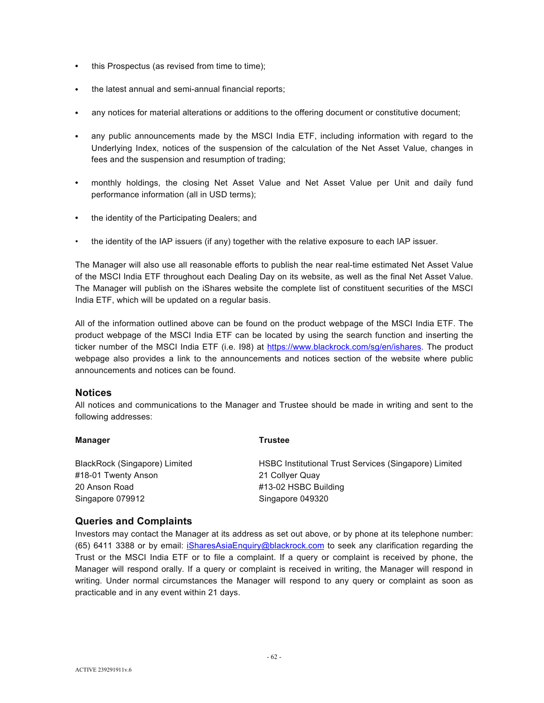- this Prospectus (as revised from time to time);
- the latest annual and semi-annual financial reports;
- any notices for material alterations or additions to the offering document or constitutive document;
- any public announcements made by the MSCI India ETF, including information with regard to the Underlying Index, notices of the suspension of the calculation of the Net Asset Value, changes in fees and the suspension and resumption of trading;
- monthly holdings, the closing Net Asset Value and Net Asset Value per Unit and daily fund performance information (all in USD terms);
- the identity of the Participating Dealers; and
- the identity of the IAP issuers (if any) together with the relative exposure to each IAP issuer.

The Manager will also use all reasonable efforts to publish the near real-time estimated Net Asset Value of the MSCI India ETF throughout each Dealing Day on its website, as well as the final Net Asset Value. The Manager will publish on the iShares website the complete list of constituent securities of the MSCI India ETF, which will be updated on a regular basis.

All of the information outlined above can be found on the product webpage of the MSCI India ETF. The product webpage of the MSCI India ETF can be located by using the search function and inserting the ticker number of the MSCI India ETF (i.e. 198) at https://www.blackrock.com/sg/en/ishares. The product webpage also provides a link to the announcements and notices section of the website where public announcements and notices can be found.

# **Notices**

All notices and communications to the Manager and Trustee should be made in writing and sent to the following addresses:

| <b>Trustee</b>                                        |
|-------------------------------------------------------|
| HSBC Institutional Trust Services (Singapore) Limited |
| 21 Collyer Quay                                       |
| #13-02 HSBC Building                                  |
| Singapore 049320                                      |
|                                                       |

# **Queries and Complaints**

Investors may contact the Manager at its address as set out above, or by phone at its telephone number: (65) 6411 3388 or by email: iSharesAsiaEnquiry@blackrock.com to seek any clarification regarding the Trust or the MSCI India ETF or to file a complaint. If a query or complaint is received by phone, the Manager will respond orally. If a query or complaint is received in writing, the Manager will respond in writing. Under normal circumstances the Manager will respond to any query or complaint as soon as practicable and in any event within 21 days.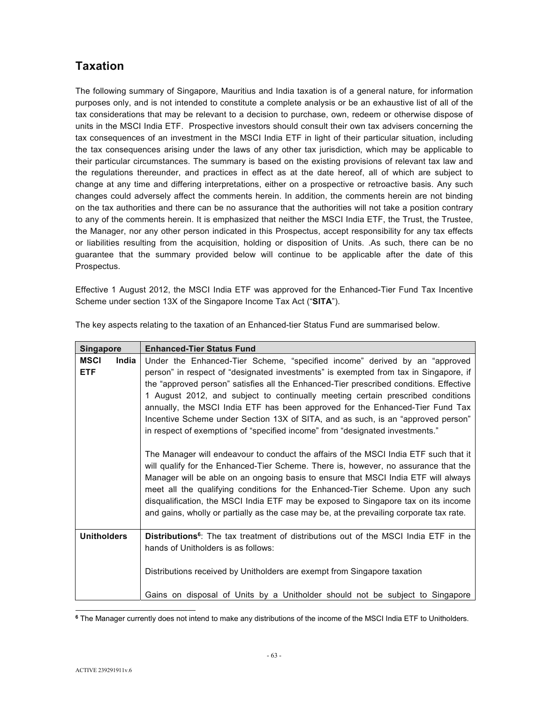# **Taxation**

The following summary of Singapore, Mauritius and India taxation is of a general nature, for information purposes only, and is not intended to constitute a complete analysis or be an exhaustive list of all of the tax considerations that may be relevant to a decision to purchase, own, redeem or otherwise dispose of units in the MSCI India ETF. Prospective investors should consult their own tax advisers concerning the tax consequences of an investment in the MSCI India ETF in light of their particular situation, including the tax consequences arising under the laws of any other tax jurisdiction, which may be applicable to their particular circumstances. The summary is based on the existing provisions of relevant tax law and the regulations thereunder, and practices in effect as at the date hereof, all of which are subject to change at any time and differing interpretations, either on a prospective or retroactive basis. Any such changes could adversely affect the comments herein. In addition, the comments herein are not binding on the tax authorities and there can be no assurance that the authorities will not take a position contrary to any of the comments herein. It is emphasized that neither the MSCI India ETF, the Trust, the Trustee, the Manager, nor any other person indicated in this Prospectus, accept responsibility for any tax effects or liabilities resulting from the acquisition, holding or disposition of Units. .As such, there can be no guarantee that the summary provided below will continue to be applicable after the date of this Prospectus.

Effective 1 August 2012, the MSCI India ETF was approved for the Enhanced-Tier Fund Tax Incentive Scheme under section 13X of the Singapore Income Tax Act ("**SITA**").

| <b>Singapore</b>                   | <b>Enhanced-Tier Status Fund</b>                                                                                                                                                                                                                                                                                                                                                                                                                                                                                                                                                                                                                                                                                                                                                                                                                                                                                                                                                                                                                                                                                                               |  |  |  |  |  |
|------------------------------------|------------------------------------------------------------------------------------------------------------------------------------------------------------------------------------------------------------------------------------------------------------------------------------------------------------------------------------------------------------------------------------------------------------------------------------------------------------------------------------------------------------------------------------------------------------------------------------------------------------------------------------------------------------------------------------------------------------------------------------------------------------------------------------------------------------------------------------------------------------------------------------------------------------------------------------------------------------------------------------------------------------------------------------------------------------------------------------------------------------------------------------------------|--|--|--|--|--|
| <b>MSCI</b><br>India<br><b>ETF</b> | Under the Enhanced-Tier Scheme, "specified income" derived by an "approved<br>person" in respect of "designated investments" is exempted from tax in Singapore, if<br>the "approved person" satisfies all the Enhanced-Tier prescribed conditions. Effective<br>1 August 2012, and subject to continually meeting certain prescribed conditions<br>annually, the MSCI India ETF has been approved for the Enhanced-Tier Fund Tax<br>Incentive Scheme under Section 13X of SITA, and as such, is an "approved person"<br>in respect of exemptions of "specified income" from "designated investments."<br>The Manager will endeavour to conduct the affairs of the MSCI India ETF such that it<br>will qualify for the Enhanced-Tier Scheme. There is, however, no assurance that the<br>Manager will be able on an ongoing basis to ensure that MSCI India ETF will always<br>meet all the qualifying conditions for the Enhanced-Tier Scheme. Upon any such<br>disqualification, the MSCI India ETF may be exposed to Singapore tax on its income<br>and gains, wholly or partially as the case may be, at the prevailing corporate tax rate. |  |  |  |  |  |
|                                    |                                                                                                                                                                                                                                                                                                                                                                                                                                                                                                                                                                                                                                                                                                                                                                                                                                                                                                                                                                                                                                                                                                                                                |  |  |  |  |  |
| <b>Unitholders</b>                 | Distributions <sup>6</sup> : The tax treatment of distributions out of the MSCI India ETF in the<br>hands of Unitholders is as follows:<br>Distributions received by Unitholders are exempt from Singapore taxation                                                                                                                                                                                                                                                                                                                                                                                                                                                                                                                                                                                                                                                                                                                                                                                                                                                                                                                            |  |  |  |  |  |
|                                    | Gains on disposal of Units by a Unitholder should not be subject to Singapore                                                                                                                                                                                                                                                                                                                                                                                                                                                                                                                                                                                                                                                                                                                                                                                                                                                                                                                                                                                                                                                                  |  |  |  |  |  |

The key aspects relating to the taxation of an Enhanced-tier Status Fund are summarised below.

 $\overline{a}$ **<sup>6</sup>** The Manager currently does not intend to make any distributions of the income of the MSCI India ETF to Unitholders.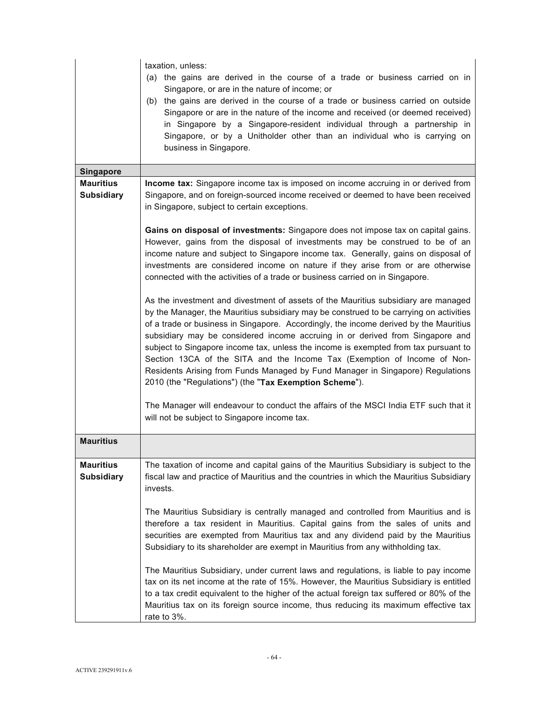|                                       | taxation, unless:<br>(a) the gains are derived in the course of a trade or business carried on in<br>Singapore, or are in the nature of income; or<br>(b) the gains are derived in the course of a trade or business carried on outside<br>Singapore or are in the nature of the income and received (or deemed received)<br>in Singapore by a Singapore-resident individual through a partnership in<br>Singapore, or by a Unitholder other than an individual who is carrying on<br>business in Singapore.                                                                                                                                                          |
|---------------------------------------|-----------------------------------------------------------------------------------------------------------------------------------------------------------------------------------------------------------------------------------------------------------------------------------------------------------------------------------------------------------------------------------------------------------------------------------------------------------------------------------------------------------------------------------------------------------------------------------------------------------------------------------------------------------------------|
| <b>Singapore</b>                      |                                                                                                                                                                                                                                                                                                                                                                                                                                                                                                                                                                                                                                                                       |
| <b>Mauritius</b><br><b>Subsidiary</b> | Income tax: Singapore income tax is imposed on income accruing in or derived from<br>Singapore, and on foreign-sourced income received or deemed to have been received<br>in Singapore, subject to certain exceptions.                                                                                                                                                                                                                                                                                                                                                                                                                                                |
|                                       | Gains on disposal of investments: Singapore does not impose tax on capital gains.<br>However, gains from the disposal of investments may be construed to be of an<br>income nature and subject to Singapore income tax. Generally, gains on disposal of<br>investments are considered income on nature if they arise from or are otherwise<br>connected with the activities of a trade or business carried on in Singapore.                                                                                                                                                                                                                                           |
|                                       | As the investment and divestment of assets of the Mauritius subsidiary are managed<br>by the Manager, the Mauritius subsidiary may be construed to be carrying on activities<br>of a trade or business in Singapore. Accordingly, the income derived by the Mauritius<br>subsidiary may be considered income accruing in or derived from Singapore and<br>subject to Singapore income tax, unless the income is exempted from tax pursuant to<br>Section 13CA of the SITA and the Income Tax (Exemption of Income of Non-<br>Residents Arising from Funds Managed by Fund Manager in Singapore) Regulations<br>2010 (the "Regulations") (the "Tax Exemption Scheme"). |
|                                       | The Manager will endeavour to conduct the affairs of the MSCI India ETF such that it<br>will not be subject to Singapore income tax.                                                                                                                                                                                                                                                                                                                                                                                                                                                                                                                                  |
| <b>Mauritius</b>                      |                                                                                                                                                                                                                                                                                                                                                                                                                                                                                                                                                                                                                                                                       |
| <b>Mauritius</b><br><b>Subsidiary</b> | The taxation of income and capital gains of the Mauritius Subsidiary is subject to the<br>fiscal law and practice of Mauritius and the countries in which the Mauritius Subsidiary<br>invests.                                                                                                                                                                                                                                                                                                                                                                                                                                                                        |
|                                       | The Mauritius Subsidiary is centrally managed and controlled from Mauritius and is<br>therefore a tax resident in Mauritius. Capital gains from the sales of units and<br>securities are exempted from Mauritius tax and any dividend paid by the Mauritius<br>Subsidiary to its shareholder are exempt in Mauritius from any withholding tax.                                                                                                                                                                                                                                                                                                                        |
|                                       | The Mauritius Subsidiary, under current laws and regulations, is liable to pay income<br>tax on its net income at the rate of 15%. However, the Mauritius Subsidiary is entitled<br>to a tax credit equivalent to the higher of the actual foreign tax suffered or 80% of the<br>Mauritius tax on its foreign source income, thus reducing its maximum effective tax<br>rate to 3%.                                                                                                                                                                                                                                                                                   |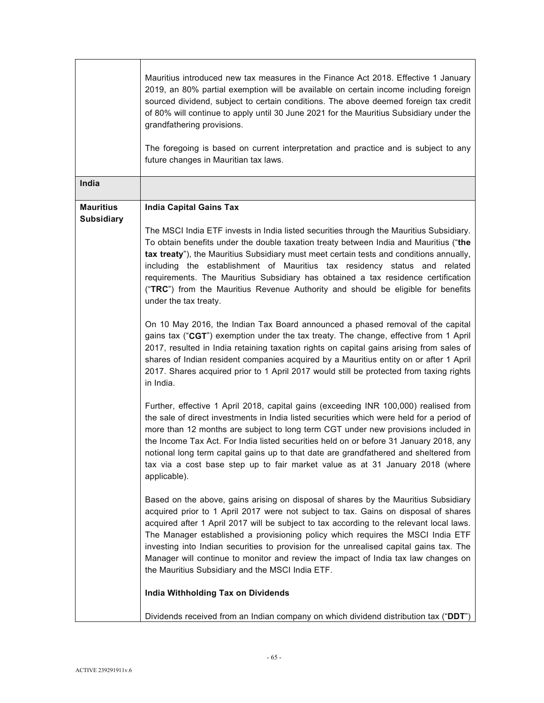|                                       | Mauritius introduced new tax measures in the Finance Act 2018. Effective 1 January<br>2019, an 80% partial exemption will be available on certain income including foreign<br>sourced dividend, subject to certain conditions. The above deemed foreign tax credit<br>of 80% will continue to apply until 30 June 2021 for the Mauritius Subsidiary under the<br>grandfathering provisions.<br>The foregoing is based on current interpretation and practice and is subject to any<br>future changes in Mauritian tax laws.                                                                                                                                                                                                                                                                                                                                                                                                                                                                                                                                                                                                                                                                                                                                                                                                                                                                                                                                                                                                                                                                                                                                                                                                                                                                                                                                                                                                                                                                                                                                                                                                                                                                                                                                                |
|---------------------------------------|----------------------------------------------------------------------------------------------------------------------------------------------------------------------------------------------------------------------------------------------------------------------------------------------------------------------------------------------------------------------------------------------------------------------------------------------------------------------------------------------------------------------------------------------------------------------------------------------------------------------------------------------------------------------------------------------------------------------------------------------------------------------------------------------------------------------------------------------------------------------------------------------------------------------------------------------------------------------------------------------------------------------------------------------------------------------------------------------------------------------------------------------------------------------------------------------------------------------------------------------------------------------------------------------------------------------------------------------------------------------------------------------------------------------------------------------------------------------------------------------------------------------------------------------------------------------------------------------------------------------------------------------------------------------------------------------------------------------------------------------------------------------------------------------------------------------------------------------------------------------------------------------------------------------------------------------------------------------------------------------------------------------------------------------------------------------------------------------------------------------------------------------------------------------------------------------------------------------------------------------------------------------------|
| India                                 |                                                                                                                                                                                                                                                                                                                                                                                                                                                                                                                                                                                                                                                                                                                                                                                                                                                                                                                                                                                                                                                                                                                                                                                                                                                                                                                                                                                                                                                                                                                                                                                                                                                                                                                                                                                                                                                                                                                                                                                                                                                                                                                                                                                                                                                                            |
| <b>Mauritius</b><br><b>Subsidiary</b> | <b>India Capital Gains Tax</b><br>The MSCI India ETF invests in India listed securities through the Mauritius Subsidiary.<br>To obtain benefits under the double taxation treaty between India and Mauritius ("the<br>tax treaty"), the Mauritius Subsidiary must meet certain tests and conditions annually,<br>including the establishment of Mauritius tax residency status and related<br>requirements. The Mauritius Subsidiary has obtained a tax residence certification<br>("TRC") from the Mauritius Revenue Authority and should be eligible for benefits<br>under the tax treaty.<br>On 10 May 2016, the Indian Tax Board announced a phased removal of the capital<br>gains tax ("CGT") exemption under the tax treaty. The change, effective from 1 April<br>2017, resulted in India retaining taxation rights on capital gains arising from sales of<br>shares of Indian resident companies acquired by a Mauritius entity on or after 1 April<br>2017. Shares acquired prior to 1 April 2017 would still be protected from taxing rights<br>in India.<br>Further, effective 1 April 2018, capital gains (exceeding INR 100,000) realised from<br>the sale of direct investments in India listed securities which were held for a period of<br>more than 12 months are subject to long term CGT under new provisions included in<br>the Income Tax Act. For India listed securities held on or before 31 January 2018, any<br>notional long term capital gains up to that date are grandfathered and sheltered from<br>tax via a cost base step up to fair market value as at 31 January 2018 (where<br>applicable).<br>Based on the above, gains arising on disposal of shares by the Mauritius Subsidiary<br>acquired prior to 1 April 2017 were not subject to tax. Gains on disposal of shares<br>acquired after 1 April 2017 will be subject to tax according to the relevant local laws.<br>The Manager established a provisioning policy which requires the MSCI India ETF<br>investing into Indian securities to provision for the unrealised capital gains tax. The<br>Manager will continue to monitor and review the impact of India tax law changes on<br>the Mauritius Subsidiary and the MSCI India ETF.<br>India Withholding Tax on Dividends |
|                                       | Dividends received from an Indian company on which dividend distribution tax ("DDT")                                                                                                                                                                                                                                                                                                                                                                                                                                                                                                                                                                                                                                                                                                                                                                                                                                                                                                                                                                                                                                                                                                                                                                                                                                                                                                                                                                                                                                                                                                                                                                                                                                                                                                                                                                                                                                                                                                                                                                                                                                                                                                                                                                                       |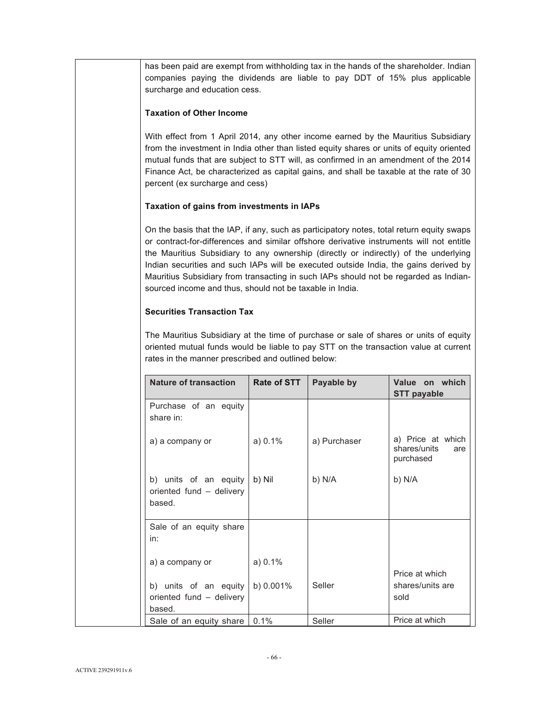has been paid are exempt from withholding tax in the hands of the shareholder. Indian companies paying the dividends are liable to pay DDT of 15% plus applicable surcharge and education cess.

# **Taxation of Other Income**

With effect from 1 April 2014, any other income earned by the Mauritius Subsidiary from the investment in India other than listed equity shares or units of equity oriented mutual funds that are subject to STT will, as confirmed in an amendment of the 2014 Finance Act, be characterized as capital gains, and shall be taxable at the rate of 30 percent (ex surcharge and cess)

# **Taxation of gains from investments in IAPs**

On the basis that the IAP, if any, such as participatory notes, total return equity swaps or contract-for-differences and similar offshore derivative instruments will not entitle the Mauritius Subsidiary to any ownership (directly or indirectly) of the underlying Indian securities and such IAPs will be executed outside India, the gains derived by Mauritius Subsidiary from transacting in such IAPs should not be regarded as Indiansourced income and thus, should not be taxable in India.

# **Securities Transaction Tax**

The Mauritius Subsidiary at the time of purchase or sale of shares or units of equity oriented mutual funds would be liable to pay STT on the transaction value at current rates in the manner prescribed and outlined below:

| <b>Nature of transaction</b>                                | <b>Rate of STT</b> | Payable by   | Value on which<br><b>STT payable</b>                  |
|-------------------------------------------------------------|--------------------|--------------|-------------------------------------------------------|
| Purchase of an equity<br>share in:                          |                    |              |                                                       |
| a) a company or                                             | a) 0.1%            | a) Purchaser | a) Price at which<br>shares/units<br>are<br>purchased |
| b) units of an equity<br>oriented fund - delivery<br>based. | b) Nil             | b) N/A       | b) N/A                                                |
| Sale of an equity share<br>in:                              |                    |              |                                                       |
| a) a company or                                             | a) 0.1%            |              | Price at which                                        |
| b) units of an equity<br>oriented fund - delivery<br>based. | b) 0.001%          | Seller       | shares/units are<br>sold                              |
| Sale of an equity share                                     | 0.1%               | Seller       | Price at which                                        |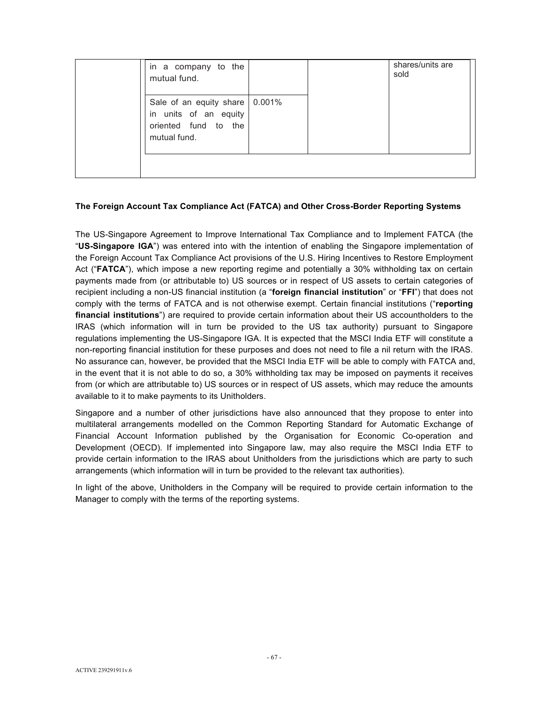| in a company to the<br>mutual fund.                                                               |  | shares/units are<br>sold |
|---------------------------------------------------------------------------------------------------|--|--------------------------|
| Sale of an equity share   0.001%<br>in units of an equity<br>oriented fund to the<br>mutual fund. |  |                          |
|                                                                                                   |  |                          |

## **The Foreign Account Tax Compliance Act (FATCA) and Other Cross-Border Reporting Systems**

The US-Singapore Agreement to Improve International Tax Compliance and to Implement FATCA (the "**US-Singapore IGA**") was entered into with the intention of enabling the Singapore implementation of the Foreign Account Tax Compliance Act provisions of the U.S. Hiring Incentives to Restore Employment Act ("**FATCA**"), which impose a new reporting regime and potentially a 30% withholding tax on certain payments made from (or attributable to) US sources or in respect of US assets to certain categories of recipient including a non-US financial institution (a "**foreign financial institution**" or "**FFI**") that does not comply with the terms of FATCA and is not otherwise exempt. Certain financial institutions ("**reporting financial institutions**") are required to provide certain information about their US accountholders to the IRAS (which information will in turn be provided to the US tax authority) pursuant to Singapore regulations implementing the US-Singapore IGA. It is expected that the MSCI India ETF will constitute a non-reporting financial institution for these purposes and does not need to file a nil return with the IRAS. No assurance can, however, be provided that the MSCI India ETF will be able to comply with FATCA and, in the event that it is not able to do so, a 30% withholding tax may be imposed on payments it receives from (or which are attributable to) US sources or in respect of US assets, which may reduce the amounts available to it to make payments to its Unitholders.

Singapore and a number of other jurisdictions have also announced that they propose to enter into multilateral arrangements modelled on the Common Reporting Standard for Automatic Exchange of Financial Account Information published by the Organisation for Economic Co-operation and Development (OECD). If implemented into Singapore law, may also require the MSCI India ETF to provide certain information to the IRAS about Unitholders from the jurisdictions which are party to such arrangements (which information will in turn be provided to the relevant tax authorities).

In light of the above, Unitholders in the Company will be required to provide certain information to the Manager to comply with the terms of the reporting systems.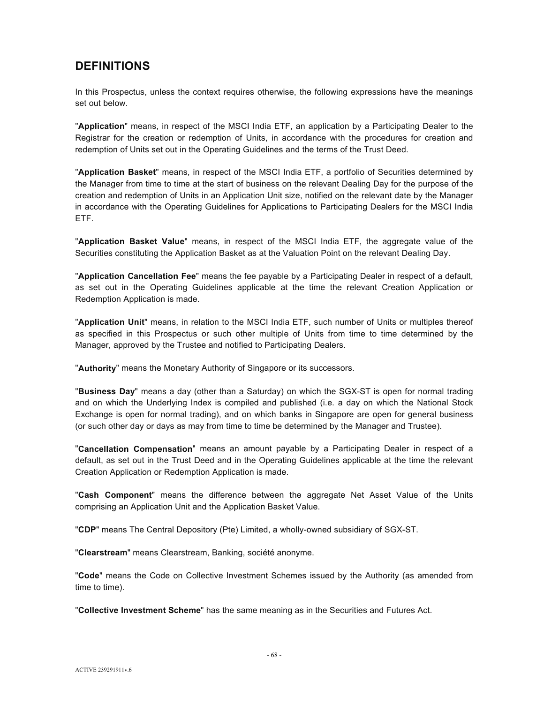# **DEFINITIONS**

In this Prospectus, unless the context requires otherwise, the following expressions have the meanings set out below.

"**Application**" means, in respect of the MSCI India ETF, an application by a Participating Dealer to the Registrar for the creation or redemption of Units, in accordance with the procedures for creation and redemption of Units set out in the Operating Guidelines and the terms of the Trust Deed.

"**Application Basket**" means, in respect of the MSCI India ETF, a portfolio of Securities determined by the Manager from time to time at the start of business on the relevant Dealing Day for the purpose of the creation and redemption of Units in an Application Unit size, notified on the relevant date by the Manager in accordance with the Operating Guidelines for Applications to Participating Dealers for the MSCI India ETF.

"**Application Basket Value**" means, in respect of the MSCI India ETF, the aggregate value of the Securities constituting the Application Basket as at the Valuation Point on the relevant Dealing Day.

"**Application Cancellation Fee**" means the fee payable by a Participating Dealer in respect of a default, as set out in the Operating Guidelines applicable at the time the relevant Creation Application or Redemption Application is made.

"**Application Unit**" means, in relation to the MSCI India ETF, such number of Units or multiples thereof as specified in this Prospectus or such other multiple of Units from time to time determined by the Manager, approved by the Trustee and notified to Participating Dealers.

"**Authority**" means the Monetary Authority of Singapore or its successors.

"**Business Day**" means a day (other than a Saturday) on which the SGX-ST is open for normal trading and on which the Underlying Index is compiled and published (i.e. a day on which the National Stock Exchange is open for normal trading), and on which banks in Singapore are open for general business (or such other day or days as may from time to time be determined by the Manager and Trustee).

"**Cancellation Compensation**" means an amount payable by a Participating Dealer in respect of a default, as set out in the Trust Deed and in the Operating Guidelines applicable at the time the relevant Creation Application or Redemption Application is made.

"**Cash Component**" means the difference between the aggregate Net Asset Value of the Units comprising an Application Unit and the Application Basket Value.

"**CDP**" means The Central Depository (Pte) Limited, a wholly-owned subsidiary of SGX-ST.

"**Clearstream**" means Clearstream, Banking, société anonyme.

"**Code**" means the Code on Collective Investment Schemes issued by the Authority (as amended from time to time).

"**Collective Investment Scheme**" has the same meaning as in the Securities and Futures Act.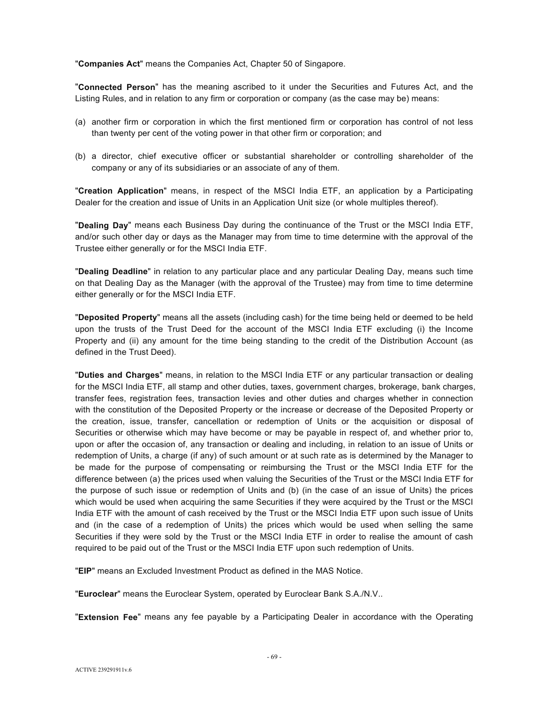"**Companies Act**" means the Companies Act, Chapter 50 of Singapore.

"**Connected Person**" has the meaning ascribed to it under the Securities and Futures Act, and the Listing Rules, and in relation to any firm or corporation or company (as the case may be) means:

- (a) another firm or corporation in which the first mentioned firm or corporation has control of not less than twenty per cent of the voting power in that other firm or corporation; and
- (b) a director, chief executive officer or substantial shareholder or controlling shareholder of the company or any of its subsidiaries or an associate of any of them.

"**Creation Application**" means, in respect of the MSCI India ETF, an application by a Participating Dealer for the creation and issue of Units in an Application Unit size (or whole multiples thereof).

"**Dealing Day**" means each Business Day during the continuance of the Trust or the MSCI India ETF, and/or such other day or days as the Manager may from time to time determine with the approval of the Trustee either generally or for the MSCI India ETF.

"**Dealing Deadline**" in relation to any particular place and any particular Dealing Day, means such time on that Dealing Day as the Manager (with the approval of the Trustee) may from time to time determine either generally or for the MSCI India ETF.

"**Deposited Property**" means all the assets (including cash) for the time being held or deemed to be held upon the trusts of the Trust Deed for the account of the MSCI India ETF excluding (i) the Income Property and (ii) any amount for the time being standing to the credit of the Distribution Account (as defined in the Trust Deed).

"**Duties and Charges**" means, in relation to the MSCI India ETF or any particular transaction or dealing for the MSCI India ETF, all stamp and other duties, taxes, government charges, brokerage, bank charges, transfer fees, registration fees, transaction levies and other duties and charges whether in connection with the constitution of the Deposited Property or the increase or decrease of the Deposited Property or the creation, issue, transfer, cancellation or redemption of Units or the acquisition or disposal of Securities or otherwise which may have become or may be payable in respect of, and whether prior to, upon or after the occasion of, any transaction or dealing and including, in relation to an issue of Units or redemption of Units, a charge (if any) of such amount or at such rate as is determined by the Manager to be made for the purpose of compensating or reimbursing the Trust or the MSCI India ETF for the difference between (a) the prices used when valuing the Securities of the Trust or the MSCI India ETF for the purpose of such issue or redemption of Units and (b) (in the case of an issue of Units) the prices which would be used when acquiring the same Securities if they were acquired by the Trust or the MSCI India ETF with the amount of cash received by the Trust or the MSCI India ETF upon such issue of Units and (in the case of a redemption of Units) the prices which would be used when selling the same Securities if they were sold by the Trust or the MSCI India ETF in order to realise the amount of cash required to be paid out of the Trust or the MSCI India ETF upon such redemption of Units.

"**EIP**" means an Excluded Investment Product as defined in the MAS Notice.

"**Euroclear**" means the Euroclear System, operated by Euroclear Bank S.A./N.V..

"**Extension Fee**" means any fee payable by a Participating Dealer in accordance with the Operating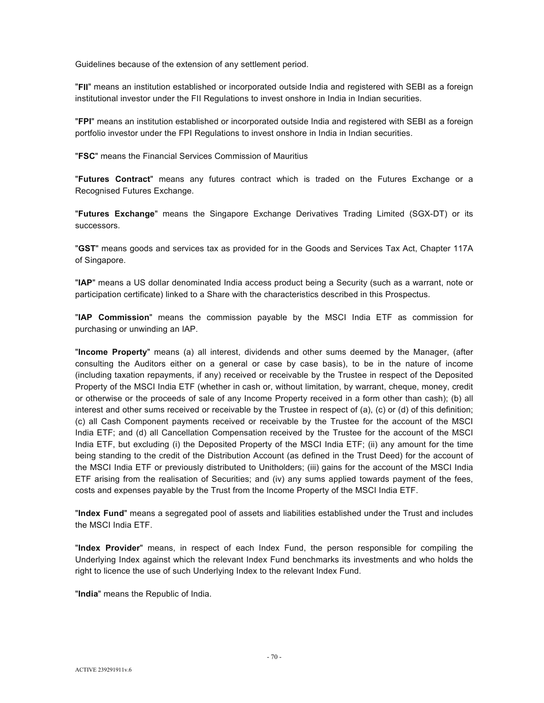Guidelines because of the extension of any settlement period.

"**FII**" means an institution established or incorporated outside India and registered with SEBI as a foreign institutional investor under the FII Regulations to invest onshore in India in Indian securities.

"**FPI**" means an institution established or incorporated outside India and registered with SEBI as a foreign portfolio investor under the FPI Regulations to invest onshore in India in Indian securities.

"**FSC**" means the Financial Services Commission of Mauritius

"**Futures Contract**" means any futures contract which is traded on the Futures Exchange or a Recognised Futures Exchange.

"**Futures Exchange**" means the Singapore Exchange Derivatives Trading Limited (SGX-DT) or its successors.

"**GST**" means goods and services tax as provided for in the Goods and Services Tax Act, Chapter 117A of Singapore.

"**IAP**" means a US dollar denominated India access product being a Security (such as a warrant, note or participation certificate) linked to a Share with the characteristics described in this Prospectus.

"**IAP Commission**" means the commission payable by the MSCI India ETF as commission for purchasing or unwinding an IAP.

"**Income Property**" means (a) all interest, dividends and other sums deemed by the Manager, (after consulting the Auditors either on a general or case by case basis), to be in the nature of income (including taxation repayments, if any) received or receivable by the Trustee in respect of the Deposited Property of the MSCI India ETF (whether in cash or, without limitation, by warrant, cheque, money, credit or otherwise or the proceeds of sale of any Income Property received in a form other than cash); (b) all interest and other sums received or receivable by the Trustee in respect of (a), (c) or (d) of this definition; (c) all Cash Component payments received or receivable by the Trustee for the account of the MSCI India ETF; and (d) all Cancellation Compensation received by the Trustee for the account of the MSCI India ETF, but excluding (i) the Deposited Property of the MSCI India ETF; (ii) any amount for the time being standing to the credit of the Distribution Account (as defined in the Trust Deed) for the account of the MSCI India ETF or previously distributed to Unitholders; (iii) gains for the account of the MSCI India ETF arising from the realisation of Securities; and (iv) any sums applied towards payment of the fees, costs and expenses payable by the Trust from the Income Property of the MSCI India ETF.

"**Index Fund**" means a segregated pool of assets and liabilities established under the Trust and includes the MSCI India ETF.

"**Index Provider**" means, in respect of each Index Fund, the person responsible for compiling the Underlying Index against which the relevant Index Fund benchmarks its investments and who holds the right to licence the use of such Underlying Index to the relevant Index Fund.

"**India**" means the Republic of India.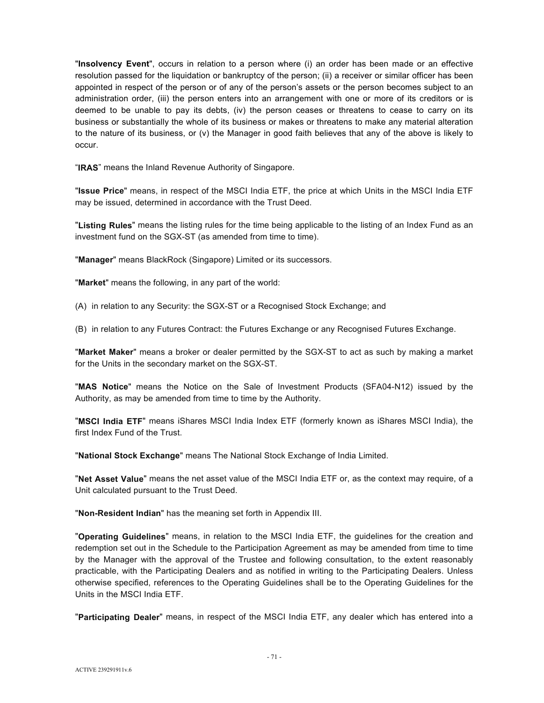"**Insolvency Event**", occurs in relation to a person where (i) an order has been made or an effective resolution passed for the liquidation or bankruptcy of the person; (ii) a receiver or similar officer has been appointed in respect of the person or of any of the person's assets or the person becomes subject to an administration order, (iii) the person enters into an arrangement with one or more of its creditors or is deemed to be unable to pay its debts, (iv) the person ceases or threatens to cease to carry on its business or substantially the whole of its business or makes or threatens to make any material alteration to the nature of its business, or (v) the Manager in good faith believes that any of the above is likely to occur.

"**IRAS**" means the Inland Revenue Authority of Singapore.

"**Issue Price**" means, in respect of the MSCI India ETF, the price at which Units in the MSCI India ETF may be issued, determined in accordance with the Trust Deed.

"**Listing Rules**" means the listing rules for the time being applicable to the listing of an Index Fund as an investment fund on the SGX-ST (as amended from time to time).

"**Manager**" means BlackRock (Singapore) Limited or its successors.

"**Market**" means the following, in any part of the world:

(A) in relation to any Security: the SGX-ST or a Recognised Stock Exchange; and

(B) in relation to any Futures Contract: the Futures Exchange or any Recognised Futures Exchange.

"**Market Maker**" means a broker or dealer permitted by the SGX-ST to act as such by making a market for the Units in the secondary market on the SGX-ST.

"**MAS Notice**" means the Notice on the Sale of Investment Products (SFA04-N12) issued by the Authority, as may be amended from time to time by the Authority.

"**MSCI India ETF**" means iShares MSCI India Index ETF (formerly known as iShares MSCI India), the first Index Fund of the Trust.

"**National Stock Exchange**" means The National Stock Exchange of India Limited.

"**Net Asset Value**" means the net asset value of the MSCI India ETF or, as the context may require, of a Unit calculated pursuant to the Trust Deed.

"**Non-Resident Indian**" has the meaning set forth in Appendix III.

"**Operating Guidelines**" means, in relation to the MSCI India ETF, the guidelines for the creation and redemption set out in the Schedule to the Participation Agreement as may be amended from time to time by the Manager with the approval of the Trustee and following consultation, to the extent reasonably practicable, with the Participating Dealers and as notified in writing to the Participating Dealers. Unless otherwise specified, references to the Operating Guidelines shall be to the Operating Guidelines for the Units in the MSCI India ETF.

"**Participating Dealer**" means, in respect of the MSCI India ETF, any dealer which has entered into a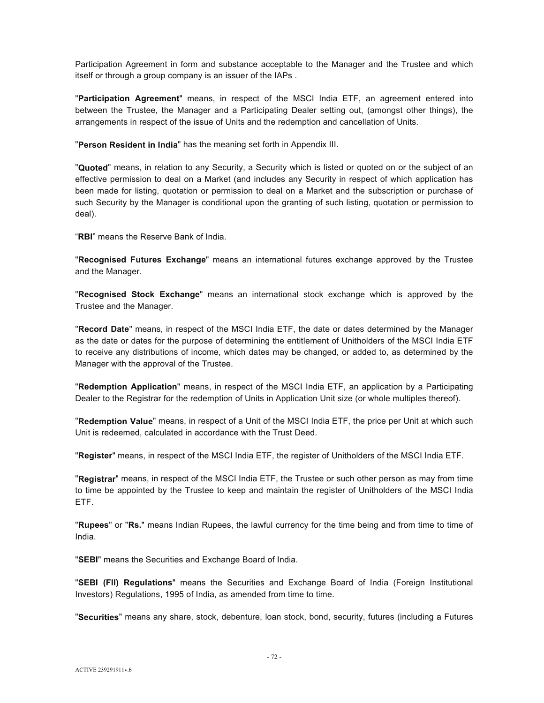Participation Agreement in form and substance acceptable to the Manager and the Trustee and which itself or through a group company is an issuer of the IAPs .

"**Participation Agreement**" means, in respect of the MSCI India ETF, an agreement entered into between the Trustee, the Manager and a Participating Dealer setting out, (amongst other things), the arrangements in respect of the issue of Units and the redemption and cancellation of Units.

"**Person Resident in India**" has the meaning set forth in Appendix III.

"**Quoted**" means, in relation to any Security, a Security which is listed or quoted on or the subject of an effective permission to deal on a Market (and includes any Security in respect of which application has been made for listing, quotation or permission to deal on a Market and the subscription or purchase of such Security by the Manager is conditional upon the granting of such listing, quotation or permission to deal).

"**RBI**" means the Reserve Bank of India.

"**Recognised Futures Exchange**" means an international futures exchange approved by the Trustee and the Manager.

"**Recognised Stock Exchange**" means an international stock exchange which is approved by the Trustee and the Manager.

"**Record Date**" means, in respect of the MSCI India ETF, the date or dates determined by the Manager as the date or dates for the purpose of determining the entitlement of Unitholders of the MSCI India ETF to receive any distributions of income, which dates may be changed, or added to, as determined by the Manager with the approval of the Trustee.

"**Redemption Application**" means, in respect of the MSCI India ETF, an application by a Participating Dealer to the Registrar for the redemption of Units in Application Unit size (or whole multiples thereof).

"**Redemption Value**" means, in respect of a Unit of the MSCI India ETF, the price per Unit at which such Unit is redeemed, calculated in accordance with the Trust Deed.

"**Register**" means, in respect of the MSCI India ETF, the register of Unitholders of the MSCI India ETF.

"**Registrar**" means, in respect of the MSCI India ETF, the Trustee or such other person as may from time to time be appointed by the Trustee to keep and maintain the register of Unitholders of the MSCI India ETF.

"**Rupees**" or "**Rs.**" means Indian Rupees, the lawful currency for the time being and from time to time of India.

"**SEBI**" means the Securities and Exchange Board of India.

"**SEBI (FII) Regulations**" means the Securities and Exchange Board of India (Foreign Institutional Investors) Regulations, 1995 of India, as amended from time to time.

"**Securities**" means any share, stock, debenture, loan stock, bond, security, futures (including a Futures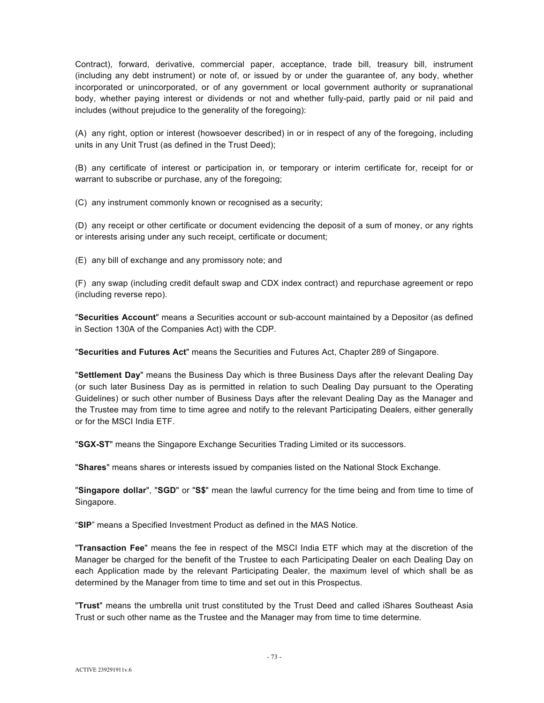Contract), forward, derivative, commercial paper, acceptance, trade bill, treasury bill, instrument (including any debt instrument) or note of, or issued by or under the guarantee of, any body, whether incorporated or unincorporated, or of any government or local government authority or supranational body, whether paying interest or dividends or not and whether fully-paid, partly paid or nil paid and includes (without prejudice to the generality of the foregoing):

(A) any right, option or interest (howsoever described) in or in respect of any of the foregoing, including units in any Unit Trust (as defined in the Trust Deed);

(B) any certificate of interest or participation in, or temporary or interim certificate for, receipt for or warrant to subscribe or purchase, any of the foregoing;

(C) any instrument commonly known or recognised as a security;

(D) any receipt or other certificate or document evidencing the deposit of a sum of money, or any rights or interests arising under any such receipt, certificate or document;

(E) any bill of exchange and any promissory note; and

(F) any swap (including credit default swap and CDX index contract) and repurchase agreement or repo (including reverse repo).

"**Securities Account**" means a Securities account or sub-account maintained by a Depositor (as defined in Section 130A of the Companies Act) with the CDP.

"**Securities and Futures Act**" means the Securities and Futures Act, Chapter 289 of Singapore.

"**Settlement Day**" means the Business Day which is three Business Days after the relevant Dealing Day (or such later Business Day as is permitted in relation to such Dealing Day pursuant to the Operating Guidelines) or such other number of Business Days after the relevant Dealing Day as the Manager and the Trustee may from time to time agree and notify to the relevant Participating Dealers, either generally or for the MSCI India ETF.

"**SGX-ST**" means the Singapore Exchange Securities Trading Limited or its successors.

"**Shares**" means shares or interests issued by companies listed on the National Stock Exchange.

"**Singapore dollar**", "**SGD**" or "**S\$**" mean the lawful currency for the time being and from time to time of Singapore.

"**SIP**" means a Specified Investment Product as defined in the MAS Notice.

"**Transaction Fee**" means the fee in respect of the MSCI India ETF which may at the discretion of the Manager be charged for the benefit of the Trustee to each Participating Dealer on each Dealing Day on each Application made by the relevant Participating Dealer, the maximum level of which shall be as determined by the Manager from time to time and set out in this Prospectus.

"**Trust**" means the umbrella unit trust constituted by the Trust Deed and called iShares Southeast Asia Trust or such other name as the Trustee and the Manager may from time to time determine.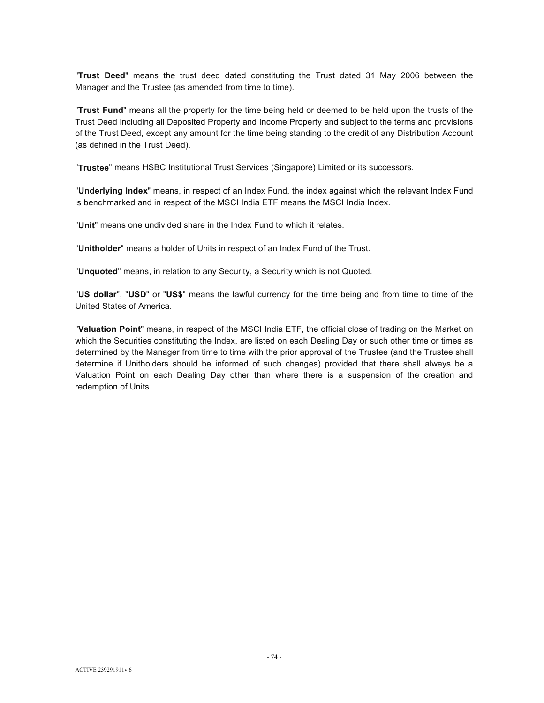"**Trust Deed**" means the trust deed dated constituting the Trust dated 31 May 2006 between the Manager and the Trustee (as amended from time to time).

"**Trust Fund**" means all the property for the time being held or deemed to be held upon the trusts of the Trust Deed including all Deposited Property and Income Property and subject to the terms and provisions of the Trust Deed, except any amount for the time being standing to the credit of any Distribution Account (as defined in the Trust Deed).

"**Trustee**" means HSBC Institutional Trust Services (Singapore) Limited or its successors.

"**Underlying Index**" means, in respect of an Index Fund, the index against which the relevant Index Fund is benchmarked and in respect of the MSCI India ETF means the MSCI India Index.

"**Unit**" means one undivided share in the Index Fund to which it relates.

"**Unitholder**" means a holder of Units in respect of an Index Fund of the Trust.

"**Unquoted**" means, in relation to any Security, a Security which is not Quoted.

"**US dollar**", "**USD**" or "**US\$**" means the lawful currency for the time being and from time to time of the United States of America.

"**Valuation Point**" means, in respect of the MSCI India ETF, the official close of trading on the Market on which the Securities constituting the Index, are listed on each Dealing Day or such other time or times as determined by the Manager from time to time with the prior approval of the Trustee (and the Trustee shall determine if Unitholders should be informed of such changes) provided that there shall always be a Valuation Point on each Dealing Day other than where there is a suspension of the creation and redemption of Units.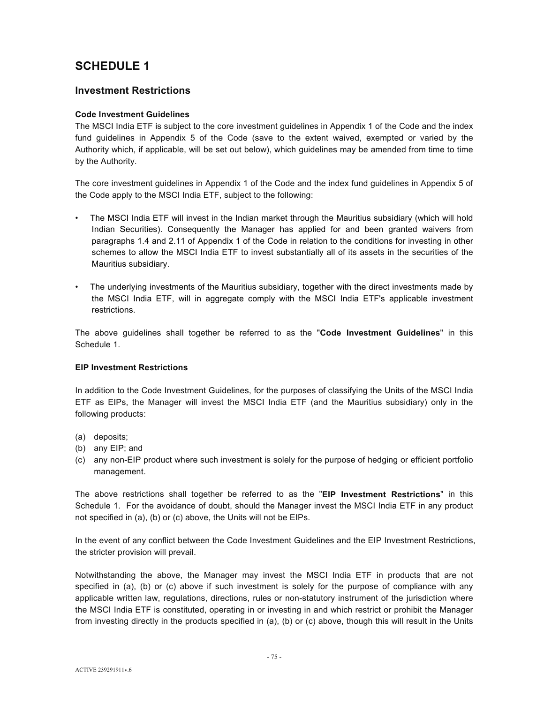# **SCHEDULE 1**

# **Investment Restrictions**

# **Code Investment Guidelines**

The MSCI India ETF is subject to the core investment guidelines in Appendix 1 of the Code and the index fund guidelines in Appendix 5 of the Code (save to the extent waived, exempted or varied by the Authority which, if applicable, will be set out below), which guidelines may be amended from time to time by the Authority.

The core investment guidelines in Appendix 1 of the Code and the index fund guidelines in Appendix 5 of the Code apply to the MSCI India ETF, subject to the following:

- The MSCI India ETF will invest in the Indian market through the Mauritius subsidiary (which will hold Indian Securities). Consequently the Manager has applied for and been granted waivers from paragraphs 1.4 and 2.11 of Appendix 1 of the Code in relation to the conditions for investing in other schemes to allow the MSCI India ETF to invest substantially all of its assets in the securities of the Mauritius subsidiary.
- The underlying investments of the Mauritius subsidiary, together with the direct investments made by the MSCI India ETF, will in aggregate comply with the MSCI India ETF's applicable investment restrictions.

The above guidelines shall together be referred to as the "**Code Investment Guidelines**" in this Schedule 1.

## **EIP Investment Restrictions**

In addition to the Code Investment Guidelines, for the purposes of classifying the Units of the MSCI India ETF as EIPs, the Manager will invest the MSCI India ETF (and the Mauritius subsidiary) only in the following products:

- (a) deposits;
- (b) any EIP; and
- (c) any non-EIP product where such investment is solely for the purpose of hedging or efficient portfolio management.

The above restrictions shall together be referred to as the "**EIP Investment Restrictions**" in this Schedule 1. For the avoidance of doubt, should the Manager invest the MSCI India ETF in any product not specified in (a), (b) or (c) above, the Units will not be EIPs.

In the event of any conflict between the Code Investment Guidelines and the EIP Investment Restrictions, the stricter provision will prevail.

Notwithstanding the above, the Manager may invest the MSCI India ETF in products that are not specified in (a), (b) or (c) above if such investment is solely for the purpose of compliance with any applicable written law, regulations, directions, rules or non-statutory instrument of the jurisdiction where the MSCI India ETF is constituted, operating in or investing in and which restrict or prohibit the Manager from investing directly in the products specified in (a), (b) or (c) above, though this will result in the Units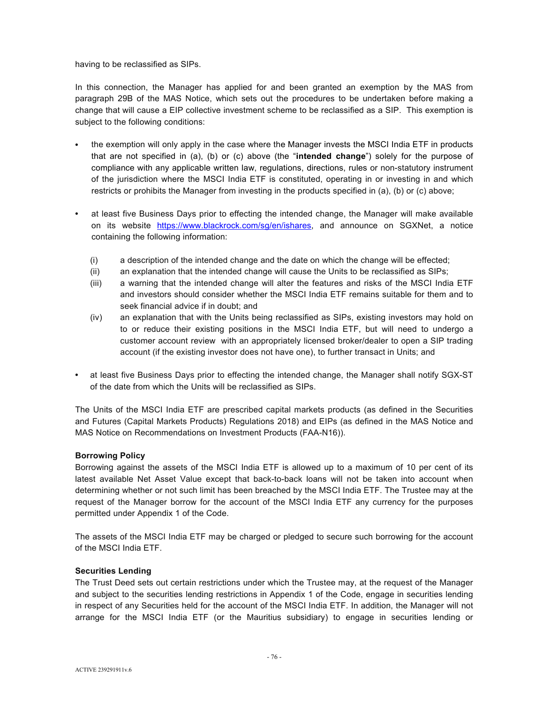having to be reclassified as SIPs.

In this connection, the Manager has applied for and been granted an exemption by the MAS from paragraph 29B of the MAS Notice, which sets out the procedures to be undertaken before making a change that will cause a EIP collective investment scheme to be reclassified as a SIP. This exemption is subject to the following conditions:

- the exemption will only apply in the case where the Manager invests the MSCI India ETF in products that are not specified in (a), (b) or (c) above (the "**intended change**") solely for the purpose of compliance with any applicable written law, regulations, directions, rules or non-statutory instrument of the jurisdiction where the MSCI India ETF is constituted, operating in or investing in and which restricts or prohibits the Manager from investing in the products specified in (a), (b) or (c) above;
- at least five Business Days prior to effecting the intended change, the Manager will make available on its website https://www.blackrock.com/sg/en/ishares, and announce on SGXNet, a notice containing the following information:
	- (i) a description of the intended change and the date on which the change will be effected;
	- (ii) an explanation that the intended change will cause the Units to be reclassified as SIPs;
	- (iii) a warning that the intended change will alter the features and risks of the MSCI India ETF and investors should consider whether the MSCI India ETF remains suitable for them and to seek financial advice if in doubt; and
	- (iv) an explanation that with the Units being reclassified as SIPs, existing investors may hold on to or reduce their existing positions in the MSCI India ETF, but will need to undergo a customer account review with an appropriately licensed broker/dealer to open a SIP trading account (if the existing investor does not have one), to further transact in Units; and
- at least five Business Days prior to effecting the intended change, the Manager shall notify SGX-ST of the date from which the Units will be reclassified as SIPs.

The Units of the MSCI India ETF are prescribed capital markets products (as defined in the Securities and Futures (Capital Markets Products) Regulations 2018) and EIPs (as defined in the MAS Notice and MAS Notice on Recommendations on Investment Products (FAA-N16)).

## **Borrowing Policy**

Borrowing against the assets of the MSCI India ETF is allowed up to a maximum of 10 per cent of its latest available Net Asset Value except that back-to-back loans will not be taken into account when determining whether or not such limit has been breached by the MSCI India ETF. The Trustee may at the request of the Manager borrow for the account of the MSCI India ETF any currency for the purposes permitted under Appendix 1 of the Code.

The assets of the MSCI India ETF may be charged or pledged to secure such borrowing for the account of the MSCI India ETF.

## **Securities Lending**

The Trust Deed sets out certain restrictions under which the Trustee may, at the request of the Manager and subject to the securities lending restrictions in Appendix 1 of the Code, engage in securities lending in respect of any Securities held for the account of the MSCI India ETF. In addition, the Manager will not arrange for the MSCI India ETF (or the Mauritius subsidiary) to engage in securities lending or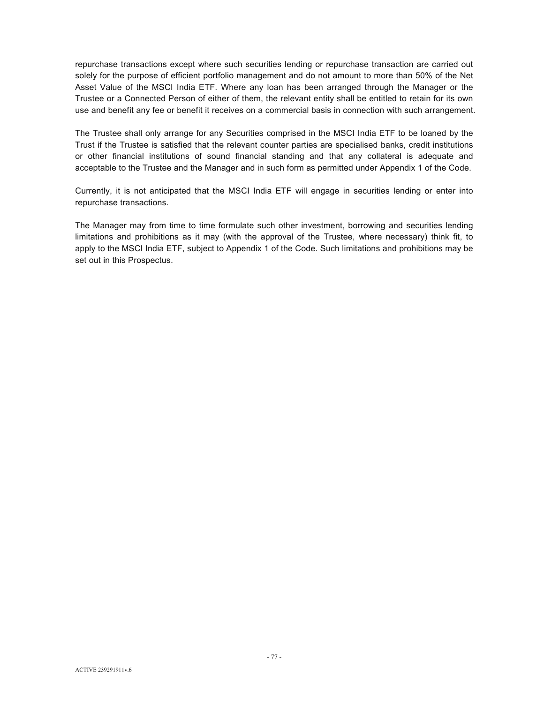repurchase transactions except where such securities lending or repurchase transaction are carried out solely for the purpose of efficient portfolio management and do not amount to more than 50% of the Net Asset Value of the MSCI India ETF. Where any loan has been arranged through the Manager or the Trustee or a Connected Person of either of them, the relevant entity shall be entitled to retain for its own use and benefit any fee or benefit it receives on a commercial basis in connection with such arrangement.

The Trustee shall only arrange for any Securities comprised in the MSCI India ETF to be loaned by the Trust if the Trustee is satisfied that the relevant counter parties are specialised banks, credit institutions or other financial institutions of sound financial standing and that any collateral is adequate and acceptable to the Trustee and the Manager and in such form as permitted under Appendix 1 of the Code.

Currently, it is not anticipated that the MSCI India ETF will engage in securities lending or enter into repurchase transactions.

The Manager may from time to time formulate such other investment, borrowing and securities lending limitations and prohibitions as it may (with the approval of the Trustee, where necessary) think fit, to apply to the MSCI India ETF, subject to Appendix 1 of the Code. Such limitations and prohibitions may be set out in this Prospectus.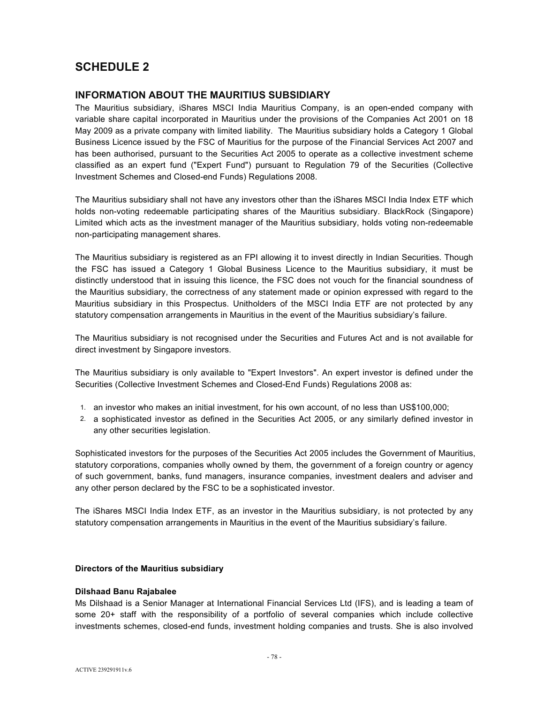# **SCHEDULE 2**

# **INFORMATION ABOUT THE MAURITIUS SUBSIDIARY**

The Mauritius subsidiary, iShares MSCI India Mauritius Company, is an open-ended company with variable share capital incorporated in Mauritius under the provisions of the Companies Act 2001 on 18 May 2009 as a private company with limited liability. The Mauritius subsidiary holds a Category 1 Global Business Licence issued by the FSC of Mauritius for the purpose of the Financial Services Act 2007 and has been authorised, pursuant to the Securities Act 2005 to operate as a collective investment scheme classified as an expert fund ("Expert Fund") pursuant to Regulation 79 of the Securities (Collective Investment Schemes and Closed-end Funds) Regulations 2008.

The Mauritius subsidiary shall not have any investors other than the iShares MSCI India Index ETF which holds non-voting redeemable participating shares of the Mauritius subsidiary. BlackRock (Singapore) Limited which acts as the investment manager of the Mauritius subsidiary, holds voting non-redeemable non-participating management shares.

The Mauritius subsidiary is registered as an FPI allowing it to invest directly in Indian Securities. Though the FSC has issued a Category 1 Global Business Licence to the Mauritius subsidiary, it must be distinctly understood that in issuing this licence, the FSC does not vouch for the financial soundness of the Mauritius subsidiary, the correctness of any statement made or opinion expressed with regard to the Mauritius subsidiary in this Prospectus. Unitholders of the MSCI India ETF are not protected by any statutory compensation arrangements in Mauritius in the event of the Mauritius subsidiary's failure.

The Mauritius subsidiary is not recognised under the Securities and Futures Act and is not available for direct investment by Singapore investors.

The Mauritius subsidiary is only available to "Expert Investors". An expert investor is defined under the Securities (Collective Investment Schemes and Closed-End Funds) Regulations 2008 as:

- 1. an investor who makes an initial investment, for his own account, of no less than US\$100,000;
- 2. a sophisticated investor as defined in the Securities Act 2005, or any similarly defined investor in any other securities legislation.

Sophisticated investors for the purposes of the Securities Act 2005 includes the Government of Mauritius, statutory corporations, companies wholly owned by them, the government of a foreign country or agency of such government, banks, fund managers, insurance companies, investment dealers and adviser and any other person declared by the FSC to be a sophisticated investor.

The iShares MSCI India Index ETF, as an investor in the Mauritius subsidiary, is not protected by any statutory compensation arrangements in Mauritius in the event of the Mauritius subsidiary's failure.

## **Directors of the Mauritius subsidiary**

## **Dilshaad Banu Rajabalee**

Ms Dilshaad is a Senior Manager at International Financial Services Ltd (IFS), and is leading a team of some 20+ staff with the responsibility of a portfolio of several companies which include collective investments schemes, closed-end funds, investment holding companies and trusts. She is also involved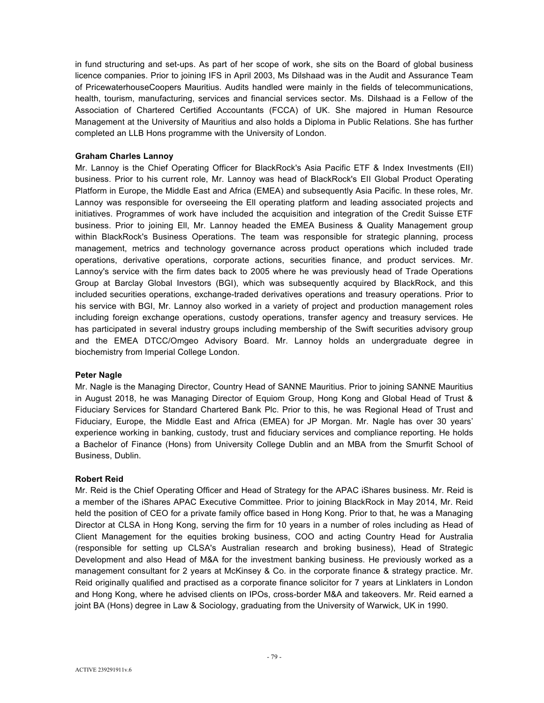in fund structuring and set-ups. As part of her scope of work, she sits on the Board of global business licence companies. Prior to joining IFS in April 2003, Ms Dilshaad was in the Audit and Assurance Team of PricewaterhouseCoopers Mauritius. Audits handled were mainly in the fields of telecommunications, health, tourism, manufacturing, services and financial services sector. Ms. Dilshaad is a Fellow of the Association of Chartered Certified Accountants (FCCA) of UK. She majored in Human Resource Management at the University of Mauritius and also holds a Diploma in Public Relations. She has further completed an LLB Hons programme with the University of London.

### **Graham Charles Lannoy**

Mr. Lannoy is the Chief Operating Officer for BlackRock's Asia Pacific ETF & Index Investments (EII) business. Prior to his current role, Mr. Lannoy was head of BlackRock's EII Global Product Operating Platform in Europe, the Middle East and Africa (EMEA) and subsequently Asia Pacific. ln these roles, Mr. Lannoy was responsible for overseeing the Ell operating platform and leading associated projects and initiatives. Programmes of work have included the acquisition and integration of the Credit Suisse ETF business. Prior to joining Ell, Mr. Lannoy headed the EMEA Business & Quality Management group within BlackRock's Business Operations. The team was responsible for strategic planning, process management, metrics and technology governance across product operations which included trade operations, derivative operations, corporate actions, securities finance, and product services. Mr. Lannoy's service with the firm dates back to 2005 where he was previously head of Trade Operations Group at Barclay Global Investors (BGI), which was subsequently acquired by BlackRock, and this included securities operations, exchange-traded derivatives operations and treasury operations. Prior to his service with BGI, Mr. Lannoy also worked in a variety of project and production management roles including foreign exchange operations, custody operations, transfer agency and treasury services. He has participated in several industry groups including membership of the Swift securities advisory group and the EMEA DTCC/Omgeo Advisory Board. Mr. Lannoy holds an undergraduate degree in biochemistry from Imperial College London.

#### **Peter Nagle**

Mr. Nagle is the Managing Director, Country Head of SANNE Mauritius. Prior to joining SANNE Mauritius in August 2018, he was Managing Director of Equiom Group, Hong Kong and Global Head of Trust & Fiduciary Services for Standard Chartered Bank Plc. Prior to this, he was Regional Head of Trust and Fiduciary, Europe, the Middle East and Africa (EMEA) for JP Morgan. Mr. Nagle has over 30 years' experience working in banking, custody, trust and fiduciary services and compliance reporting. He holds a Bachelor of Finance (Hons) from University College Dublin and an MBA from the Smurfit School of Business, Dublin.

#### **Robert Reid**

Mr. Reid is the Chief Operating Officer and Head of Strategy for the APAC iShares business. Mr. Reid is a member of the iShares APAC Executive Committee. Prior to joining BlackRock in May 2014, Mr. Reid held the position of CEO for a private family office based in Hong Kong. Prior to that, he was a Managing Director at CLSA in Hong Kong, serving the firm for 10 years in a number of roles including as Head of Client Management for the equities broking business, COO and acting Country Head for Australia (responsible for setting up CLSA's Australian research and broking business), Head of Strategic Development and also Head of M&A for the investment banking business. He previously worked as a management consultant for 2 years at McKinsey & Co. in the corporate finance & strategy practice. Mr. Reid originally qualified and practised as a corporate finance solicitor for 7 years at Linklaters in London and Hong Kong, where he advised clients on IPOs, cross-border M&A and takeovers. Mr. Reid earned a joint BA (Hons) degree in Law & Sociology, graduating from the University of Warwick, UK in 1990.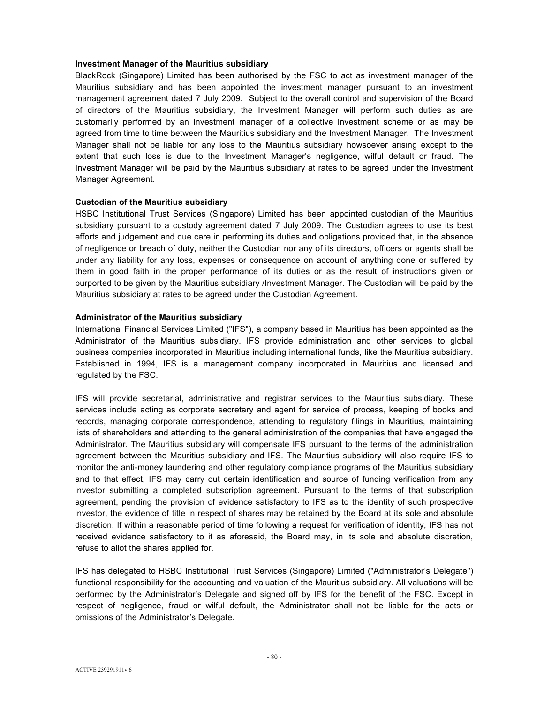#### **Investment Manager of the Mauritius subsidiary**

BlackRock (Singapore) Limited has been authorised by the FSC to act as investment manager of the Mauritius subsidiary and has been appointed the investment manager pursuant to an investment management agreement dated 7 July 2009. Subject to the overall control and supervision of the Board of directors of the Mauritius subsidiary, the Investment Manager will perform such duties as are customarily performed by an investment manager of a collective investment scheme or as may be agreed from time to time between the Mauritius subsidiary and the Investment Manager. The Investment Manager shall not be liable for any loss to the Mauritius subsidiary howsoever arising except to the extent that such loss is due to the Investment Manager's negligence, wilful default or fraud. The Investment Manager will be paid by the Mauritius subsidiary at rates to be agreed under the Investment Manager Agreement.

#### **Custodian of the Mauritius subsidiary**

HSBC Institutional Trust Services (Singapore) Limited has been appointed custodian of the Mauritius subsidiary pursuant to a custody agreement dated 7 July 2009. The Custodian agrees to use its best efforts and judgement and due care in performing its duties and obligations provided that, in the absence of negligence or breach of duty, neither the Custodian nor any of its directors, officers or agents shall be under any liability for any loss, expenses or consequence on account of anything done or suffered by them in good faith in the proper performance of its duties or as the result of instructions given or purported to be given by the Mauritius subsidiary /Investment Manager. The Custodian will be paid by the Mauritius subsidiary at rates to be agreed under the Custodian Agreement.

## **Administrator of the Mauritius subsidiary**

International Financial Services Limited ("IFS"), a company based in Mauritius has been appointed as the Administrator of the Mauritius subsidiary. IFS provide administration and other services to global business companies incorporated in Mauritius including international funds, like the Mauritius subsidiary. Established in 1994, IFS is a management company incorporated in Mauritius and licensed and regulated by the FSC.

IFS will provide secretarial, administrative and registrar services to the Mauritius subsidiary. These services include acting as corporate secretary and agent for service of process, keeping of books and records, managing corporate correspondence, attending to regulatory filings in Mauritius, maintaining lists of shareholders and attending to the general administration of the companies that have engaged the Administrator. The Mauritius subsidiary will compensate IFS pursuant to the terms of the administration agreement between the Mauritius subsidiary and IFS. The Mauritius subsidiary will also require IFS to monitor the anti-money laundering and other regulatory compliance programs of the Mauritius subsidiary and to that effect, IFS may carry out certain identification and source of funding verification from any investor submitting a completed subscription agreement. Pursuant to the terms of that subscription agreement, pending the provision of evidence satisfactory to IFS as to the identity of such prospective investor, the evidence of title in respect of shares may be retained by the Board at its sole and absolute discretion. If within a reasonable period of time following a request for verification of identity, IFS has not received evidence satisfactory to it as aforesaid, the Board may, in its sole and absolute discretion, refuse to allot the shares applied for.

IFS has delegated to HSBC Institutional Trust Services (Singapore) Limited ("Administrator's Delegate") functional responsibility for the accounting and valuation of the Mauritius subsidiary. All valuations will be performed by the Administrator's Delegate and signed off by IFS for the benefit of the FSC. Except in respect of negligence, fraud or wilful default, the Administrator shall not be liable for the acts or omissions of the Administrator's Delegate.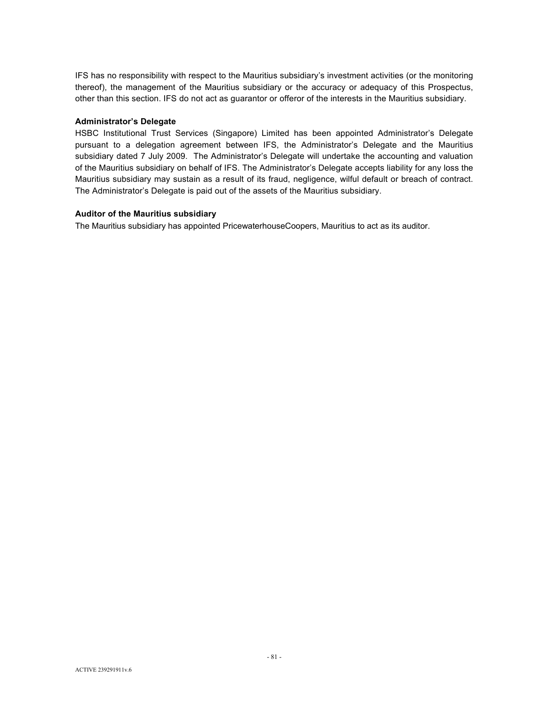IFS has no responsibility with respect to the Mauritius subsidiary's investment activities (or the monitoring thereof), the management of the Mauritius subsidiary or the accuracy or adequacy of this Prospectus, other than this section. IFS do not act as guarantor or offeror of the interests in the Mauritius subsidiary.

#### **Administrator's Delegate**

HSBC Institutional Trust Services (Singapore) Limited has been appointed Administrator's Delegate pursuant to a delegation agreement between IFS, the Administrator's Delegate and the Mauritius subsidiary dated 7 July 2009. The Administrator's Delegate will undertake the accounting and valuation of the Mauritius subsidiary on behalf of IFS. The Administrator's Delegate accepts liability for any loss the Mauritius subsidiary may sustain as a result of its fraud, negligence, wilful default or breach of contract. The Administrator's Delegate is paid out of the assets of the Mauritius subsidiary.

### **Auditor of the Mauritius subsidiary**

The Mauritius subsidiary has appointed PricewaterhouseCoopers, Mauritius to act as its auditor.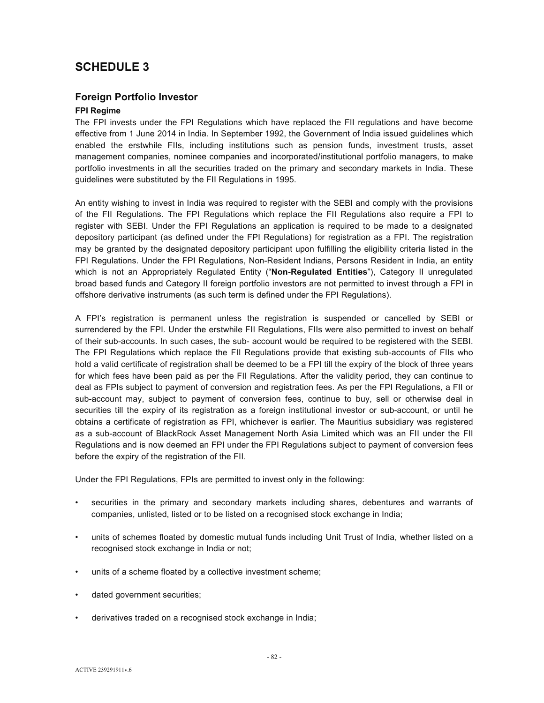# **SCHEDULE 3**

# **Foreign Portfolio Investor**

# **FPI Regime**

The FPI invests under the FPI Regulations which have replaced the FII regulations and have become effective from 1 June 2014 in India. In September 1992, the Government of India issued guidelines which enabled the erstwhile FIIs, including institutions such as pension funds, investment trusts, asset management companies, nominee companies and incorporated/institutional portfolio managers, to make portfolio investments in all the securities traded on the primary and secondary markets in India. These guidelines were substituted by the FII Regulations in 1995.

An entity wishing to invest in India was required to register with the SEBI and comply with the provisions of the FII Regulations. The FPI Regulations which replace the FII Regulations also require a FPI to register with SEBI. Under the FPI Regulations an application is required to be made to a designated depository participant (as defined under the FPI Regulations) for registration as a FPI. The registration may be granted by the designated depository participant upon fulfilling the eligibility criteria listed in the FPI Regulations. Under the FPI Regulations, Non-Resident Indians, Persons Resident in India, an entity which is not an Appropriately Regulated Entity ("**Non-Regulated Entities**"), Category II unregulated broad based funds and Category II foreign portfolio investors are not permitted to invest through a FPI in offshore derivative instruments (as such term is defined under the FPI Regulations).

A FPI's registration is permanent unless the registration is suspended or cancelled by SEBI or surrendered by the FPI. Under the erstwhile FII Regulations, FIIs were also permitted to invest on behalf of their sub-accounts. In such cases, the sub- account would be required to be registered with the SEBI. The FPI Regulations which replace the FII Regulations provide that existing sub-accounts of FIIs who hold a valid certificate of registration shall be deemed to be a FPI till the expiry of the block of three years for which fees have been paid as per the FII Regulations. After the validity period, they can continue to deal as FPIs subject to payment of conversion and registration fees. As per the FPI Regulations, a FII or sub-account may, subject to payment of conversion fees, continue to buy, sell or otherwise deal in securities till the expiry of its registration as a foreign institutional investor or sub-account, or until he obtains a certificate of registration as FPI, whichever is earlier. The Mauritius subsidiary was registered as a sub-account of BlackRock Asset Management North Asia Limited which was an FII under the FII Regulations and is now deemed an FPI under the FPI Regulations subject to payment of conversion fees before the expiry of the registration of the FII.

Under the FPI Regulations, FPIs are permitted to invest only in the following:

- securities in the primary and secondary markets including shares, debentures and warrants of companies, unlisted, listed or to be listed on a recognised stock exchange in India;
- units of schemes floated by domestic mutual funds including Unit Trust of India, whether listed on a recognised stock exchange in India or not;
- units of a scheme floated by a collective investment scheme;
- dated government securities;
- derivatives traded on a recognised stock exchange in India;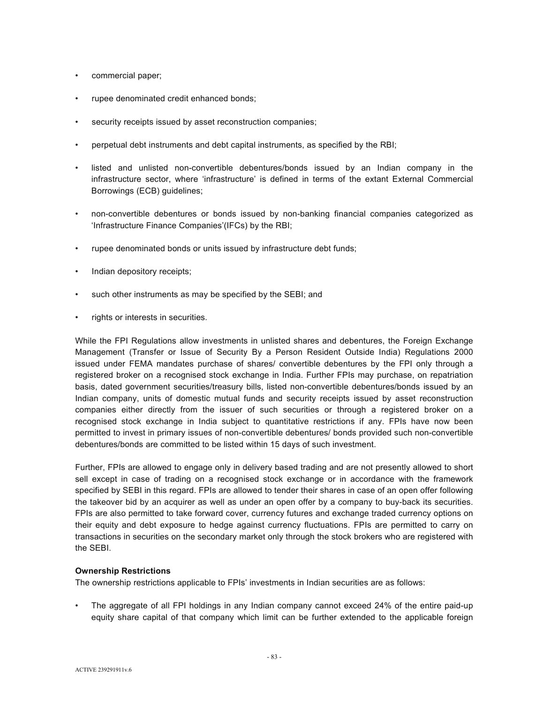- commercial paper;
- rupee denominated credit enhanced bonds;
- security receipts issued by asset reconstruction companies;
- perpetual debt instruments and debt capital instruments, as specified by the RBI;
- listed and unlisted non-convertible debentures/bonds issued by an Indian company in the infrastructure sector, where 'infrastructure' is defined in terms of the extant External Commercial Borrowings (ECB) guidelines;
- non-convertible debentures or bonds issued by non-banking financial companies categorized as 'Infrastructure Finance Companies'(IFCs) by the RBI;
- rupee denominated bonds or units issued by infrastructure debt funds;
- Indian depository receipts;
- such other instruments as may be specified by the SEBI; and
- rights or interests in securities.

While the FPI Regulations allow investments in unlisted shares and debentures, the Foreign Exchange Management (Transfer or Issue of Security By a Person Resident Outside India) Regulations 2000 issued under FEMA mandates purchase of shares/ convertible debentures by the FPI only through a registered broker on a recognised stock exchange in India. Further FPIs may purchase, on repatriation basis, dated government securities/treasury bills, listed non-convertible debentures/bonds issued by an Indian company, units of domestic mutual funds and security receipts issued by asset reconstruction companies either directly from the issuer of such securities or through a registered broker on a recognised stock exchange in India subject to quantitative restrictions if any. FPIs have now been permitted to invest in primary issues of non-convertible debentures/ bonds provided such non-convertible debentures/bonds are committed to be listed within 15 days of such investment.

Further, FPIs are allowed to engage only in delivery based trading and are not presently allowed to short sell except in case of trading on a recognised stock exchange or in accordance with the framework specified by SEBI in this regard. FPIs are allowed to tender their shares in case of an open offer following the takeover bid by an acquirer as well as under an open offer by a company to buy-back its securities. FPIs are also permitted to take forward cover, currency futures and exchange traded currency options on their equity and debt exposure to hedge against currency fluctuations. FPIs are permitted to carry on transactions in securities on the secondary market only through the stock brokers who are registered with the SEBI.

#### **Ownership Restrictions**

The ownership restrictions applicable to FPIs' investments in Indian securities are as follows:

• The aggregate of all FPI holdings in any Indian company cannot exceed 24% of the entire paid-up equity share capital of that company which limit can be further extended to the applicable foreign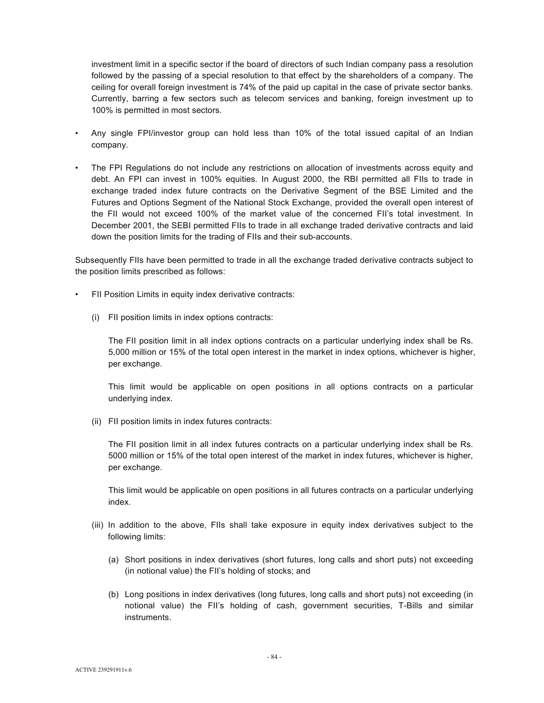investment limit in a specific sector if the board of directors of such Indian company pass a resolution followed by the passing of a special resolution to that effect by the shareholders of a company. The ceiling for overall foreign investment is 74% of the paid up capital in the case of private sector banks. Currently, barring a few sectors such as telecom services and banking, foreign investment up to 100% is permitted in most sectors.

- Any single FPI/investor group can hold less than 10% of the total issued capital of an Indian company.
- The FPI Regulations do not include any restrictions on allocation of investments across equity and debt. An FPI can invest in 100% equities. In August 2000, the RBI permitted all FIIs to trade in exchange traded index future contracts on the Derivative Segment of the BSE Limited and the Futures and Options Segment of the National Stock Exchange, provided the overall open interest of the FII would not exceed 100% of the market value of the concerned FII's total investment. In December 2001, the SEBI permitted FIIs to trade in all exchange traded derivative contracts and laid down the position limits for the trading of FIIs and their sub-accounts.

Subsequently FIIs have been permitted to trade in all the exchange traded derivative contracts subject to the position limits prescribed as follows:

- FII Position Limits in equity index derivative contracts:
	- (i) FII position limits in index options contracts:

The FII position limit in all index options contracts on a particular underlying index shall be Rs. 5,000 million or 15% of the total open interest in the market in index options, whichever is higher, per exchange.

This limit would be applicable on open positions in all options contracts on a particular underlying index.

(ii) FII position limits in index futures contracts:

The FII position limit in all index futures contracts on a particular underlying index shall be Rs. 5000 million or 15% of the total open interest of the market in index futures, whichever is higher, per exchange.

This limit would be applicable on open positions in all futures contracts on a particular underlying index.

- (iii) In addition to the above, FIIs shall take exposure in equity index derivatives subject to the following limits:
	- (a) Short positions in index derivatives (short futures, long calls and short puts) not exceeding (in notional value) the FII's holding of stocks; and
	- (b) Long positions in index derivatives (long futures, long calls and short puts) not exceeding (in notional value) the FII's holding of cash, government securities, T-Bills and similar instruments.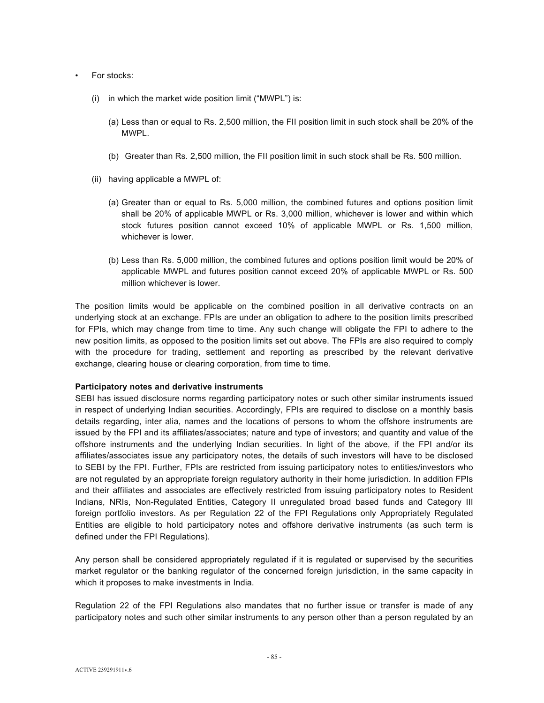- For stocks:
	- (i) in which the market wide position limit ("MWPL") is:
		- (a) Less than or equal to Rs. 2,500 million, the FII position limit in such stock shall be 20% of the MWPL.
		- (b) Greater than Rs. 2,500 million, the FII position limit in such stock shall be Rs. 500 million.
	- (ii) having applicable a MWPL of:
		- (a) Greater than or equal to Rs. 5,000 million, the combined futures and options position limit shall be 20% of applicable MWPL or Rs. 3,000 million, whichever is lower and within which stock futures position cannot exceed 10% of applicable MWPL or Rs. 1,500 million, whichever is lower
		- (b) Less than Rs. 5,000 million, the combined futures and options position limit would be 20% of applicable MWPL and futures position cannot exceed 20% of applicable MWPL or Rs. 500 million whichever is lower.

The position limits would be applicable on the combined position in all derivative contracts on an underlying stock at an exchange. FPIs are under an obligation to adhere to the position limits prescribed for FPIs, which may change from time to time. Any such change will obligate the FPI to adhere to the new position limits, as opposed to the position limits set out above. The FPIs are also required to comply with the procedure for trading, settlement and reporting as prescribed by the relevant derivative exchange, clearing house or clearing corporation, from time to time.

#### **Participatory notes and derivative instruments**

SEBI has issued disclosure norms regarding participatory notes or such other similar instruments issued in respect of underlying Indian securities. Accordingly, FPIs are required to disclose on a monthly basis details regarding, inter alia, names and the locations of persons to whom the offshore instruments are issued by the FPI and its affiliates/associates; nature and type of investors; and quantity and value of the offshore instruments and the underlying Indian securities. In light of the above, if the FPI and/or its affiliates/associates issue any participatory notes, the details of such investors will have to be disclosed to SEBI by the FPI. Further, FPIs are restricted from issuing participatory notes to entities/investors who are not regulated by an appropriate foreign regulatory authority in their home jurisdiction. In addition FPIs and their affiliates and associates are effectively restricted from issuing participatory notes to Resident Indians, NRIs, Non-Regulated Entities, Category II unregulated broad based funds and Category III foreign portfolio investors. As per Regulation 22 of the FPI Regulations only Appropriately Regulated Entities are eligible to hold participatory notes and offshore derivative instruments (as such term is defined under the FPI Regulations).

Any person shall be considered appropriately regulated if it is regulated or supervised by the securities market regulator or the banking regulator of the concerned foreign jurisdiction, in the same capacity in which it proposes to make investments in India.

Regulation 22 of the FPI Regulations also mandates that no further issue or transfer is made of any participatory notes and such other similar instruments to any person other than a person regulated by an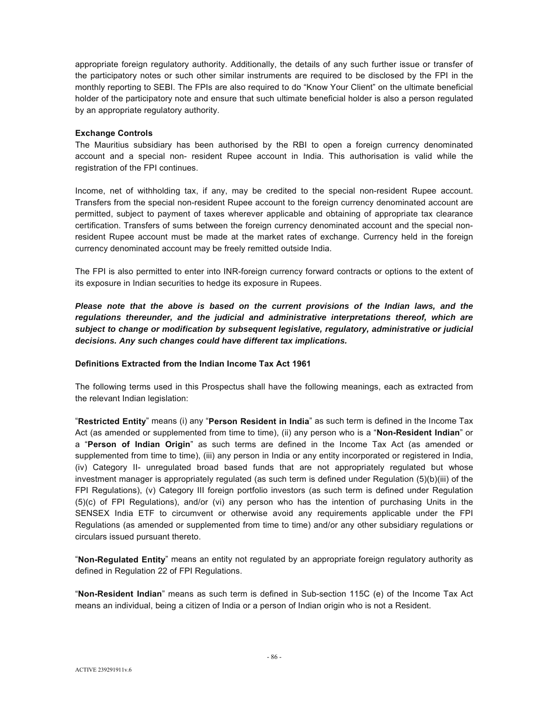appropriate foreign regulatory authority. Additionally, the details of any such further issue or transfer of the participatory notes or such other similar instruments are required to be disclosed by the FPI in the monthly reporting to SEBI. The FPIs are also required to do "Know Your Client" on the ultimate beneficial holder of the participatory note and ensure that such ultimate beneficial holder is also a person regulated by an appropriate regulatory authority.

### **Exchange Controls**

The Mauritius subsidiary has been authorised by the RBI to open a foreign currency denominated account and a special non- resident Rupee account in India. This authorisation is valid while the registration of the FPI continues.

Income, net of withholding tax, if any, may be credited to the special non-resident Rupee account. Transfers from the special non-resident Rupee account to the foreign currency denominated account are permitted, subject to payment of taxes wherever applicable and obtaining of appropriate tax clearance certification. Transfers of sums between the foreign currency denominated account and the special nonresident Rupee account must be made at the market rates of exchange. Currency held in the foreign currency denominated account may be freely remitted outside India.

The FPI is also permitted to enter into INR-foreign currency forward contracts or options to the extent of its exposure in Indian securities to hedge its exposure in Rupees.

*Please note that the above is based on the current provisions of the Indian laws, and the regulations thereunder, and the judicial and administrative interpretations thereof, which are subject to change or modification by subsequent legislative, regulatory, administrative or judicial decisions. Any such changes could have different tax implications.* 

## **Definitions Extracted from the Indian Income Tax Act 1961**

The following terms used in this Prospectus shall have the following meanings, each as extracted from the relevant Indian legislation:

"**Restricted Entity**" means (i) any "**Person Resident in India**" as such term is defined in the Income Tax Act (as amended or supplemented from time to time), (ii) any person who is a "**Non-Resident Indian**" or a "**Person of Indian Origin**" as such terms are defined in the Income Tax Act (as amended or supplemented from time to time), (iii) any person in India or any entity incorporated or registered in India, (iv) Category II- unregulated broad based funds that are not appropriately regulated but whose investment manager is appropriately regulated (as such term is defined under Regulation (5)(b)(iii) of the FPI Regulations), (v) Category III foreign portfolio investors (as such term is defined under Regulation (5)(c) of FPI Regulations), and/or (vi) any person who has the intention of purchasing Units in the SENSEX India ETF to circumvent or otherwise avoid any requirements applicable under the FPI Regulations (as amended or supplemented from time to time) and/or any other subsidiary regulations or circulars issued pursuant thereto.

"**Non-Regulated Entity**" means an entity not regulated by an appropriate foreign regulatory authority as defined in Regulation 22 of FPI Regulations.

"**Non-Resident Indian**" means as such term is defined in Sub-section 115C (e) of the Income Tax Act means an individual, being a citizen of India or a person of Indian origin who is not a Resident.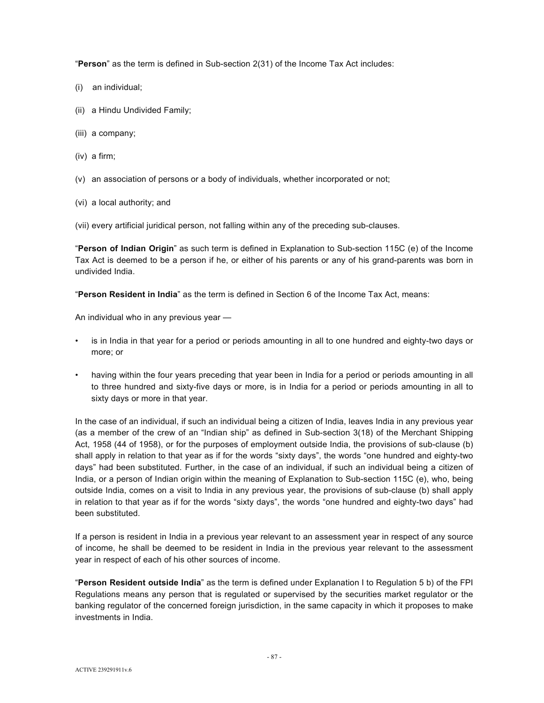"**Person**" as the term is defined in Sub-section 2(31) of the Income Tax Act includes:

- (i) an individual;
- (ii) a Hindu Undivided Family;
- (iii) a company;
- (iv) a firm;
- (v) an association of persons or a body of individuals, whether incorporated or not;
- (vi) a local authority; and

(vii) every artificial juridical person, not falling within any of the preceding sub-clauses.

"**Person of Indian Origin**" as such term is defined in Explanation to Sub-section 115C (e) of the Income Tax Act is deemed to be a person if he, or either of his parents or any of his grand-parents was born in undivided India.

"**Person Resident in India**" as the term is defined in Section 6 of the Income Tax Act, means:

An individual who in any previous year —

- is in India in that year for a period or periods amounting in all to one hundred and eighty-two days or more; or
- having within the four years preceding that year been in India for a period or periods amounting in all to three hundred and sixty-five days or more, is in India for a period or periods amounting in all to sixty days or more in that year.

In the case of an individual, if such an individual being a citizen of India, leaves India in any previous year (as a member of the crew of an "Indian ship" as defined in Sub-section 3(18) of the Merchant Shipping Act, 1958 (44 of 1958), or for the purposes of employment outside India, the provisions of sub-clause (b) shall apply in relation to that year as if for the words "sixty days", the words "one hundred and eighty-two days" had been substituted. Further, in the case of an individual, if such an individual being a citizen of India, or a person of Indian origin within the meaning of Explanation to Sub-section 115C (e), who, being outside India, comes on a visit to India in any previous year, the provisions of sub-clause (b) shall apply in relation to that year as if for the words "sixty days", the words "one hundred and eighty-two days" had been substituted.

If a person is resident in India in a previous year relevant to an assessment year in respect of any source of income, he shall be deemed to be resident in India in the previous year relevant to the assessment year in respect of each of his other sources of income.

"**Person Resident outside India**" as the term is defined under Explanation I to Regulation 5 b) of the FPI Regulations means any person that is regulated or supervised by the securities market regulator or the banking regulator of the concerned foreign jurisdiction, in the same capacity in which it proposes to make investments in India.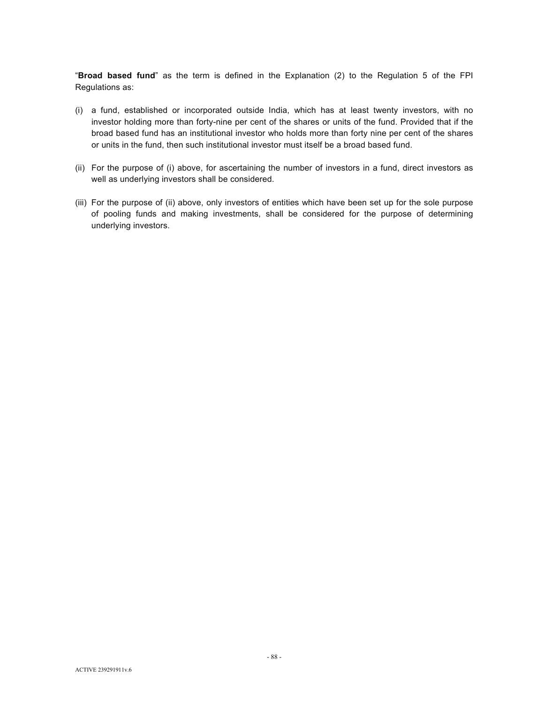"**Broad based fund**" as the term is defined in the Explanation (2) to the Regulation 5 of the FPI Regulations as:

- (i) a fund, established or incorporated outside India, which has at least twenty investors, with no investor holding more than forty-nine per cent of the shares or units of the fund. Provided that if the broad based fund has an institutional investor who holds more than forty nine per cent of the shares or units in the fund, then such institutional investor must itself be a broad based fund.
- (ii) For the purpose of (i) above, for ascertaining the number of investors in a fund, direct investors as well as underlying investors shall be considered.
- (iii) For the purpose of (ii) above, only investors of entities which have been set up for the sole purpose of pooling funds and making investments, shall be considered for the purpose of determining underlying investors.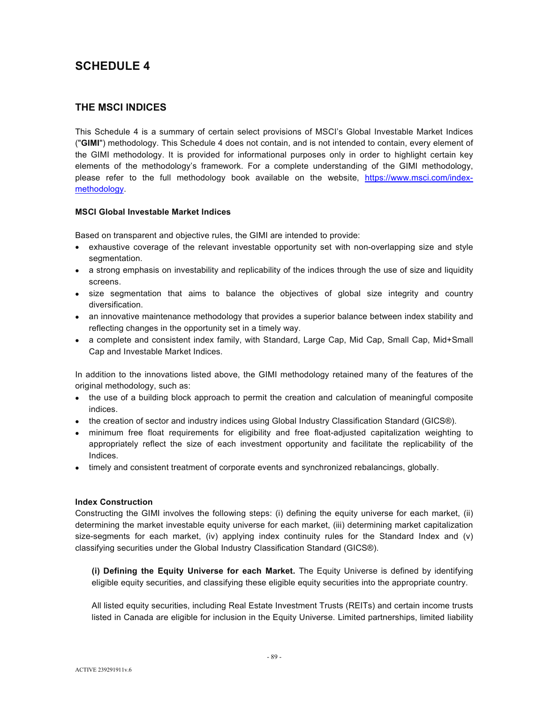# **SCHEDULE 4**

# **THE MSCI INDICES**

This Schedule 4 is a summary of certain select provisions of MSCI's Global Investable Market Indices ("**GIMI**") methodology. This Schedule 4 does not contain, and is not intended to contain, every element of the GIMI methodology. It is provided for informational purposes only in order to highlight certain key elements of the methodology's framework. For a complete understanding of the GIMI methodology, please refer to the full methodology book available on the website, https://www.msci.com/indexmethodology.

## **MSCI Global Investable Market Indices**

Based on transparent and objective rules, the GIMI are intended to provide:

- exhaustive coverage of the relevant investable opportunity set with non-overlapping size and style segmentation.
- a strong emphasis on investability and replicability of the indices through the use of size and liquidity screens.
- size segmentation that aims to balance the objectives of global size integrity and country diversification.
- an innovative maintenance methodology that provides a superior balance between index stability and reflecting changes in the opportunity set in a timely way.
- a complete and consistent index family, with Standard, Large Cap, Mid Cap, Small Cap, Mid+Small Cap and Investable Market Indices.

In addition to the innovations listed above, the GIMI methodology retained many of the features of the original methodology, such as:

- the use of a building block approach to permit the creation and calculation of meaningful composite indices.
- the creation of sector and industry indices using Global Industry Classification Standard (GICS®).
- minimum free float requirements for eligibility and free float-adjusted capitalization weighting to appropriately reflect the size of each investment opportunity and facilitate the replicability of the Indices.
- timely and consistent treatment of corporate events and synchronized rebalancings, globally.

## **Index Construction**

Constructing the GIMI involves the following steps: (i) defining the equity universe for each market, (ii) determining the market investable equity universe for each market, (iii) determining market capitalization size-segments for each market, (iv) applying index continuity rules for the Standard Index and (v) classifying securities under the Global Industry Classification Standard (GICS®).

**(i) Defining the Equity Universe for each Market.** The Equity Universe is defined by identifying eligible equity securities, and classifying these eligible equity securities into the appropriate country.

All listed equity securities, including Real Estate Investment Trusts (REITs) and certain income trusts listed in Canada are eligible for inclusion in the Equity Universe. Limited partnerships, limited liability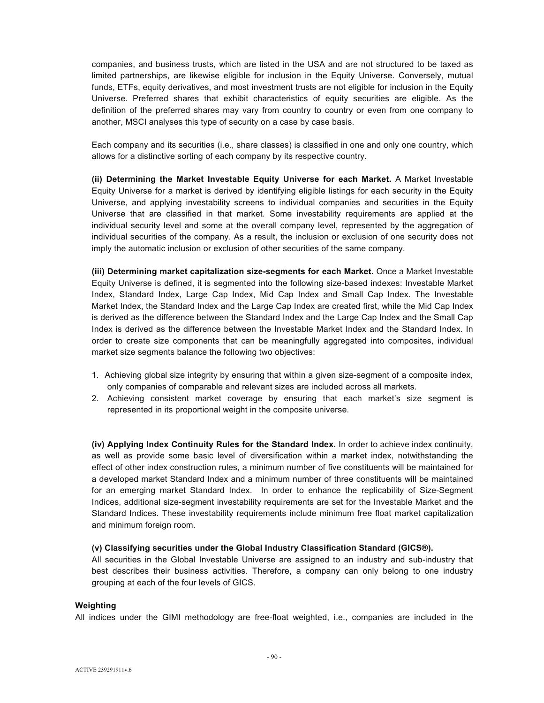companies, and business trusts, which are listed in the USA and are not structured to be taxed as limited partnerships, are likewise eligible for inclusion in the Equity Universe. Conversely, mutual funds, ETFs, equity derivatives, and most investment trusts are not eligible for inclusion in the Equity Universe. Preferred shares that exhibit characteristics of equity securities are eligible. As the definition of the preferred shares may vary from country to country or even from one company to another, MSCI analyses this type of security on a case by case basis.

Each company and its securities (i.e., share classes) is classified in one and only one country, which allows for a distinctive sorting of each company by its respective country.

**(ii) Determining the Market Investable Equity Universe for each Market.** A Market Investable Equity Universe for a market is derived by identifying eligible listings for each security in the Equity Universe, and applying investability screens to individual companies and securities in the Equity Universe that are classified in that market. Some investability requirements are applied at the individual security level and some at the overall company level, represented by the aggregation of individual securities of the company. As a result, the inclusion or exclusion of one security does not imply the automatic inclusion or exclusion of other securities of the same company.

**(iii) Determining market capitalization size-segments for each Market.** Once a Market Investable Equity Universe is defined, it is segmented into the following size-based indexes: Investable Market Index, Standard Index, Large Cap Index, Mid Cap Index and Small Cap Index. The Investable Market Index, the Standard Index and the Large Cap Index are created first, while the Mid Cap Index is derived as the difference between the Standard Index and the Large Cap Index and the Small Cap Index is derived as the difference between the Investable Market Index and the Standard Index. In order to create size components that can be meaningfully aggregated into composites, individual market size segments balance the following two objectives:

- 1. Achieving global size integrity by ensuring that within a given size-segment of a composite index, only companies of comparable and relevant sizes are included across all markets.
- 2. Achieving consistent market coverage by ensuring that each market's size segment is represented in its proportional weight in the composite universe.

**(iv) Applying Index Continuity Rules for the Standard Index.** In order to achieve index continuity, as well as provide some basic level of diversification within a market index, notwithstanding the effect of other index construction rules, a minimum number of five constituents will be maintained for a developed market Standard Index and a minimum number of three constituents will be maintained for an emerging market Standard Index. In order to enhance the replicability of Size-Segment Indices, additional size-segment investability requirements are set for the Investable Market and the Standard Indices. These investability requirements include minimum free float market capitalization and minimum foreign room.

## **(v) Classifying securities under the Global Industry Classification Standard (GICS®).**

All securities in the Global Investable Universe are assigned to an industry and sub-industry that best describes their business activities. Therefore, a company can only belong to one industry grouping at each of the four levels of GICS.

# **Weighting**

All indices under the GIMI methodology are free-float weighted, i.e., companies are included in the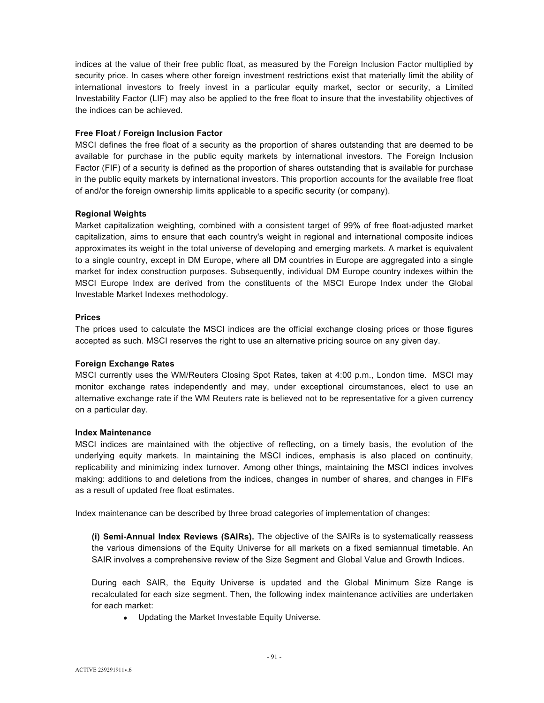indices at the value of their free public float, as measured by the Foreign Inclusion Factor multiplied by security price. In cases where other foreign investment restrictions exist that materially limit the ability of international investors to freely invest in a particular equity market, sector or security, a Limited Investability Factor (LIF) may also be applied to the free float to insure that the investability objectives of the indices can be achieved.

### **Free Float / Foreign Inclusion Factor**

MSCI defines the free float of a security as the proportion of shares outstanding that are deemed to be available for purchase in the public equity markets by international investors. The Foreign Inclusion Factor (FIF) of a security is defined as the proportion of shares outstanding that is available for purchase in the public equity markets by international investors. This proportion accounts for the available free float of and/or the foreign ownership limits applicable to a specific security (or company).

### **Regional Weights**

Market capitalization weighting, combined with a consistent target of 99% of free float-adjusted market capitalization, aims to ensure that each country's weight in regional and international composite indices approximates its weight in the total universe of developing and emerging markets. A market is equivalent to a single country, except in DM Europe, where all DM countries in Europe are aggregated into a single market for index construction purposes. Subsequently, individual DM Europe country indexes within the MSCI Europe Index are derived from the constituents of the MSCI Europe Index under the Global Investable Market Indexes methodology.

### **Prices**

The prices used to calculate the MSCI indices are the official exchange closing prices or those figures accepted as such. MSCI reserves the right to use an alternative pricing source on any given day.

## **Foreign Exchange Rates**

MSCI currently uses the WM/Reuters Closing Spot Rates, taken at 4:00 p.m., London time. MSCI may monitor exchange rates independently and may, under exceptional circumstances, elect to use an alternative exchange rate if the WM Reuters rate is believed not to be representative for a given currency on a particular day.

#### **Index Maintenance**

MSCI indices are maintained with the objective of reflecting, on a timely basis, the evolution of the underlying equity markets. In maintaining the MSCI indices, emphasis is also placed on continuity, replicability and minimizing index turnover. Among other things, maintaining the MSCI indices involves making: additions to and deletions from the indices, changes in number of shares, and changes in FIFs as a result of updated free float estimates.

Index maintenance can be described by three broad categories of implementation of changes:

**(i) Semi-Annual Index Reviews (SAIRs).** The objective of the SAIRs is to systematically reassess the various dimensions of the Equity Universe for all markets on a fixed semiannual timetable. An SAIR involves a comprehensive review of the Size Segment and Global Value and Growth Indices.

During each SAIR, the Equity Universe is updated and the Global Minimum Size Range is recalculated for each size segment. Then, the following index maintenance activities are undertaken for each market:

• Updating the Market Investable Equity Universe.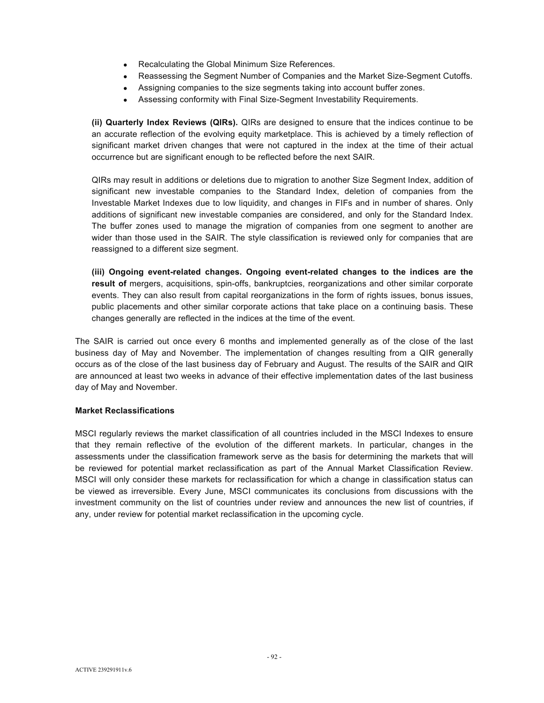- Recalculating the Global Minimum Size References.
- Reassessing the Segment Number of Companies and the Market Size-Segment Cutoffs.
- Assigning companies to the size segments taking into account buffer zones.
- Assessing conformity with Final Size-Segment Investability Requirements.

**(ii) Quarterly Index Reviews (QIRs).** QIRs are designed to ensure that the indices continue to be an accurate reflection of the evolving equity marketplace. This is achieved by a timely reflection of significant market driven changes that were not captured in the index at the time of their actual occurrence but are significant enough to be reflected before the next SAIR.

QIRs may result in additions or deletions due to migration to another Size Segment Index, addition of significant new investable companies to the Standard Index, deletion of companies from the Investable Market Indexes due to low liquidity, and changes in FIFs and in number of shares. Only additions of significant new investable companies are considered, and only for the Standard Index. The buffer zones used to manage the migration of companies from one segment to another are wider than those used in the SAIR. The style classification is reviewed only for companies that are reassigned to a different size segment.

**(iii) Ongoing event-related changes. Ongoing event-related changes to the indices are the result of** mergers, acquisitions, spin-offs, bankruptcies, reorganizations and other similar corporate events. They can also result from capital reorganizations in the form of rights issues, bonus issues, public placements and other similar corporate actions that take place on a continuing basis. These changes generally are reflected in the indices at the time of the event.

The SAIR is carried out once every 6 months and implemented generally as of the close of the last business day of May and November. The implementation of changes resulting from a QIR generally occurs as of the close of the last business day of February and August. The results of the SAIR and QIR are announced at least two weeks in advance of their effective implementation dates of the last business day of May and November.

## **Market Reclassifications**

MSCI regularly reviews the market classification of all countries included in the MSCI Indexes to ensure that they remain reflective of the evolution of the different markets. In particular, changes in the assessments under the classification framework serve as the basis for determining the markets that will be reviewed for potential market reclassification as part of the Annual Market Classification Review. MSCI will only consider these markets for reclassification for which a change in classification status can be viewed as irreversible. Every June, MSCI communicates its conclusions from discussions with the investment community on the list of countries under review and announces the new list of countries, if any, under review for potential market reclassification in the upcoming cycle.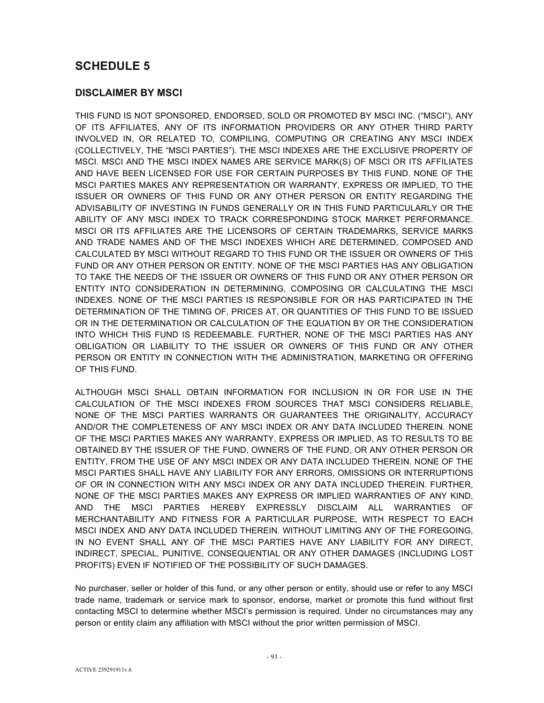# **SCHEDULE 5**

# **DISCLAIMER BY MSCI**

THIS FUND IS NOT SPONSORED, ENDORSED, SOLD OR PROMOTED BY MSCI INC. ("MSCI"), ANY OF ITS AFFILIATES, ANY OF ITS INFORMATION PROVIDERS OR ANY OTHER THIRD PARTY INVOLVED IN, OR RELATED TO, COMPILING, COMPUTING OR CREATING ANY MSCI INDEX (COLLECTIVELY, THE "MSCI PARTIES"). THE MSCI INDEXES ARE THE EXCLUSIVE PROPERTY OF MSCI. MSCI AND THE MSCI INDEX NAMES ARE SERVICE MARK(S) OF MSCI OR ITS AFFILIATES AND HAVE BEEN LICENSED FOR USE FOR CERTAIN PURPOSES BY THIS FUND. NONE OF THE MSCI PARTIES MAKES ANY REPRESENTATION OR WARRANTY, EXPRESS OR IMPLIED, TO THE ISSUER OR OWNERS OF THIS FUND OR ANY OTHER PERSON OR ENTITY REGARDING THE ADVISABILITY OF INVESTING IN FUNDS GENERALLY OR IN THIS FUND PARTICULARLY OR THE ABILITY OF ANY MSCI INDEX TO TRACK CORRESPONDING STOCK MARKET PERFORMANCE. MSCI OR ITS AFFILIATES ARE THE LICENSORS OF CERTAIN TRADEMARKS, SERVICE MARKS AND TRADE NAMES AND OF THE MSCI INDEXES WHICH ARE DETERMINED, COMPOSED AND CALCULATED BY MSCI WITHOUT REGARD TO THIS FUND OR THE ISSUER OR OWNERS OF THIS FUND OR ANY OTHER PERSON OR ENTITY. NONE OF THE MSCI PARTIES HAS ANY OBLIGATION TO TAKE THE NEEDS OF THE ISSUER OR OWNERS OF THIS FUND OR ANY OTHER PERSON OR ENTITY INTO CONSIDERATION IN DETERMINING, COMPOSING OR CALCULATING THE MSCI INDEXES. NONE OF THE MSCI PARTIES IS RESPONSIBLE FOR OR HAS PARTICIPATED IN THE DETERMINATION OF THE TIMING OF, PRICES AT, OR QUANTITIES OF THIS FUND TO BE ISSUED OR IN THE DETERMINATION OR CALCULATION OF THE EQUATION BY OR THE CONSIDERATION INTO WHICH THIS FUND IS REDEEMABLE. FURTHER, NONE OF THE MSCI PARTIES HAS ANY OBLIGATION OR LIABILITY TO THE ISSUER OR OWNERS OF THIS FUND OR ANY OTHER PERSON OR ENTITY IN CONNECTION WITH THE ADMINISTRATION, MARKETING OR OFFERING OF THIS FUND.

ALTHOUGH MSCI SHALL OBTAIN INFORMATION FOR INCLUSION IN OR FOR USE IN THE CALCULATION OF THE MSCI INDEXES FROM SOURCES THAT MSCI CONSIDERS RELIABLE, NONE OF THE MSCI PARTIES WARRANTS OR GUARANTEES THE ORIGINALITY, ACCURACY AND/OR THE COMPLETENESS OF ANY MSCI INDEX OR ANY DATA INCLUDED THEREIN. NONE OF THE MSCI PARTIES MAKES ANY WARRANTY, EXPRESS OR IMPLIED, AS TO RESULTS TO BE OBTAINED BY THE ISSUER OF THE FUND, OWNERS OF THE FUND, OR ANY OTHER PERSON OR ENTITY, FROM THE USE OF ANY MSCI INDEX OR ANY DATA INCLUDED THEREIN. NONE OF THE MSCI PARTIES SHALL HAVE ANY LIABILITY FOR ANY ERRORS, OMISSIONS OR INTERRUPTIONS OF OR IN CONNECTION WITH ANY MSCI INDEX OR ANY DATA INCLUDED THEREIN. FURTHER, NONE OF THE MSCI PARTIES MAKES ANY EXPRESS OR IMPLIED WARRANTIES OF ANY KIND, AND THE MSCI PARTIES HEREBY EXPRESSLY DISCLAIM ALL WARRANTIES OF MERCHANTABILITY AND FITNESS FOR A PARTICULAR PURPOSE, WITH RESPECT TO EACH MSCI INDEX AND ANY DATA INCLUDED THEREIN. WITHOUT LIMITING ANY OF THE FOREGOING, IN NO EVENT SHALL ANY OF THE MSCI PARTIES HAVE ANY LIABILITY FOR ANY DIRECT, INDIRECT, SPECIAL, PUNITIVE, CONSEQUENTIAL OR ANY OTHER DAMAGES (INCLUDING LOST PROFITS) EVEN IF NOTIFIED OF THE POSSIBILITY OF SUCH DAMAGES.

No purchaser, seller or holder of this fund, or any other person or entity, should use or refer to any MSCI trade name, trademark or service mark to sponsor, endorse, market or promote this fund without first contacting MSCI to determine whether MSCI's permission is required. Under no circumstances may any person or entity claim any affiliation with MSCI without the prior written permission of MSCI.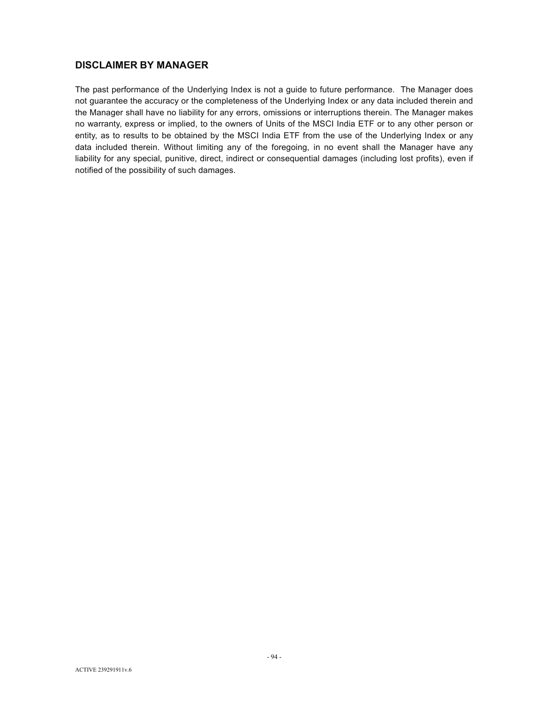# **DISCLAIMER BY MANAGER**

The past performance of the Underlying Index is not a guide to future performance. The Manager does not guarantee the accuracy or the completeness of the Underlying Index or any data included therein and the Manager shall have no liability for any errors, omissions or interruptions therein. The Manager makes no warranty, express or implied, to the owners of Units of the MSCI India ETF or to any other person or entity, as to results to be obtained by the MSCI India ETF from the use of the Underlying Index or any data included therein. Without limiting any of the foregoing, in no event shall the Manager have any liability for any special, punitive, direct, indirect or consequential damages (including lost profits), even if notified of the possibility of such damages.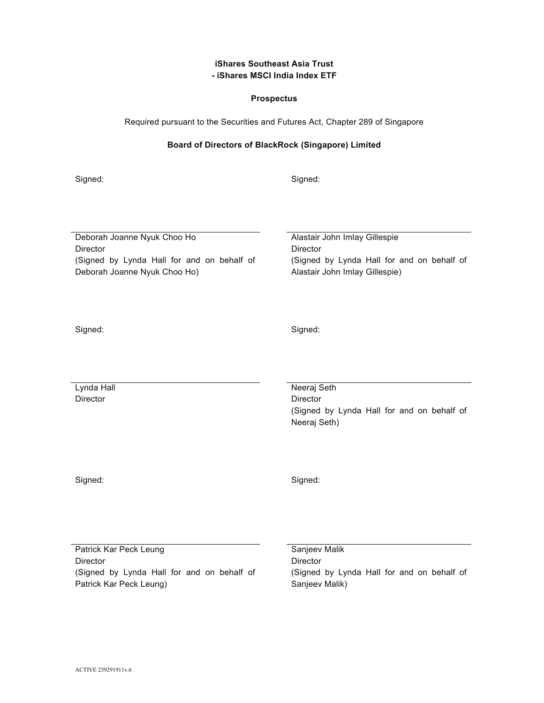# **iShares Southeast Asia Trust - iShares MSCI India Index ETF**

## **Prospectus**

Required pursuant to the Securities and Futures Act, Chapter 289 of Singapore

# **Board of Directors of BlackRock (Singapore) Limited**

Signed: Signed: Signed: Signed: Signed: Signed: Signed: Signed: Signed: Signed: Signed: Signed: Signed: Signed: Signed: Signed: Signed: Signed: Signed: Signed: Signed: Signed: Signed: Signed: Signed: Signed: Signed: Signed

Deborah Joanne Nyuk Choo Ho Alastair John Imlay Gillespie Director **Director** Director (Signed by Lynda Hall for and on behalf of Deborah Joanne Nyuk Choo Ho)

 (Signed by Lynda Hall for and on behalf of Alastair John Imlay Gillespie)

Signed: Signed: Signed: Signed: Signed: Signed: Signed: Signed: Signed: Signed: Signed: Signed: Signed: Signed: Signed: Signed: Signed: Signed: Signed: Signed: Signed: Signed: Signed: Signed: Signed: Signed: Signed: Signed

Director **Director** Director

Lynda Hall Neeraj Seth (Signed by Lynda Hall for and on behalf of Neeraj Seth)

Signed: Signed: Signed: Signed: Signed: Signed: Signed: Signed: Signed: Signed: Signed: Signed: Signed: Signed: Signed: Signed: Signed: Signed: Signed: Signed: Signed: Signed: Signed: Signed: Signed: Signed: Signed: Signed

Patrick Kar Peck Leung Sanjeev Malik Director **Director** Director (Signed by Lynda Hall for and on behalf of Patrick Kar Peck Leung)

 (Signed by Lynda Hall for and on behalf of Sanjeev Malik)